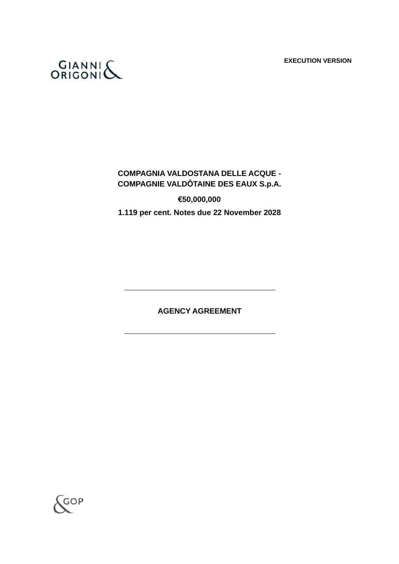**EXECUTION VERSION**



# **COMPAGNIA VALDOSTANA DELLE ACQUE - COMPAGNIE VALDÔTAINE DES EAUX S.p.A.**

**€50,000,000 1.119 per cent. Notes due 22 November 2028**

**AGENCY AGREEMENT**

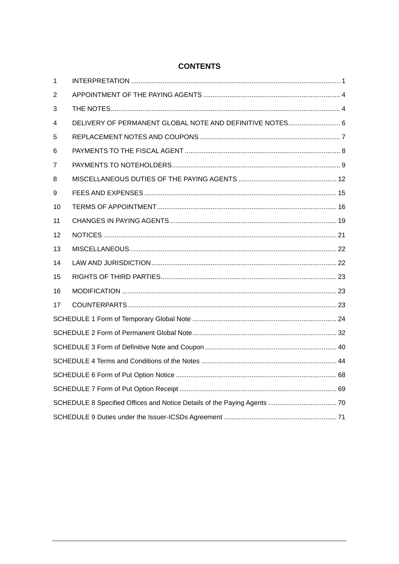| 1  |                                                          |  |  |
|----|----------------------------------------------------------|--|--|
| 2  |                                                          |  |  |
| 3  |                                                          |  |  |
| 4  | DELIVERY OF PERMANENT GLOBAL NOTE AND DEFINITIVE NOTES 6 |  |  |
| 5  |                                                          |  |  |
| 6  |                                                          |  |  |
| 7  |                                                          |  |  |
| 8  |                                                          |  |  |
| 9  |                                                          |  |  |
| 10 |                                                          |  |  |
| 11 |                                                          |  |  |
| 12 |                                                          |  |  |
| 13 |                                                          |  |  |
| 14 |                                                          |  |  |
| 15 |                                                          |  |  |
| 16 |                                                          |  |  |
| 17 |                                                          |  |  |
|    |                                                          |  |  |
|    |                                                          |  |  |
|    |                                                          |  |  |
|    |                                                          |  |  |
|    |                                                          |  |  |
|    |                                                          |  |  |
|    |                                                          |  |  |
|    |                                                          |  |  |

# **CONTENTS**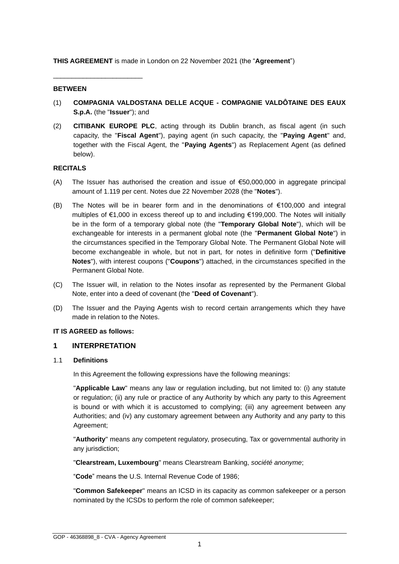**THIS AGREEMENT** is made in London on 22 November 2021 (the "**Agreement**")

#### **BETWEEN**

\_\_\_\_\_\_\_\_\_\_\_\_\_\_\_\_\_\_\_\_\_\_\_\_

- (1) **COMPAGNIA VALDOSTANA DELLE ACQUE - COMPAGNIE VALDÔTAINE DES EAUX S.p.A.** (the "**Issuer**"); and
- (2) **CITIBANK EUROPE PLC**, acting through its Dublin branch, as fiscal agent (in such capacity, the "**Fiscal Agent**"), paying agent (in such capacity, the "**Paying Agent**" and, together with the Fiscal Agent, the "**Paying Agents**") as Replacement Agent (as defined below).

## **RECITALS**

- (A) The Issuer has authorised the creation and issue of  $\epsilon$ 50,000,000 in aggregate principal amount of 1.119 per cent. Notes due 22 November 2028 (the "**Notes**").
- (B) The Notes will be in bearer form and in the denominations of €100,000 and integral multiples of €1,000 in excess thereof up to and including €199,000. The Notes will initially be in the form of a temporary global note (the "**Temporary Global Note**"), which will be exchangeable for interests in a permanent global note (the "**Permanent Global Note**") in the circumstances specified in the Temporary Global Note. The Permanent Global Note will become exchangeable in whole, but not in part, for notes in definitive form ("**Definitive Notes**"), with interest coupons ("**Coupons**") attached, in the circumstances specified in the Permanent Global Note.
- (C) The Issuer will, in relation to the Notes insofar as represented by the Permanent Global Note, enter into a deed of covenant (the "**Deed of Covenant**").
- (D) The Issuer and the Paying Agents wish to record certain arrangements which they have made in relation to the Notes.

#### **IT IS AGREED as follows:**

## <span id="page-2-0"></span>**1 INTERPRETATION**

#### 1.1 **Definitions**

In this Agreement the following expressions have the following meanings:

"**Applicable Law**" means any law or regulation including, but not limited to: (i) any statute or regulation; (ii) any rule or practice of any Authority by which any party to this Agreement is bound or with which it is accustomed to complying; (iii) any agreement between any Authorities; and (iv) any customary agreement between any Authority and any party to this Agreement;

"**Authority**" means any competent regulatory, prosecuting, Tax or governmental authority in any jurisdiction;

"**Clearstream, Luxembourg**" means Clearstream Banking, *société anonyme*;

"**Code**" means the U.S. Internal Revenue Code of 1986;

"**Common Safekeeper**" means an ICSD in its capacity as common safekeeper or a person nominated by the ICSDs to perform the role of common safekeeper;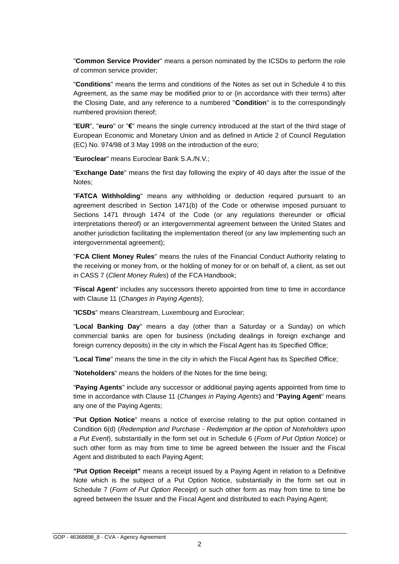"**Common Service Provider**" means a person nominated by the ICSDs to perform the role of common service provider;

"**Conditions**" means the terms and conditions of the Notes as set out in Schedule 4 to this Agreement, as the same may be modified prior to or (in accordance with their terms) after the Closing Date, and any reference to a numbered "**Condition**" is to the correspondingly numbered provision thereof;

"**EUR**", "**euro**" or "**€**" means the single currency introduced at the start of the third stage of European Economic and Monetary Union and as defined in Article 2 of Council Regulation (EC) No. 974/98 of 3 May 1998 on the introduction of the euro;

"**Euroclear**" means Euroclear Bank S.A./N.V.;

"**Exchange Date**" means the first day following the expiry of 40 days after the issue of the Notes;

"**FATCA Withholding**" means any withholding or deduction required pursuant to an agreement described in Section 1471(b) of the Code or otherwise imposed pursuant to Sections 1471 through 1474 of the Code (or any regulations thereunder or official interpretations thereof) or an intergovernmental agreement between the United States and another jurisdiction facilitating the implementation thereof (or any law implementing such an intergovernmental agreement);

"**FCA Client Money Rules**" means the rules of the Financial Conduct Authority relating to the receiving or money from, or the holding of money for or on behalf of, a client, as set out in CASS 7 (*Client Money Rules*) of the FCA Handbook;

"**Fiscal Agent**" includes any successors thereto appointed from time to time in accordance with Clause 11 (*Changes in Paying Agents*);

"**ICSDs**" means Clearstream, Luxembourg and Euroclear;

"**Local Banking Day**" means a day (other than a Saturday or a Sunday) on which commercial banks are open for business (including dealings in foreign exchange and foreign currency deposits) in the city in which the Fiscal Agent has its Specified Office;

"**Local Time**" means the time in the city in which the Fiscal Agent has its Specified Office;

"**Noteholders**" means the holders of the Notes for the time being;

"**Paying Agents**" include any successor or additional paying agents appointed from time to time in accordance with Clause 11 (*Changes in Paying Agents*) and "**Paying Agent**" means any one of the Paying Agents;

"**Put Option Notice**" means a notice of exercise relating to the put option contained in Condition 6(d) (*Redemption and Purchase - Redemption at the option of Noteholders upon a Put Event*), substantially in the form set out in Schedule 6 (*Form of Put Option Notice*) or such other form as may from time to time be agreed between the Issuer and the Fiscal Agent and distributed to each Paying Agent;

**"Put Option Receipt"** means a receipt issued by a Paying Agent in relation to a Definitive Note which is the subject of a Put Option Notice, substantially in the form set out in Schedule 7 (*Form of Put Option Receipt*) or such other form as may from time to time be agreed between the Issuer and the Fiscal Agent and distributed to each Paying Agent;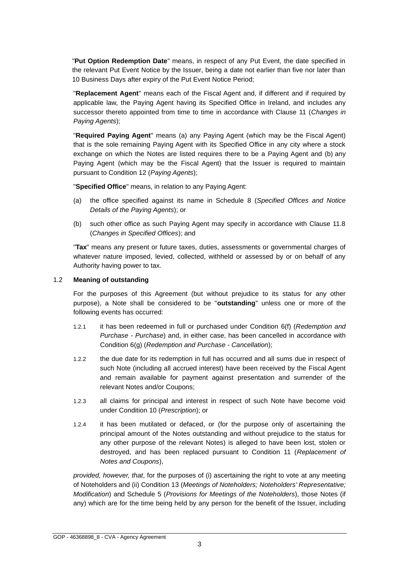"**Put Option Redemption Date**" means, in respect of any Put Event, the date specified in the relevant Put Event Notice by the Issuer, being a date not earlier than five nor later than 10 Business Days after expiry of the Put Event Notice Period;

"**Replacement Agent**" means each of the Fiscal Agent and, if different and if required by applicable law, the Paying Agent having its Specified Office in Ireland, and includes any successor thereto appointed from time to time in accordance with Clause 11 (*Changes in Paying Agents*);

"**Required Paying Agent**" means (a) any Paying Agent (which may be the Fiscal Agent) that is the sole remaining Paying Agent with its Specified Office in any city where a stock exchange on which the Notes are listed requires there to be a Paying Agent and (b) any Paying Agent (which may be the Fiscal Agent) that the Issuer is required to maintain pursuant to Condition 12 (*Paying Agents*);

"**Specified Office**" means, in relation to any Paying Agent:

- (a) the office specified against its name in Schedule 8 (*Specified Offices and Notice Details of the Paying Agents*); or
- (b) such other office as such Paying Agent may specify in accordance with Clause 11.8 (*Changes in Specified Offices*); and

"**Tax**" means any present or future taxes, duties, assessments or governmental charges of whatever nature imposed, levied, collected, withheld or assessed by or on behalf of any Authority having power to tax.

#### 1.2 **Meaning of outstanding**

For the purposes of this Agreement (but without prejudice to its status for any other purpose), a Note shall be considered to be "**outstanding**" unless one or more of the following events has occurred:

- 1.2.1 it has been redeemed in full or purchased under Condition 6(f) (*Redemption and Purchase - Purchase*) and, in either case, has been cancelled in accordance with Condition 6(g) (*Redemption and Purchase - Cancellation*);
- 1.2.2 the due date for its redemption in full has occurred and all sums due in respect of such Note (including all accrued interest) have been received by the Fiscal Agent and remain available for payment against presentation and surrender of the relevant Notes and/or Coupons;
- 1.2.3 all claims for principal and interest in respect of such Note have become void under Condition 10 (*Prescription*); or
- 1.2.4 it has been mutilated or defaced, or (for the purpose only of ascertaining the principal amount of the Notes outstanding and without prejudice to the status for any other purpose of the relevant Notes) is alleged to have been lost, stolen or destroyed, and has been replaced pursuant to Condition 11 (*Replacement of Notes and Coupons*),

*provided, however, that*, for the purposes of (i) ascertaining the right to vote at any meeting of Noteholders and (ii) Condition 13 (*Meetings of Noteholders; Noteholders' Representative; Modification*) and Schedule 5 (*Provisions for Meetings of the Noteholders*), those Notes (if any) which are for the time being held by any person for the benefit of the Issuer, including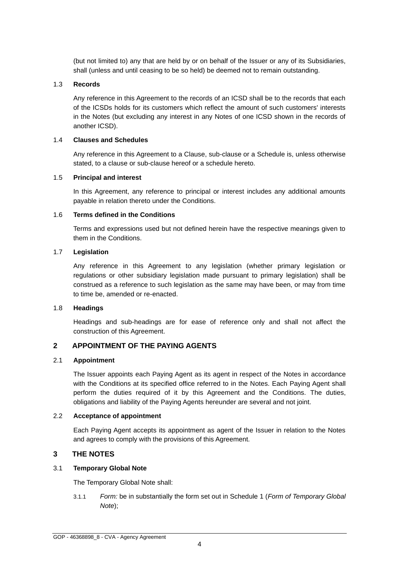(but not limited to) any that are held by or on behalf of the Issuer or any of its Subsidiaries, shall (unless and until ceasing to be so held) be deemed not to remain outstanding.

#### 1.3 **Records**

Any reference in this Agreement to the records of an ICSD shall be to the records that each of the ICSDs holds for its customers which reflect the amount of such customers' interests in the Notes (but excluding any interest in any Notes of one ICSD shown in the records of another ICSD).

## 1.4 **Clauses and Schedules**

Any reference in this Agreement to a Clause, sub-clause or a Schedule is, unless otherwise stated, to a clause or sub-clause hereof or a schedule hereto.

## 1.5 **Principal and interest**

In this Agreement, any reference to principal or interest includes any additional amounts payable in relation thereto under the Conditions.

## 1.6 **Terms defined in the Conditions**

Terms and expressions used but not defined herein have the respective meanings given to them in the Conditions.

## 1.7 **Legislation**

Any reference in this Agreement to any legislation (whether primary legislation or regulations or other subsidiary legislation made pursuant to primary legislation) shall be construed as a reference to such legislation as the same may have been, or may from time to time be, amended or re-enacted.

#### 1.8 **Headings**

Headings and sub-headings are for ease of reference only and shall not affect the construction of this Agreement.

# <span id="page-5-0"></span>**2 APPOINTMENT OF THE PAYING AGENTS**

## 2.1 **Appointment**

The Issuer appoints each Paying Agent as its agent in respect of the Notes in accordance with the Conditions at its specified office referred to in the Notes. Each Paying Agent shall perform the duties required of it by this Agreement and the Conditions. The duties, obligations and liability of the Paying Agents hereunder are several and not joint.

## 2.2 **Acceptance of appointment**

Each Paying Agent accepts its appointment as agent of the Issuer in relation to the Notes and agrees to comply with the provisions of this Agreement.

## <span id="page-5-1"></span>**3 THE NOTES**

## 3.1 **Temporary Global Note**

The Temporary Global Note shall:

3.1.1 *Form:* be in substantially the form set out in Schedule 1 (*Form of Temporary Global Note*);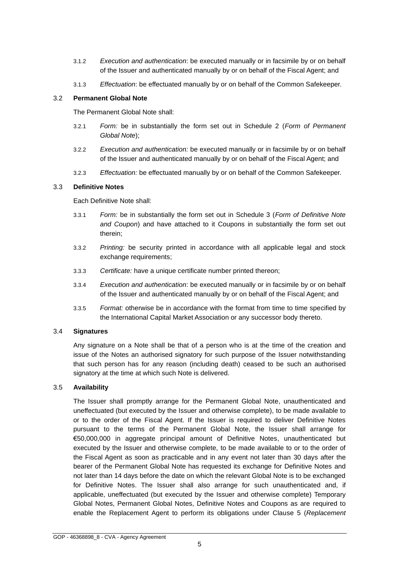- 3.1.2 *Execution and authentication*: be executed manually or in facsimile by or on behalf of the Issuer and authenticated manually by or on behalf of the Fiscal Agent; and
- 3.1.3 *Effectuation*: be effectuated manually by or on behalf of the Common Safekeeper.

#### 3.2 **Permanent Global Note**

The Permanent Global Note shall:

- 3.2.1 *Form:* be in substantially the form set out in Schedule 2 (*Form of Permanent Global Note*);
- 3.2.2 *Execution and authentication:* be executed manually or in facsimile by or on behalf of the Issuer and authenticated manually by or on behalf of the Fiscal Agent; and
- 3.2.3 *Effectuation:* be effectuated manually by or on behalf of the Common Safekeeper.

## 3.3 **Definitive Notes**

Each Definitive Note shall:

- 3.3.1 *Form:* be in substantially the form set out in Schedule 3 (*Form of Definitive Note and Coupon*) and have attached to it Coupons in substantially the form set out therein;
- 3.3.2 *Printing:* be security printed in accordance with all applicable legal and stock exchange requirements;
- 3.3.3 *Certificate:* have a unique certificate number printed thereon;
- 3.3.4 *Execution and authentication*: be executed manually or in facsimile by or on behalf of the Issuer and authenticated manually by or on behalf of the Fiscal Agent; and
- 3.3.5 *Format:* otherwise be in accordance with the format from time to time specified by the International Capital Market Association or any successor body thereto.

## 3.4 **Signatures**

Any signature on a Note shall be that of a person who is at the time of the creation and issue of the Notes an authorised signatory for such purpose of the Issuer notwithstanding that such person has for any reason (including death) ceased to be such an authorised signatory at the time at which such Note is delivered.

## 3.5 **Availability**

The Issuer shall promptly arrange for the Permanent Global Note, unauthenticated and uneffectuated (but executed by the Issuer and otherwise complete), to be made available to or to the order of the Fiscal Agent. If the Issuer is required to deliver Definitive Notes pursuant to the terms of the Permanent Global Note, the Issuer shall arrange for €50,000,000 in aggregate principal amount of Definitive Notes, unauthenticated but executed by the Issuer and otherwise complete, to be made available to or to the order of the Fiscal Agent as soon as practicable and in any event not later than 30 days after the bearer of the Permanent Global Note has requested its exchange for Definitive Notes and not later than 14 days before the date on which the relevant Global Note is to be exchanged for Definitive Notes. The Issuer shall also arrange for such unauthenticated and, if applicable, uneffectuated (but executed by the Issuer and otherwise complete) Temporary Global Notes, Permanent Global Notes, Definitive Notes and Coupons as are required to enable the Replacement Agent to perform its obligations under Clause 5 (*Replacement*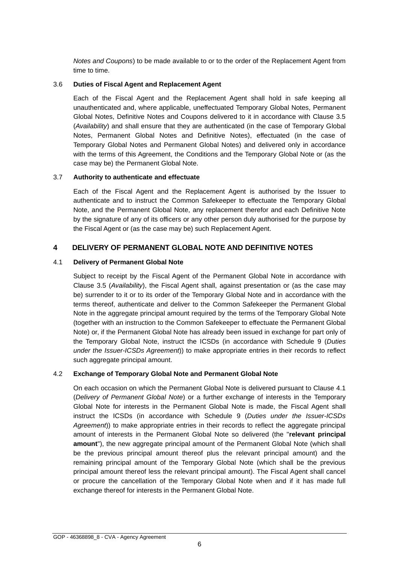*Notes and Coupons*) to be made available to or to the order of the Replacement Agent from time to time.

## 3.6 **Duties of Fiscal Agent and Replacement Agent**

Each of the Fiscal Agent and the Replacement Agent shall hold in safe keeping all unauthenticated and, where applicable, uneffectuated Temporary Global Notes, Permanent Global Notes, Definitive Notes and Coupons delivered to it in accordance with Clause 3.5 (*Availability*) and shall ensure that they are authenticated (in the case of Temporary Global Notes, Permanent Global Notes and Definitive Notes), effectuated (in the case of Temporary Global Notes and Permanent Global Notes) and delivered only in accordance with the terms of this Agreement, the Conditions and the Temporary Global Note or (as the case may be) the Permanent Global Note.

## 3.7 **Authority to authenticate and effectuate**

Each of the Fiscal Agent and the Replacement Agent is authorised by the Issuer to authenticate and to instruct the Common Safekeeper to effectuate the Temporary Global Note, and the Permanent Global Note, any replacement therefor and each Definitive Note by the signature of any of its officers or any other person duly authorised for the purpose by the Fiscal Agent or (as the case may be) such Replacement Agent.

# <span id="page-7-0"></span>**4 DELIVERY OF PERMANENT GLOBAL NOTE AND DEFINITIVE NOTES**

## 4.1 **Delivery of Permanent Global Note**

Subject to receipt by the Fiscal Agent of the Permanent Global Note in accordance with Clause 3.5 (*Availability*), the Fiscal Agent shall, against presentation or (as the case may be) surrender to it or to its order of the Temporary Global Note and in accordance with the terms thereof, authenticate and deliver to the Common Safekeeper the Permanent Global Note in the aggregate principal amount required by the terms of the Temporary Global Note (together with an instruction to the Common Safekeeper to effectuate the Permanent Global Note) or, if the Permanent Global Note has already been issued in exchange for part only of the Temporary Global Note, instruct the ICSDs (in accordance with Schedule 9 (*Duties under the Issuer-ICSDs Agreement*)) to make appropriate entries in their records to reflect such aggregate principal amount.

## 4.2 **Exchange of Temporary Global Note and Permanent Global Note**

On each occasion on which the Permanent Global Note is delivered pursuant to Clause 4.1 (*Delivery of Permanent Global Note*) or a further exchange of interests in the Temporary Global Note for interests in the Permanent Global Note is made, the Fiscal Agent shall instruct the ICSDs (in accordance with Schedule 9 (*Duties under the Issuer-ICSDs Agreement*)) to make appropriate entries in their records to reflect the aggregate principal amount of interests in the Permanent Global Note so delivered (the "**relevant principal amount**"), the new aggregate principal amount of the Permanent Global Note (which shall be the previous principal amount thereof plus the relevant principal amount) and the remaining principal amount of the Temporary Global Note (which shall be the previous principal amount thereof less the relevant principal amount). The Fiscal Agent shall cancel or procure the cancellation of the Temporary Global Note when and if it has made full exchange thereof for interests in the Permanent Global Note.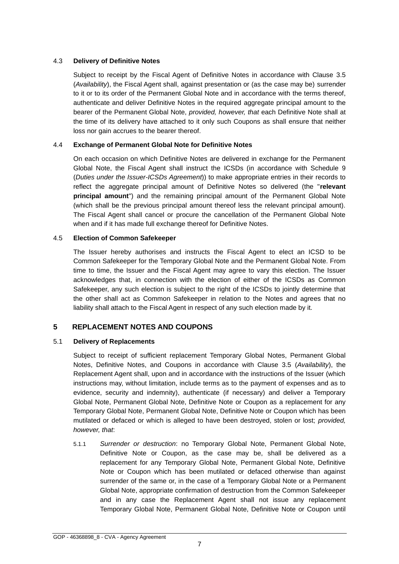## 4.3 **Delivery of Definitive Notes**

Subject to receipt by the Fiscal Agent of Definitive Notes in accordance with Clause 3.5 (*Availability*), the Fiscal Agent shall, against presentation or (as the case may be) surrender to it or to its order of the Permanent Global Note and in accordance with the terms thereof, authenticate and deliver Definitive Notes in the required aggregate principal amount to the bearer of the Permanent Global Note, *provided, however, that* each Definitive Note shall at the time of its delivery have attached to it only such Coupons as shall ensure that neither loss nor gain accrues to the bearer thereof.

## 4.4 **Exchange of Permanent Global Note for Definitive Notes**

On each occasion on which Definitive Notes are delivered in exchange for the Permanent Global Note, the Fiscal Agent shall instruct the ICSDs (in accordance with Schedule 9 (*Duties under the Issuer-ICSDs Agreement*)) to make appropriate entries in their records to reflect the aggregate principal amount of Definitive Notes so delivered (the "**relevant principal amount**") and the remaining principal amount of the Permanent Global Note (which shall be the previous principal amount thereof less the relevant principal amount). The Fiscal Agent shall cancel or procure the cancellation of the Permanent Global Note when and if it has made full exchange thereof for Definitive Notes.

## 4.5 **Election of Common Safekeeper**

The Issuer hereby authorises and instructs the Fiscal Agent to elect an ICSD to be Common Safekeeper for the Temporary Global Note and the Permanent Global Note. From time to time, the Issuer and the Fiscal Agent may agree to vary this election. The Issuer acknowledges that, in connection with the election of either of the ICSDs as Common Safekeeper, any such election is subject to the right of the ICSDs to jointly determine that the other shall act as Common Safekeeper in relation to the Notes and agrees that no liability shall attach to the Fiscal Agent in respect of any such election made by it.

# <span id="page-8-0"></span>**5 REPLACEMENT NOTES AND COUPONS**

## 5.1 **Delivery of Replacements**

Subject to receipt of sufficient replacement Temporary Global Notes, Permanent Global Notes, Definitive Notes, and Coupons in accordance with Clause 3.5 (*Availability*), the Replacement Agent shall, upon and in accordance with the instructions of the Issuer (which instructions may, without limitation, include terms as to the payment of expenses and as to evidence, security and indemnity), authenticate (if necessary) and deliver a Temporary Global Note, Permanent Global Note, Definitive Note or Coupon as a replacement for any Temporary Global Note, Permanent Global Note, Definitive Note or Coupon which has been mutilated or defaced or which is alleged to have been destroyed, stolen or lost; *provided, however, that*:

5.1.1 *Surrender or destruction*: no Temporary Global Note, Permanent Global Note, Definitive Note or Coupon, as the case may be, shall be delivered as a replacement for any Temporary Global Note, Permanent Global Note, Definitive Note or Coupon which has been mutilated or defaced otherwise than against surrender of the same or, in the case of a Temporary Global Note or a Permanent Global Note, appropriate confirmation of destruction from the Common Safekeeper and in any case the Replacement Agent shall not issue any replacement Temporary Global Note, Permanent Global Note, Definitive Note or Coupon until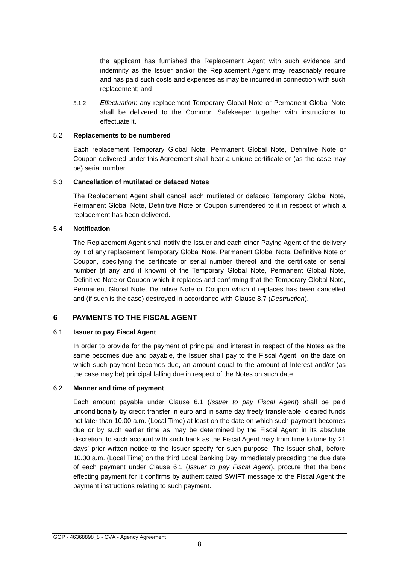the applicant has furnished the Replacement Agent with such evidence and indemnity as the Issuer and/or the Replacement Agent may reasonably require and has paid such costs and expenses as may be incurred in connection with such replacement; and

5.1.2 *Effectuation*: any replacement Temporary Global Note or Permanent Global Note shall be delivered to the Common Safekeeper together with instructions to effectuate it.

#### 5.2 **Replacements to be numbered**

Each replacement Temporary Global Note, Permanent Global Note, Definitive Note or Coupon delivered under this Agreement shall bear a unique certificate or (as the case may be) serial number.

#### 5.3 **Cancellation of mutilated or defaced Notes**

The Replacement Agent shall cancel each mutilated or defaced Temporary Global Note, Permanent Global Note, Definitive Note or Coupon surrendered to it in respect of which a replacement has been delivered.

#### 5.4 **Notification**

The Replacement Agent shall notify the Issuer and each other Paying Agent of the delivery by it of any replacement Temporary Global Note, Permanent Global Note, Definitive Note or Coupon, specifying the certificate or serial number thereof and the certificate or serial number (if any and if known) of the Temporary Global Note, Permanent Global Note, Definitive Note or Coupon which it replaces and confirming that the Temporary Global Note, Permanent Global Note, Definitive Note or Coupon which it replaces has been cancelled and (if such is the case) destroyed in accordance with Clause 8.7 (*Destruction*).

#### <span id="page-9-0"></span>**6 PAYMENTS TO THE FISCAL AGENT**

#### 6.1 **Issuer to pay Fiscal Agent**

In order to provide for the payment of principal and interest in respect of the Notes as the same becomes due and payable, the Issuer shall pay to the Fiscal Agent, on the date on which such payment becomes due, an amount equal to the amount of Interest and/or (as the case may be) principal falling due in respect of the Notes on such date.

#### 6.2 **Manner and time of payment**

Each amount payable under Clause 6.1 (*Issuer to pay Fiscal Agent*) shall be paid unconditionally by credit transfer in euro and in same day freely transferable, cleared funds not later than 10.00 a.m. (Local Time) at least on the date on which such payment becomes due or by such earlier time as may be determined by the Fiscal Agent in its absolute discretion, to such account with such bank as the Fiscal Agent may from time to time by 21 days' prior written notice to the Issuer specify for such purpose. The Issuer shall, before 10.00 a.m. (Local Time) on the third Local Banking Day immediately preceding the due date of each payment under Clause 6.1 (*Issuer to pay Fiscal Agent*), procure that the bank effecting payment for it confirms by authenticated SWIFT message to the Fiscal Agent the payment instructions relating to such payment.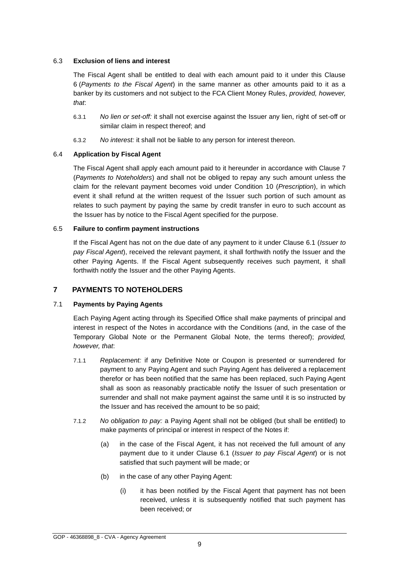## 6.3 **Exclusion of liens and interest**

The Fiscal Agent shall be entitled to deal with each amount paid to it under this Clause 6 (*Payments to the Fiscal Agent*) in the same manner as other amounts paid to it as a banker by its customers and not subject to the FCA Client Money Rules, *provided, however, that*:

- 6.3.1 *No lien or set-off:* it shall not exercise against the Issuer any lien, right of set-off or similar claim in respect thereof; and
- 6.3.2 *No interest:* it shall not be liable to any person for interest thereon.

# 6.4 **Application by Fiscal Agent**

The Fiscal Agent shall apply each amount paid to it hereunder in accordance with Clause 7 (*Payments to Noteholders*) and shall not be obliged to repay any such amount unless the claim for the relevant payment becomes void under Condition 10 (*Prescription*), in which event it shall refund at the written request of the Issuer such portion of such amount as relates to such payment by paying the same by credit transfer in euro to such account as the Issuer has by notice to the Fiscal Agent specified for the purpose.

## 6.5 **Failure to confirm payment instructions**

If the Fiscal Agent has not on the due date of any payment to it under Clause 6.1 (*Issuer to pay Fiscal Agent*), received the relevant payment, it shall forthwith notify the Issuer and the other Paying Agents. If the Fiscal Agent subsequently receives such payment, it shall forthwith notify the Issuer and the other Paying Agents.

# <span id="page-10-0"></span>**7 PAYMENTS TO NOTEHOLDERS**

## 7.1 **Payments by Paying Agents**

Each Paying Agent acting through its Specified Office shall make payments of principal and interest in respect of the Notes in accordance with the Conditions (and, in the case of the Temporary Global Note or the Permanent Global Note, the terms thereof); *provided, however, that*:

- 7.1.1 *Replacement:* if any Definitive Note or Coupon is presented or surrendered for payment to any Paying Agent and such Paying Agent has delivered a replacement therefor or has been notified that the same has been replaced, such Paying Agent shall as soon as reasonably practicable notify the Issuer of such presentation or surrender and shall not make payment against the same until it is so instructed by the Issuer and has received the amount to be so paid;
- 7.1.2 *No obligation to pay:* a Paying Agent shall not be obliged (but shall be entitled) to make payments of principal or interest in respect of the Notes if:
	- (a) in the case of the Fiscal Agent, it has not received the full amount of any payment due to it under Clause 6.1 (*Issuer to pay Fiscal Agent*) or is not satisfied that such payment will be made; or
	- (b) in the case of any other Paying Agent:
		- (i) it has been notified by the Fiscal Agent that payment has not been received, unless it is subsequently notified that such payment has been received; or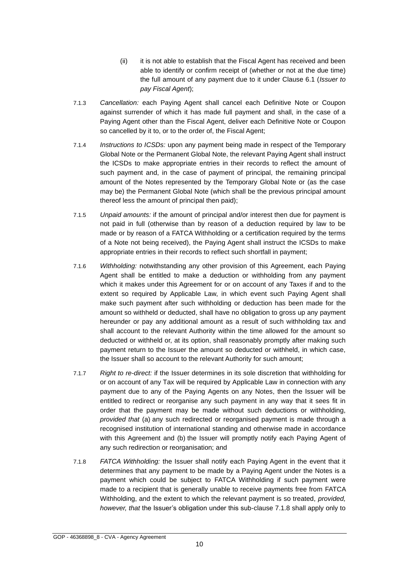- (ii) it is not able to establish that the Fiscal Agent has received and been able to identify or confirm receipt of (whether or not at the due time) the full amount of any payment due to it under Clause 6.1 (*Issuer to pay Fiscal Agent*);
- 7.1.3 *Cancellation:* each Paying Agent shall cancel each Definitive Note or Coupon against surrender of which it has made full payment and shall, in the case of a Paying Agent other than the Fiscal Agent, deliver each Definitive Note or Coupon so cancelled by it to, or to the order of, the Fiscal Agent;
- 7.1.4 *Instructions to ICSDs:* upon any payment being made in respect of the Temporary Global Note or the Permanent Global Note, the relevant Paying Agent shall instruct the ICSDs to make appropriate entries in their records to reflect the amount of such payment and, in the case of payment of principal, the remaining principal amount of the Notes represented by the Temporary Global Note or (as the case may be) the Permanent Global Note (which shall be the previous principal amount thereof less the amount of principal then paid);
- 7.1.5 *Unpaid amounts:* if the amount of principal and/or interest then due for payment is not paid in full (otherwise than by reason of a deduction required by law to be made or by reason of a FATCA Withholding or a certification required by the terms of a Note not being received), the Paying Agent shall instruct the ICSDs to make appropriate entries in their records to reflect such shortfall in payment;
- 7.1.6 *Withholding:* notwithstanding any other provision of this Agreement, each Paying Agent shall be entitled to make a deduction or withholding from any payment which it makes under this Agreement for or on account of any Taxes if and to the extent so required by Applicable Law, in which event such Paying Agent shall make such payment after such withholding or deduction has been made for the amount so withheld or deducted, shall have no obligation to gross up any payment hereunder or pay any additional amount as a result of such withholding tax and shall account to the relevant Authority within the time allowed for the amount so deducted or withheld or, at its option, shall reasonably promptly after making such payment return to the Issuer the amount so deducted or withheld, in which case, the Issuer shall so account to the relevant Authority for such amount;
- 7.1.7 *Right to re-direct:* if the Issuer determines in its sole discretion that withholding for or on account of any Tax will be required by Applicable Law in connection with any payment due to any of the Paying Agents on any Notes, then the Issuer will be entitled to redirect or reorganise any such payment in any way that it sees fit in order that the payment may be made without such deductions or withholding, *provided that* (a) any such redirected or reorganised payment is made through a recognised institution of international standing and otherwise made in accordance with this Agreement and (b) the Issuer will promptly notify each Paying Agent of any such redirection or reorganisation; and
- 7.1.8 *FATCA Withholding:* the Issuer shall notify each Paying Agent in the event that it determines that any payment to be made by a Paying Agent under the Notes is a payment which could be subject to FATCA Withholding if such payment were made to a recipient that is generally unable to receive payments free from FATCA Withholding, and the extent to which the relevant payment is so treated, *provided, however, that* the Issuer's obligation under this sub-clause 7.1.8 shall apply only to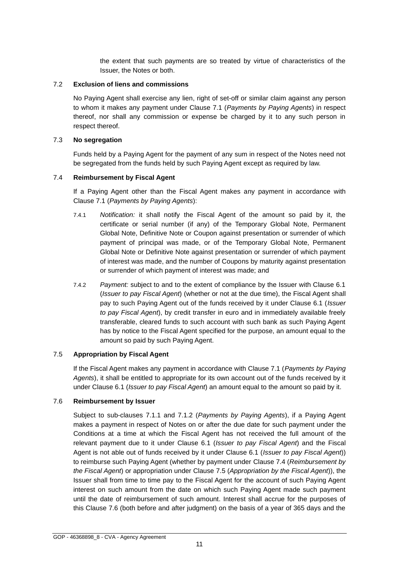the extent that such payments are so treated by virtue of characteristics of the Issuer, the Notes or both.

#### 7.2 **Exclusion of liens and commissions**

No Paying Agent shall exercise any lien, right of set-off or similar claim against any person to whom it makes any payment under Clause 7.1 (*Payments by Paying Agents*) in respect thereof, nor shall any commission or expense be charged by it to any such person in respect thereof.

## 7.3 **No segregation**

Funds held by a Paying Agent for the payment of any sum in respect of the Notes need not be segregated from the funds held by such Paying Agent except as required by law.

## 7.4 **Reimbursement by Fiscal Agent**

If a Paying Agent other than the Fiscal Agent makes any payment in accordance with Clause 7.1 (*Payments by Paying Agents*):

- 7.4.1 *Notification:* it shall notify the Fiscal Agent of the amount so paid by it, the certificate or serial number (if any) of the Temporary Global Note, Permanent Global Note, Definitive Note or Coupon against presentation or surrender of which payment of principal was made, or of the Temporary Global Note, Permanent Global Note or Definitive Note against presentation or surrender of which payment of interest was made, and the number of Coupons by maturity against presentation or surrender of which payment of interest was made; and
- 7.4.2 *Payment:* subject to and to the extent of compliance by the Issuer with Clause 6.1 (*Issuer to pay Fiscal Agent*) (whether or not at the due time), the Fiscal Agent shall pay to such Paying Agent out of the funds received by it under Clause 6.1 (*Issuer to pay Fiscal Agent*), by credit transfer in euro and in immediately available freely transferable, cleared funds to such account with such bank as such Paying Agent has by notice to the Fiscal Agent specified for the purpose, an amount equal to the amount so paid by such Paying Agent.

## 7.5 **Appropriation by Fiscal Agent**

If the Fiscal Agent makes any payment in accordance with Clause 7.1 (*Payments by Paying Agents*), it shall be entitled to appropriate for its own account out of the funds received by it under Clause 6.1 (*Issuer to pay Fiscal Agent*) an amount equal to the amount so paid by it.

#### 7.6 **Reimbursement by Issuer**

Subject to sub-clauses 7.1.1 and 7.1.2 (*Payments by Paying Agents*), if a Paying Agent makes a payment in respect of Notes on or after the due date for such payment under the Conditions at a time at which the Fiscal Agent has not received the full amount of the relevant payment due to it under Clause 6.1 (*Issuer to pay Fiscal Agent*) and the Fiscal Agent is not able out of funds received by it under Clause 6.1 (*Issuer to pay Fiscal Agent*)) to reimburse such Paying Agent (whether by payment under Clause 7.4 (*Reimbursement by the Fiscal Agent*) or appropriation under Clause 7.5 (*Appropriation by the Fiscal Agent*)), the Issuer shall from time to time pay to the Fiscal Agent for the account of such Paying Agent interest on such amount from the date on which such Paying Agent made such payment until the date of reimbursement of such amount. Interest shall accrue for the purposes of this Clause 7.6 (both before and after judgment) on the basis of a year of 365 days and the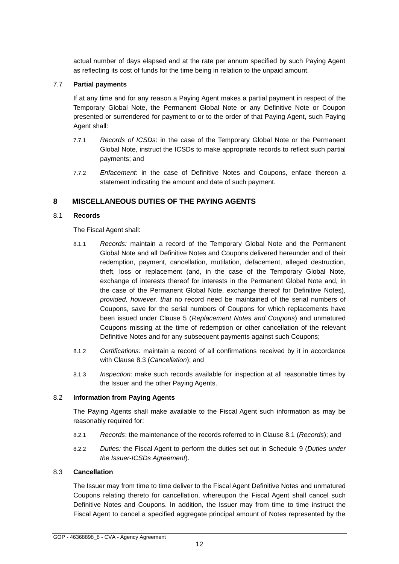actual number of days elapsed and at the rate per annum specified by such Paying Agent as reflecting its cost of funds for the time being in relation to the unpaid amount.

## 7.7 **Partial payments**

If at any time and for any reason a Paying Agent makes a partial payment in respect of the Temporary Global Note, the Permanent Global Note or any Definitive Note or Coupon presented or surrendered for payment to or to the order of that Paying Agent, such Paying Agent shall:

- 7.7.1 *Records of ICSDs*: in the case of the Temporary Global Note or the Permanent Global Note, instruct the ICSDs to make appropriate records to reflect such partial payments; and
- 7.7.2 *Enfacement*: in the case of Definitive Notes and Coupons, enface thereon a statement indicating the amount and date of such payment.

# <span id="page-13-0"></span>**8 MISCELLANEOUS DUTIES OF THE PAYING AGENTS**

### 8.1 **Records**

The Fiscal Agent shall:

- 8.1.1 *Records:* maintain a record of the Temporary Global Note and the Permanent Global Note and all Definitive Notes and Coupons delivered hereunder and of their redemption, payment, cancellation, mutilation, defacement, alleged destruction, theft, loss or replacement (and, in the case of the Temporary Global Note, exchange of interests thereof for interests in the Permanent Global Note and, in the case of the Permanent Global Note, exchange thereof for Definitive Notes), *provided, however, that* no record need be maintained of the serial numbers of Coupons, save for the serial numbers of Coupons for which replacements have been issued under Clause 5 (*Replacement Notes and Coupons*) and unmatured Coupons missing at the time of redemption or other cancellation of the relevant Definitive Notes and for any subsequent payments against such Coupons;
- 8.1.2 *Certifications:* maintain a record of all confirmations received by it in accordance with Clause 8.3 (*Cancellation*); and
- 8.1.3 *Inspection:* make such records available for inspection at all reasonable times by the Issuer and the other Paying Agents.

#### 8.2 **Information from Paying Agents**

The Paying Agents shall make available to the Fiscal Agent such information as may be reasonably required for:

- 8.2.1 *Records*: the maintenance of the records referred to in Clause 8.1 (*Records*); and
- 8.2.2 *Duties:* the Fiscal Agent to perform the duties set out in Schedule 9 (*Duties under the Issuer-ICSDs Agreement*).

#### 8.3 **Cancellation**

The Issuer may from time to time deliver to the Fiscal Agent Definitive Notes and unmatured Coupons relating thereto for cancellation, whereupon the Fiscal Agent shall cancel such Definitive Notes and Coupons. In addition, the Issuer may from time to time instruct the Fiscal Agent to cancel a specified aggregate principal amount of Notes represented by the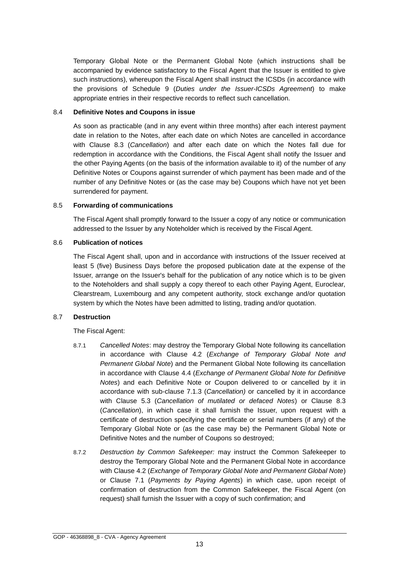Temporary Global Note or the Permanent Global Note (which instructions shall be accompanied by evidence satisfactory to the Fiscal Agent that the Issuer is entitled to give such instructions), whereupon the Fiscal Agent shall instruct the ICSDs (in accordance with the provisions of Schedule 9 (*Duties under the Issuer-ICSDs Agreement*) to make appropriate entries in their respective records to reflect such cancellation.

#### 8.4 **Definitive Notes and Coupons in issue**

As soon as practicable (and in any event within three months) after each interest payment date in relation to the Notes, after each date on which Notes are cancelled in accordance with Clause 8.3 (*Cancellation*) and after each date on which the Notes fall due for redemption in accordance with the Conditions, the Fiscal Agent shall notify the Issuer and the other Paying Agents (on the basis of the information available to it) of the number of any Definitive Notes or Coupons against surrender of which payment has been made and of the number of any Definitive Notes or (as the case may be) Coupons which have not yet been surrendered for payment.

## 8.5 **Forwarding of communications**

The Fiscal Agent shall promptly forward to the Issuer a copy of any notice or communication addressed to the Issuer by any Noteholder which is received by the Fiscal Agent.

## 8.6 **Publication of notices**

The Fiscal Agent shall, upon and in accordance with instructions of the Issuer received at least 5 (five) Business Days before the proposed publication date at the expense of the Issuer, arrange on the Issuer's behalf for the publication of any notice which is to be given to the Noteholders and shall supply a copy thereof to each other Paying Agent, Euroclear, Clearstream, Luxembourg and any competent authority, stock exchange and/or quotation system by which the Notes have been admitted to listing, trading and/or quotation.

#### 8.7 **Destruction**

The Fiscal Agent:

- 8.7.1 *Cancelled Notes*: may destroy the Temporary Global Note following its cancellation in accordance with Clause 4.2 (*Exchange of Temporary Global Note and Permanent Global Note*) and the Permanent Global Note following its cancellation in accordance with Clause 4.4 (*Exchange of Permanent Global Note for Definitive Notes*) and each Definitive Note or Coupon delivered to or cancelled by it in accordance with sub-clause 7.1.3 (*Cancellation)* or cancelled by it in accordance with Clause 5.3 (*Cancellation of mutilated or defaced Notes*) or Clause 8.3 (*Cancellation*), in which case it shall furnish the Issuer, upon request with a certificate of destruction specifying the certificate or serial numbers (if any) of the Temporary Global Note or (as the case may be) the Permanent Global Note or Definitive Notes and the number of Coupons so destroyed;
- 8.7.2 *Destruction by Common Safekeeper:* may instruct the Common Safekeeper to destroy the Temporary Global Note and the Permanent Global Note in accordance with Clause 4.2 (*Exchange of Temporary Global Note and Permanent Global Note*) or Clause 7.1 (*Payments by Paying Agents*) in which case, upon receipt of confirmation of destruction from the Common Safekeeper, the Fiscal Agent (on request) shall furnish the Issuer with a copy of such confirmation; and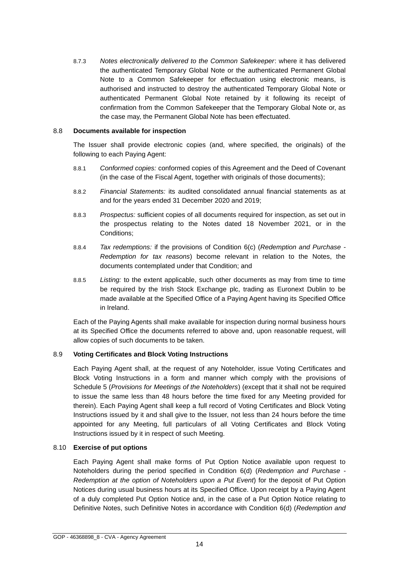8.7.3 *Notes electronically delivered to the Common Safekeeper*: where it has delivered the authenticated Temporary Global Note or the authenticated Permanent Global Note to a Common Safekeeper for effectuation using electronic means, is authorised and instructed to destroy the authenticated Temporary Global Note or authenticated Permanent Global Note retained by it following its receipt of confirmation from the Common Safekeeper that the Temporary Global Note or, as the case may, the Permanent Global Note has been effectuated.

#### 8.8 **Documents available for inspection**

The Issuer shall provide electronic copies (and, where specified, the originals) of the following to each Paying Agent:

- 8.8.1 *Conformed copies:* conformed copies of this Agreement and the Deed of Covenant (in the case of the Fiscal Agent, together with originals of those documents);
- 8.8.2 *Financial Statements:* its audited consolidated annual financial statements as at and for the years ended 31 December 2020 and 2019;
- 8.8.3 *Prospectus:* sufficient copies of all documents required for inspection, as set out in the prospectus relating to the Notes dated 18 November 2021, or in the Conditions;
- 8.8.4 *Tax redemptions:* if the provisions of Condition 6(c) (*Redemption and Purchase - Redemption for tax reasons*) become relevant in relation to the Notes, the documents contemplated under that Condition; and
- 8.8.5 *Listing:* to the extent applicable, such other documents as may from time to time be required by the Irish Stock Exchange plc, trading as Euronext Dublin to be made available at the Specified Office of a Paying Agent having its Specified Office in Ireland.

Each of the Paying Agents shall make available for inspection during normal business hours at its Specified Office the documents referred to above and, upon reasonable request, will allow copies of such documents to be taken.

## 8.9 **Voting Certificates and Block Voting Instructions**

Each Paying Agent shall, at the request of any Noteholder, issue Voting Certificates and Block Voting Instructions in a form and manner which comply with the provisions of Schedule 5 (*Provisions for Meetings of the Noteholders*) (except that it shall not be required to issue the same less than 48 hours before the time fixed for any Meeting provided for therein). Each Paying Agent shall keep a full record of Voting Certificates and Block Voting Instructions issued by it and shall give to the Issuer, not less than 24 hours before the time appointed for any Meeting, full particulars of all Voting Certificates and Block Voting Instructions issued by it in respect of such Meeting.

## 8.10 **Exercise of put options**

Each Paying Agent shall make forms of Put Option Notice available upon request to Noteholders during the period specified in Condition 6(d) (*Redemption and Purchase - Redemption at the option of Noteholders upon a Put Event*) for the deposit of Put Option Notices during usual business hours at its Specified Office. Upon receipt by a Paying Agent of a duly completed Put Option Notice and, in the case of a Put Option Notice relating to Definitive Notes, such Definitive Notes in accordance with Condition 6(d) (*Redemption and*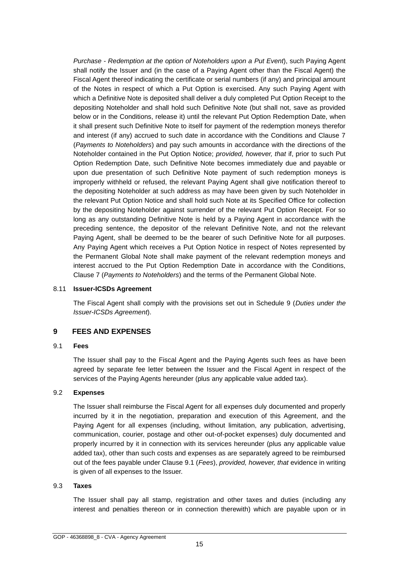*Purchase - Redemption at the option of Noteholders upon a Put Event*), such Paying Agent shall notify the Issuer and (in the case of a Paying Agent other than the Fiscal Agent) the Fiscal Agent thereof indicating the certificate or serial numbers (if any) and principal amount of the Notes in respect of which a Put Option is exercised. Any such Paying Agent with which a Definitive Note is deposited shall deliver a duly completed Put Option Receipt to the depositing Noteholder and shall hold such Definitive Note (but shall not, save as provided below or in the Conditions, release it) until the relevant Put Option Redemption Date, when it shall present such Definitive Note to itself for payment of the redemption moneys therefor and interest (if any) accrued to such date in accordance with the Conditions and Clause 7 (*Payments to Noteholders*) and pay such amounts in accordance with the directions of the Noteholder contained in the Put Option Notice; *provided, however, that* if, prior to such Put Option Redemption Date, such Definitive Note becomes immediately due and payable or upon due presentation of such Definitive Note payment of such redemption moneys is improperly withheld or refused, the relevant Paying Agent shall give notification thereof to the depositing Noteholder at such address as may have been given by such Noteholder in the relevant Put Option Notice and shall hold such Note at its Specified Office for collection by the depositing Noteholder against surrender of the relevant Put Option Receipt. For so long as any outstanding Definitive Note is held by a Paying Agent in accordance with the preceding sentence, the depositor of the relevant Definitive Note, and not the relevant Paying Agent, shall be deemed to be the bearer of such Definitive Note for all purposes. Any Paying Agent which receives a Put Option Notice in respect of Notes represented by the Permanent Global Note shall make payment of the relevant redemption moneys and interest accrued to the Put Option Redemption Date in accordance with the Conditions, Clause 7 (*Payments to Noteholders*) and the terms of the Permanent Global Note.

#### 8.11 **Issuer-ICSDs Agreement**

The Fiscal Agent shall comply with the provisions set out in Schedule 9 (*Duties under the Issuer-ICSDs Agreement*).

## <span id="page-16-0"></span>**9 FEES AND EXPENSES**

#### 9.1 **Fees**

The Issuer shall pay to the Fiscal Agent and the Paying Agents such fees as have been agreed by separate fee letter between the Issuer and the Fiscal Agent in respect of the services of the Paying Agents hereunder (plus any applicable value added tax).

#### 9.2 **Expenses**

The Issuer shall reimburse the Fiscal Agent for all expenses duly documented and properly incurred by it in the negotiation, preparation and execution of this Agreement, and the Paying Agent for all expenses (including, without limitation, any publication, advertising, communication, courier, postage and other out-of-pocket expenses) duly documented and properly incurred by it in connection with its services hereunder (plus any applicable value added tax), other than such costs and expenses as are separately agreed to be reimbursed out of the fees payable under Clause 9.1 (*Fees*), *provided, however, that* evidence in writing is given of all expenses to the Issuer.

#### 9.3 **Taxes**

The Issuer shall pay all stamp, registration and other taxes and duties (including any interest and penalties thereon or in connection therewith) which are payable upon or in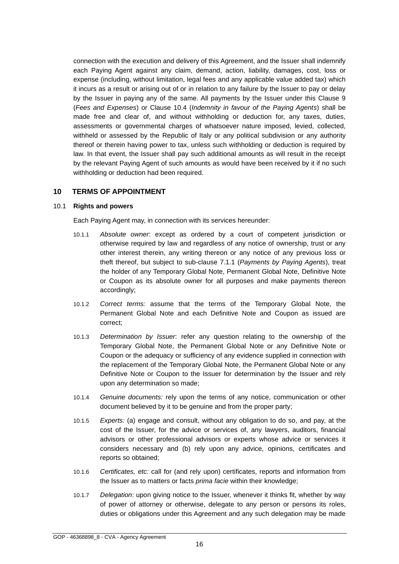connection with the execution and delivery of this Agreement, and the Issuer shall indemnify each Paying Agent against any claim, demand, action, liability, damages, cost, loss or expense (including, without limitation, legal fees and any applicable value added tax) which it incurs as a result or arising out of or in relation to any failure by the Issuer to pay or delay by the Issuer in paying any of the same. All payments by the Issuer under this Clause 9 (*Fees and Expenses*) or Clause 10.4 (*Indemnity in favour of the Paying Agents*) shall be made free and clear of, and without withholding or deduction for, any taxes, duties, assessments or governmental charges of whatsoever nature imposed, levied, collected, withheld or assessed by the Republic of Italy or any political subdivision or any authority thereof or therein having power to tax, unless such withholding or deduction is required by law. In that event, the Issuer shall pay such additional amounts as will result in the receipt by the relevant Paying Agent of such amounts as would have been received by it if no such withholding or deduction had been required.

## <span id="page-17-0"></span>**10 TERMS OF APPOINTMENT**

## 10.1 **Rights and powers**

Each Paying Agent may, in connection with its services hereunder:

- 10.1.1 *Absolute owner*: except as ordered by a court of competent jurisdiction or otherwise required by law and regardless of any notice of ownership, trust or any other interest therein, any writing thereon or any notice of any previous loss or theft thereof, but subject to sub-clause 7.1.1 (*Payments by Paying Agents*), treat the holder of any Temporary Global Note, Permanent Global Note, Definitive Note or Coupon as its absolute owner for all purposes and make payments thereon accordingly;
- 10.1.2 *Correct terms:* assume that the terms of the Temporary Global Note, the Permanent Global Note and each Definitive Note and Coupon as issued are correct;
- 10.1.3 *Determination by Issuer*: refer any question relating to the ownership of the Temporary Global Note, the Permanent Global Note or any Definitive Note or Coupon or the adequacy or sufficiency of any evidence supplied in connection with the replacement of the Temporary Global Note, the Permanent Global Note or any Definitive Note or Coupon to the Issuer for determination by the Issuer and rely upon any determination so made;
- 10.1.4 *Genuine documents:* rely upon the terms of any notice, communication or other document believed by it to be genuine and from the proper party;
- 10.1.5 *Experts:* (a) engage and consult, without any obligation to do so, and pay, at the cost of the Issuer, for the advice or services of, any lawyers, auditors, financial advisors or other professional advisors or experts whose advice or services it considers necessary and (b) rely upon any advice, opinions, certificates and reports so obtained;
- 10.1.6 *Certificates, etc:* call for (and rely upon) certificates, reports and information from the Issuer as to matters or facts *prima facie* within their knowledge;
- 10.1.7 *Delegation*: upon giving notice to the Issuer, whenever it thinks fit, whether by way of power of attorney or otherwise, delegate to any person or persons its roles, duties or obligations under this Agreement and any such delegation may be made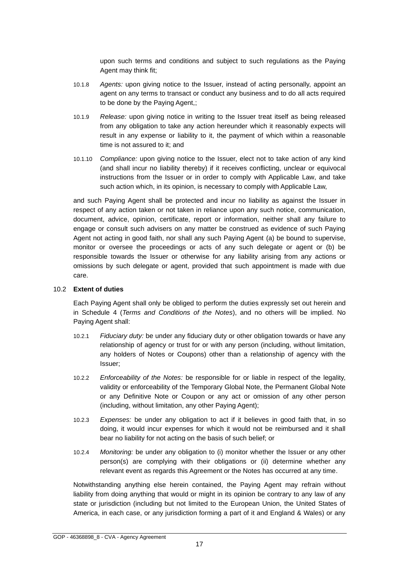upon such terms and conditions and subject to such regulations as the Paying Agent may think fit;

- 10.1.8 *Agents:* upon giving notice to the Issuer, instead of acting personally, appoint an agent on any terms to transact or conduct any business and to do all acts required to be done by the Paying Agent,;
- 10.1.9 *Release:* upon giving notice in writing to the Issuer treat itself as being released from any obligation to take any action hereunder which it reasonably expects will result in any expense or liability to it, the payment of which within a reasonable time is not assured to it; and
- 10.1.10 *Compliance:* upon giving notice to the Issuer, elect not to take action of any kind (and shall incur no liability thereby) if it receives conflicting, unclear or equivocal instructions from the Issuer or in order to comply with Applicable Law, and take such action which, in its opinion, is necessary to comply with Applicable Law,

and such Paying Agent shall be protected and incur no liability as against the Issuer in respect of any action taken or not taken in reliance upon any such notice, communication, document, advice, opinion, certificate, report or information, neither shall any failure to engage or consult such advisers on any matter be construed as evidence of such Paying Agent not acting in good faith, nor shall any such Paying Agent (a) be bound to supervise, monitor or oversee the proceedings or acts of any such delegate or agent or (b) be responsible towards the Issuer or otherwise for any liability arising from any actions or omissions by such delegate or agent, provided that such appointment is made with due care.

#### 10.2 **Extent of duties**

Each Paying Agent shall only be obliged to perform the duties expressly set out herein and in Schedule 4 (*Terms and Conditions of the Notes*), and no others will be implied. No Paying Agent shall:

- 10.2.1 *Fiduciary duty:* be under any fiduciary duty or other obligation towards or have any relationship of agency or trust for or with any person (including, without limitation, any holders of Notes or Coupons) other than a relationship of agency with the Issuer;
- 10.2.2 *Enforceability of the Notes:* be responsible for or liable in respect of the legality, validity or enforceability of the Temporary Global Note, the Permanent Global Note or any Definitive Note or Coupon or any act or omission of any other person (including, without limitation, any other Paying Agent);
- 10.2.3 *Expenses:* be under any obligation to act if it believes in good faith that, in so doing, it would incur expenses for which it would not be reimbursed and it shall bear no liability for not acting on the basis of such belief; or
- 10.2.4 *Monitoring:* be under any obligation to (i) monitor whether the Issuer or any other person(s) are complying with their obligations or (ii) determine whether any relevant event as regards this Agreement or the Notes has occurred at any time.

Notwithstanding anything else herein contained, the Paying Agent may refrain without liability from doing anything that would or might in its opinion be contrary to any law of any state or jurisdiction (including but not limited to the European Union, the United States of America, in each case, or any jurisdiction forming a part of it and England & Wales) or any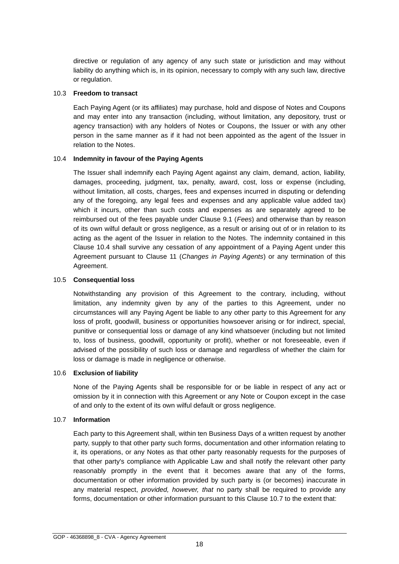directive or regulation of any agency of any such state or jurisdiction and may without liability do anything which is, in its opinion, necessary to comply with any such law, directive or regulation.

#### 10.3 **Freedom to transact**

Each Paying Agent (or its affiliates) may purchase, hold and dispose of Notes and Coupons and may enter into any transaction (including, without limitation, any depository, trust or agency transaction) with any holders of Notes or Coupons, the Issuer or with any other person in the same manner as if it had not been appointed as the agent of the Issuer in relation to the Notes.

#### 10.4 **Indemnity in favour of the Paying Agents**

The Issuer shall indemnify each Paying Agent against any claim, demand, action, liability, damages, proceeding, judgment, tax, penalty, award, cost, loss or expense (including, without limitation, all costs, charges, fees and expenses incurred in disputing or defending any of the foregoing, any legal fees and expenses and any applicable value added tax) which it incurs, other than such costs and expenses as are separately agreed to be reimbursed out of the fees payable under Clause 9.1 (*Fees*) and otherwise than by reason of its own wilful default or gross negligence, as a result or arising out of or in relation to its acting as the agent of the Issuer in relation to the Notes. The indemnity contained in this Clause 10.4 shall survive any cessation of any appointment of a Paying Agent under this Agreement pursuant to Clause 11 (*Changes in Paying Agents*) or any termination of this Agreement.

#### 10.5 **Consequential loss**

Notwithstanding any provision of this Agreement to the contrary, including, without limitation, any indemnity given by any of the parties to this Agreement, under no circumstances will any Paying Agent be liable to any other party to this Agreement for any loss of profit, goodwill, business or opportunities howsoever arising or for indirect, special, punitive or consequential loss or damage of any kind whatsoever (including but not limited to, loss of business, goodwill, opportunity or profit), whether or not foreseeable, even if advised of the possibility of such loss or damage and regardless of whether the claim for loss or damage is made in negligence or otherwise.

#### 10.6 **Exclusion of liability**

None of the Paying Agents shall be responsible for or be liable in respect of any act or omission by it in connection with this Agreement or any Note or Coupon except in the case of and only to the extent of its own wilful default or gross negligence.

#### 10.7 **Information**

Each party to this Agreement shall, within ten Business Days of a written request by another party, supply to that other party such forms, documentation and other information relating to it, its operations, or any Notes as that other party reasonably requests for the purposes of that other party's compliance with Applicable Law and shall notify the relevant other party reasonably promptly in the event that it becomes aware that any of the forms, documentation or other information provided by such party is (or becomes) inaccurate in any material respect, *provided, however, that* no party shall be required to provide any forms, documentation or other information pursuant to this Clause 10.7 to the extent that: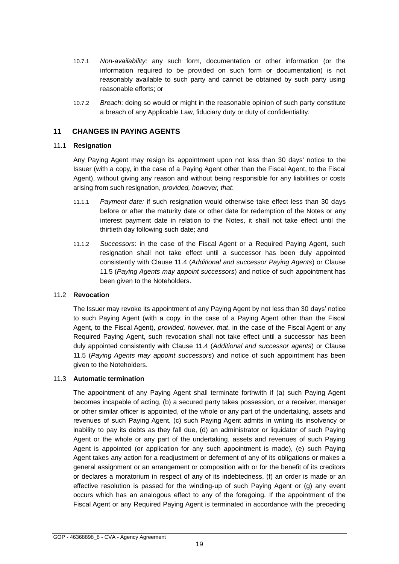- 10.7.1 *Non-availability:* any such form, documentation or other information (or the information required to be provided on such form or documentation) is not reasonably available to such party and cannot be obtained by such party using reasonable efforts; or
- 10.7.2 *Breach*: doing so would or might in the reasonable opinion of such party constitute a breach of any Applicable Law, fiduciary duty or duty of confidentiality.

## <span id="page-20-0"></span>**11 CHANGES IN PAYING AGENTS**

## 11.1 **Resignation**

Any Paying Agent may resign its appointment upon not less than 30 days' notice to the Issuer (with a copy, in the case of a Paying Agent other than the Fiscal Agent, to the Fiscal Agent), without giving any reason and without being responsible for any liabilities or costs arising from such resignation, *provided, however, that*:

- 11.1.1 *Payment date:* if such resignation would otherwise take effect less than 30 days before or after the maturity date or other date for redemption of the Notes or any interest payment date in relation to the Notes, it shall not take effect until the thirtieth day following such date; and
- 11.1.2 *Successors*: in the case of the Fiscal Agent or a Required Paying Agent, such resignation shall not take effect until a successor has been duly appointed consistently with Clause 11.4 (*Additional and successor Paying Agents*) or Clause 11.5 (*Paying Agents may appoint successors*) and notice of such appointment has been given to the Noteholders.

#### 11.2 **Revocation**

The Issuer may revoke its appointment of any Paying Agent by not less than 30 days' notice to such Paying Agent (with a copy, in the case of a Paying Agent other than the Fiscal Agent, to the Fiscal Agent), *provided, however, that*, in the case of the Fiscal Agent or any Required Paying Agent, such revocation shall not take effect until a successor has been duly appointed consistently with Clause 11.4 (*Additional and successor agents*) or Clause 11.5 (*Paying Agents may appoint successors*) and notice of such appointment has been given to the Noteholders.

## 11.3 **Automatic termination**

The appointment of any Paying Agent shall terminate forthwith if (a) such Paying Agent becomes incapable of acting, (b) a secured party takes possession, or a receiver, manager or other similar officer is appointed, of the whole or any part of the undertaking, assets and revenues of such Paying Agent, (c) such Paying Agent admits in writing its insolvency or inability to pay its debts as they fall due, (d) an administrator or liquidator of such Paying Agent or the whole or any part of the undertaking, assets and revenues of such Paying Agent is appointed (or application for any such appointment is made), (e) such Paying Agent takes any action for a readjustment or deferment of any of its obligations or makes a general assignment or an arrangement or composition with or for the benefit of its creditors or declares a moratorium in respect of any of its indebtedness, (f) an order is made or an effective resolution is passed for the winding-up of such Paying Agent or (g) any event occurs which has an analogous effect to any of the foregoing. If the appointment of the Fiscal Agent or any Required Paying Agent is terminated in accordance with the preceding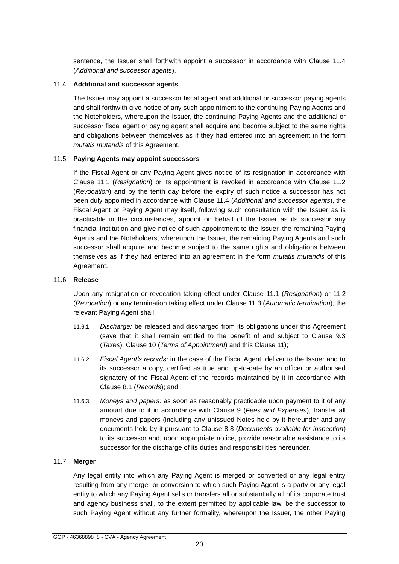sentence, the Issuer shall forthwith appoint a successor in accordance with Clause 11.4 (*Additional and successor agents*).

#### 11.4 **Additional and successor agents**

The Issuer may appoint a successor fiscal agent and additional or successor paying agents and shall forthwith give notice of any such appointment to the continuing Paying Agents and the Noteholders, whereupon the Issuer, the continuing Paying Agents and the additional or successor fiscal agent or paying agent shall acquire and become subject to the same rights and obligations between themselves as if they had entered into an agreement in the form *mutatis mutandis* of this Agreement.

## 11.5 **Paying Agents may appoint successors**

If the Fiscal Agent or any Paying Agent gives notice of its resignation in accordance with Clause 11.1 (*Resignation*) or its appointment is revoked in accordance with Clause 11.2 (*Revocation*) and by the tenth day before the expiry of such notice a successor has not been duly appointed in accordance with Clause 11.4 (*Additional and successor agents*), the Fiscal Agent or Paying Agent may itself, following such consultation with the Issuer as is practicable in the circumstances, appoint on behalf of the Issuer as its successor any financial institution and give notice of such appointment to the Issuer, the remaining Paying Agents and the Noteholders, whereupon the Issuer, the remaining Paying Agents and such successor shall acquire and become subject to the same rights and obligations between themselves as if they had entered into an agreement in the form *mutatis mutandis* of this Agreement.

#### 11.6 **Release**

Upon any resignation or revocation taking effect under Clause 11.1 (*Resignation*) or 11.2 (*Revocation*) or any termination taking effect under Clause 11.3 (*Automatic termination*), the relevant Paying Agent shall:

- 11.6.1 *Discharge:* be released and discharged from its obligations under this Agreement (save that it shall remain entitled to the benefit of and subject to Clause 9.3 (*Taxes*), Clause 10 (*Terms of Appointment*) and this Clause 11);
- 11.6.2 *Fiscal Agent's records:* in the case of the Fiscal Agent, deliver to the Issuer and to its successor a copy, certified as true and up-to-date by an officer or authorised signatory of the Fiscal Agent of the records maintained by it in accordance with Clause 8.1 (*Records*); and
- 11.6.3 *Moneys and papers:* as soon as reasonably practicable upon payment to it of any amount due to it in accordance with Clause 9 (*Fees and Expenses*), transfer all moneys and papers (including any unissued Notes held by it hereunder and any documents held by it pursuant to Clause 8.8 (*Documents available for inspection*) to its successor and, upon appropriate notice, provide reasonable assistance to its successor for the discharge of its duties and responsibilities hereunder.

## 11.7 **Merger**

Any legal entity into which any Paying Agent is merged or converted or any legal entity resulting from any merger or conversion to which such Paying Agent is a party or any legal entity to which any Paying Agent sells or transfers all or substantially all of its corporate trust and agency business shall, to the extent permitted by applicable law, be the successor to such Paying Agent without any further formality, whereupon the Issuer, the other Paying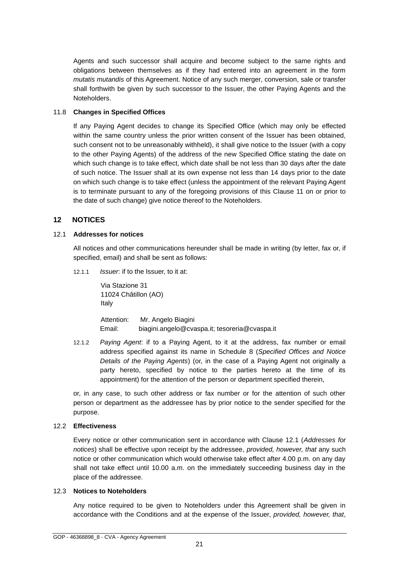Agents and such successor shall acquire and become subject to the same rights and obligations between themselves as if they had entered into an agreement in the form *mutatis mutandis* of this Agreement. Notice of any such merger, conversion, sale or transfer shall forthwith be given by such successor to the Issuer, the other Paying Agents and the Noteholders.

## 11.8 **Changes in Specified Offices**

If any Paying Agent decides to change its Specified Office (which may only be effected within the same country unless the prior written consent of the Issuer has been obtained, such consent not to be unreasonably withheld), it shall give notice to the Issuer (with a copy to the other Paying Agents) of the address of the new Specified Office stating the date on which such change is to take effect, which date shall be not less than 30 days after the date of such notice. The Issuer shall at its own expense not less than 14 days prior to the date on which such change is to take effect (unless the appointment of the relevant Paying Agent is to terminate pursuant to any of the foregoing provisions of this Clause 11 on or prior to the date of such change) give notice thereof to the Noteholders.

## <span id="page-22-0"></span>**12 NOTICES**

#### 12.1 **Addresses for notices**

All notices and other communications hereunder shall be made in writing (by letter, fax or, if specified, email) and shall be sent as follows:

12.1.1 *Issuer*: if to the Issuer, to it at:

Via Stazione 31 11024 Châtillon (AO) Italy

Attention: Mr. Angelo Biagini Email: [biagini.angelo@cvaspa.it;](mailto:biagini.angelo@cvaspa.it) [tesoreria@cvaspa.it](mailto:tesoreria@cvaspa.it)

12.1.2 *Paying Agent*: if to a Paying Agent, to it at the address, fax number or email address specified against its name in Schedule 8 (*Specified Offices and Notice Details of the Paying Agents*) (or, in the case of a Paying Agent not originally a party hereto, specified by notice to the parties hereto at the time of its appointment) for the attention of the person or department specified therein,

or, in any case, to such other address or fax number or for the attention of such other person or department as the addressee has by prior notice to the sender specified for the purpose.

# 12.2 **Effectiveness**

Every notice or other communication sent in accordance with Clause 12.1 (*Addresses for notices*) shall be effective upon receipt by the addressee, *provided, however, that* any such notice or other communication which would otherwise take effect after 4.00 p.m. on any day shall not take effect until 10.00 a.m. on the immediately succeeding business day in the place of the addressee.

#### 12.3 **Notices to Noteholders**

Any notice required to be given to Noteholders under this Agreement shall be given in accordance with the Conditions and at the expense of the Issuer, *provided, however, that*,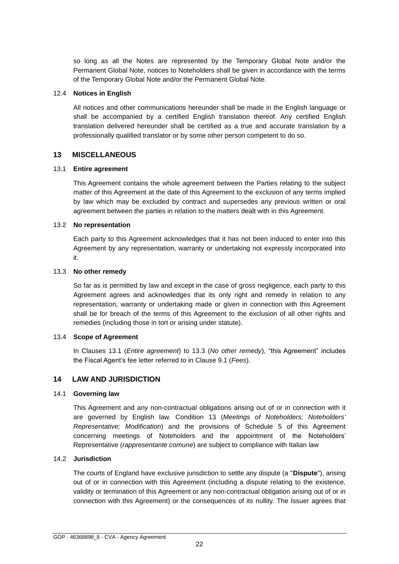so long as all the Notes are represented by the Temporary Global Note and/or the Permanent Global Note, notices to Noteholders shall be given in accordance with the terms of the Temporary Global Note and/or the Permanent Global Note.

#### 12.4 **Notices in English**

All notices and other communications hereunder shall be made in the English language or shall be accompanied by a certified English translation thereof. Any certified English translation delivered hereunder shall be certified as a true and accurate translation by a professionally qualified translator or by some other person competent to do so.

#### <span id="page-23-0"></span>**13 MISCELLANEOUS**

#### 13.1 **Entire agreement**

This Agreement contains the whole agreement between the Parties relating to the subject matter of this Agreement at the date of this Agreement to the exclusion of any terms implied by law which may be excluded by contract and supersedes any previous written or oral agreement between the parties in relation to the matters dealt with in this Agreement.

#### 13.2 **No representation**

Each party to this Agreement acknowledges that it has not been induced to enter into this Agreement by any representation, warranty or undertaking not expressly incorporated into it.

#### 13.3 **No other remedy**

So far as is permitted by law and except in the case of gross negligence, each party to this Agreement agrees and acknowledges that its only right and remedy in relation to any representation, warranty or undertaking made or given in connection with this Agreement shall be for breach of the terms of this Agreement to the exclusion of all other rights and remedies (including those in tort or arising under statute).

#### 13.4 **Scope of Agreement**

In Clauses 13.1 (*Entire agreement*) to 13.3 (*No other remedy*), "this Agreement" includes the Fiscal Agent's fee letter referred to in Clause 9.1 (*Fees*).

#### <span id="page-23-1"></span>**14 LAW AND JURISDICTION**

#### 14.1 **Governing law**

This Agreement and any non-contractual obligations arising out of or in connection with it are governed by English law. Condition 13 (*Meetings of Noteholders; Noteholders' Representative; Modification*) and the provisions of Schedule 5 of this Agreement concerning meetings of Noteholders and the appointment of the Noteholders' Representative (*rappresentante comune*) are subject to compliance with Italian law

#### 14.2 **Jurisdiction**

The courts of England have exclusive jurisdiction to settle any dispute (a "**Dispute**"), arising out of or in connection with this Agreement (including a dispute relating to the existence, validity or termination of this Agreement or any non-contractual obligation arising out of or in connection with this Agreement) or the consequences of its nullity. The Issuer agrees that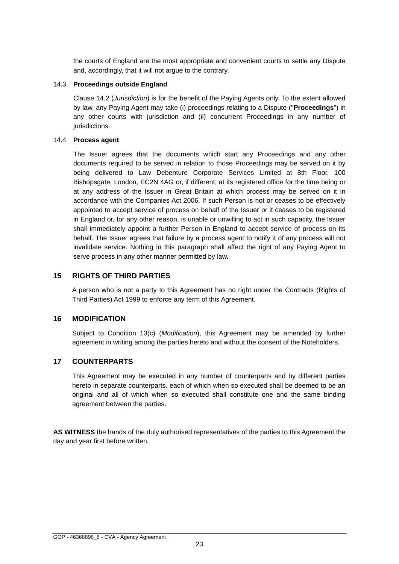the courts of England are the most appropriate and convenient courts to settle any Dispute and, accordingly, that it will not argue to the contrary.

#### 14.3 **Proceedings outside England**

Clause 14.2 (*Jurisdiction*) is for the benefit of the Paying Agents only. To the extent allowed by law, any Paying Agent may take (i) proceedings relating to a Dispute ("**Proceedings**") in any other courts with jurisdiction and (ii) concurrent Proceedings in any number of jurisdictions.

## 14.4 **Process agent**

The Issuer agrees that the documents which start any Proceedings and any other documents required to be served in relation to those Proceedings may be served on it by being delivered to Law Debenture Corporate Services Limited at 8th Floor, 100 Bishopsgate, London, EC2N 4AG or, if different, at its registered office for the time being or at any address of the Issuer in Great Britain at which process may be served on it in accordance with the Companies Act 2006. If such Person is not or ceases to be effectively appointed to accept service of process on behalf of the Issuer or it ceases to be registered in England or, for any other reason, is unable or unwilling to act in such capacity, the Issuer shall immediately appoint a further Person in England to accept service of process on its behalf. The Issuer agrees that failure by a process agent to notify it of any process will not invalidate service. Nothing in this paragraph shall affect the right of any Paying Agent to serve process in any other manner permitted by law.

## <span id="page-24-0"></span>**15 RIGHTS OF THIRD PARTIES**

A person who is not a party to this Agreement has no right under the Contracts (Rights of Third Parties) Act 1999 to enforce any term of this Agreement.

## <span id="page-24-1"></span>**16 MODIFICATION**

Subject to Condition 13(c) (*Modification*), this Agreement may be amended by further agreement in writing among the parties hereto and without the consent of the Noteholders.

## <span id="page-24-2"></span>**17 COUNTERPARTS**

This Agreement may be executed in any number of counterparts and by different parties hereto in separate counterparts, each of which when so executed shall be deemed to be an original and all of which when so executed shall constitute one and the same binding agreement between the parties.

**AS WITNESS** the hands of the duly authorised representatives of the parties to this Agreement the day and year first before written.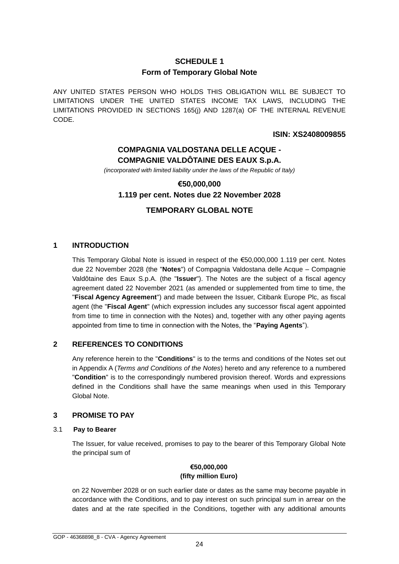# **SCHEDULE 1 Form of Temporary Global Note**

<span id="page-25-0"></span>ANY UNITED STATES PERSON WHO HOLDS THIS OBLIGATION WILL BE SUBJECT TO LIMITATIONS UNDER THE UNITED STATES INCOME TAX LAWS, INCLUDING THE LIMITATIONS PROVIDED IN SECTIONS 165(j) AND 1287(a) OF THE INTERNAL REVENUE CODE.

## **ISIN: XS2408009855**

# **COMPAGNIA VALDOSTANA DELLE ACQUE - COMPAGNIE VALDÔTAINE DES EAUX S.p.A.**

*(incorporated with limited liability under the laws of the Republic of Italy)*

# **€50,000,000 1.119 per cent. Notes due 22 November 2028**

# **TEMPORARY GLOBAL NOTE**

# **1 INTRODUCTION**

This Temporary Global Note is issued in respect of the €50,000,000 1.119 per cent. Notes due 22 November 2028 (the "**Notes**") of Compagnia Valdostana delle Acque – Compagnie Valdôtaine des Eaux S.p.A. (the "**Issuer**"). The Notes are the subject of a fiscal agency agreement dated 22 November 2021 (as amended or supplemented from time to time, the "**Fiscal Agency Agreement**") and made between the Issuer, Citibank Europe Plc, as fiscal agent (the "**Fiscal Agent**" (which expression includes any successor fiscal agent appointed from time to time in connection with the Notes) and, together with any other paying agents appointed from time to time in connection with the Notes, the "**Paying Agents**").

# **2 REFERENCES TO CONDITIONS**

Any reference herein to the "**Conditions**" is to the terms and conditions of the Notes set out in Appendix A (*Terms and Conditions of the Notes*) hereto and any reference to a numbered "**Condition**" is to the correspondingly numbered provision thereof. Words and expressions defined in the Conditions shall have the same meanings when used in this Temporary Global Note.

## **3 PROMISE TO PAY**

## 3.1 **Pay to Bearer**

The Issuer, for value received, promises to pay to the bearer of this Temporary Global Note the principal sum of

## **€50,000,000 (fifty million Euro)**

on 22 November 2028 or on such earlier date or dates as the same may become payable in accordance with the Conditions, and to pay interest on such principal sum in arrear on the dates and at the rate specified in the Conditions, together with any additional amounts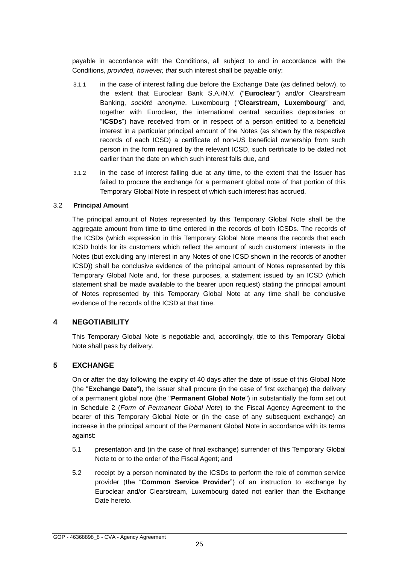payable in accordance with the Conditions, all subject to and in accordance with the Conditions, *provided, however, that* such interest shall be payable only:

- 3.1.1 in the case of interest falling due before the Exchange Date (as defined below), to the extent that Euroclear Bank S.A./N.V. ("**Euroclear**") and/or Clearstream Banking, *société anonyme*, Luxembourg ("**Clearstream, Luxembourg**" and, together with Euroclear, the international central securities depositaries or "**ICSDs**") have received from or in respect of a person entitled to a beneficial interest in a particular principal amount of the Notes (as shown by the respective records of each ICSD) a certificate of non-US beneficial ownership from such person in the form required by the relevant ICSD, such certificate to be dated not earlier than the date on which such interest falls due, and
- 3.1.2 in the case of interest falling due at any time, to the extent that the Issuer has failed to procure the exchange for a permanent global note of that portion of this Temporary Global Note in respect of which such interest has accrued.

#### 3.2 **Principal Amount**

The principal amount of Notes represented by this Temporary Global Note shall be the aggregate amount from time to time entered in the records of both ICSDs. The records of the ICSDs (which expression in this Temporary Global Note means the records that each ICSD holds for its customers which reflect the amount of such customers' interests in the Notes (but excluding any interest in any Notes of one ICSD shown in the records of another ICSD)) shall be conclusive evidence of the principal amount of Notes represented by this Temporary Global Note and, for these purposes, a statement issued by an ICSD (which statement shall be made available to the bearer upon request) stating the principal amount of Notes represented by this Temporary Global Note at any time shall be conclusive evidence of the records of the ICSD at that time.

## **4 NEGOTIABILITY**

This Temporary Global Note is negotiable and, accordingly, title to this Temporary Global Note shall pass by delivery.

## **5 EXCHANGE**

On or after the day following the expiry of 40 days after the date of issue of this Global Note (the "**Exchange Date**"), the Issuer shall procure (in the case of first exchange) the delivery of a permanent global note (the "**Permanent Global Note**") in substantially the form set out in Schedule 2 (*Form of Permanent Global Note*) to the Fiscal Agency Agreement to the bearer of this Temporary Global Note or (in the case of any subsequent exchange) an increase in the principal amount of the Permanent Global Note in accordance with its terms against:

- 5.1 presentation and (in the case of final exchange) surrender of this Temporary Global Note to or to the order of the Fiscal Agent; and
- 5.2 receipt by a person nominated by the ICSDs to perform the role of common service provider (the "**Common Service Provider**") of an instruction to exchange by Euroclear and/or Clearstream, Luxembourg dated not earlier than the Exchange Date hereto.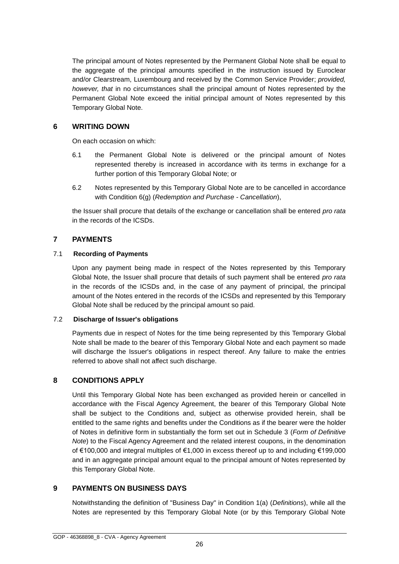The principal amount of Notes represented by the Permanent Global Note shall be equal to the aggregate of the principal amounts specified in the instruction issued by Euroclear and/or Clearstream, Luxembourg and received by the Common Service Provider; *provided, however, that* in no circumstances shall the principal amount of Notes represented by the Permanent Global Note exceed the initial principal amount of Notes represented by this Temporary Global Note.

## **6 WRITING DOWN**

On each occasion on which:

- 6.1 the Permanent Global Note is delivered or the principal amount of Notes represented thereby is increased in accordance with its terms in exchange for a further portion of this Temporary Global Note; or
- 6.2 Notes represented by this Temporary Global Note are to be cancelled in accordance with Condition 6(g) (*Redemption and Purchase - Cancellation*),

the Issuer shall procure that details of the exchange or cancellation shall be entered *pro rata* in the records of the ICSDs.

# **7 PAYMENTS**

## 7.1 **Recording of Payments**

Upon any payment being made in respect of the Notes represented by this Temporary Global Note, the Issuer shall procure that details of such payment shall be entered *pro rata* in the records of the ICSDs and, in the case of any payment of principal, the principal amount of the Notes entered in the records of the ICSDs and represented by this Temporary Global Note shall be reduced by the principal amount so paid.

## 7.2 **Discharge of Issuer's obligations**

Payments due in respect of Notes for the time being represented by this Temporary Global Note shall be made to the bearer of this Temporary Global Note and each payment so made will discharge the Issuer's obligations in respect thereof. Any failure to make the entries referred to above shall not affect such discharge.

## **8 CONDITIONS APPLY**

Until this Temporary Global Note has been exchanged as provided herein or cancelled in accordance with the Fiscal Agency Agreement, the bearer of this Temporary Global Note shall be subject to the Conditions and, subject as otherwise provided herein, shall be entitled to the same rights and benefits under the Conditions as if the bearer were the holder of Notes in definitive form in substantially the form set out in Schedule 3 (*Form of Definitive Note*) to the Fiscal Agency Agreement and the related interest coupons, in the denomination of €100,000 and integral multiples of €1,000 in excess thereof up to and including €199,000 and in an aggregate principal amount equal to the principal amount of Notes represented by this Temporary Global Note.

# **9 PAYMENTS ON BUSINESS DAYS**

Notwithstanding the definition of "Business Day" in Condition 1(a) (*Definitions*), while all the Notes are represented by this Temporary Global Note (or by this Temporary Global Note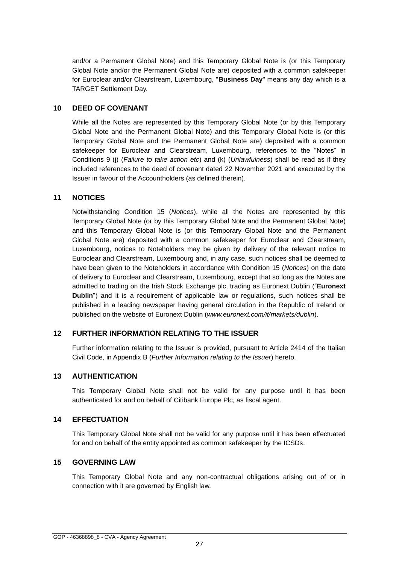and/or a Permanent Global Note) and this Temporary Global Note is (or this Temporary Global Note and/or the Permanent Global Note are) deposited with a common safekeeper for Euroclear and/or Clearstream, Luxembourg, "**Business Day**" means any day which is a TARGET Settlement Day.

## **10 DEED OF COVENANT**

While all the Notes are represented by this Temporary Global Note (or by this Temporary Global Note and the Permanent Global Note) and this Temporary Global Note is (or this Temporary Global Note and the Permanent Global Note are) deposited with a common safekeeper for Euroclear and Clearstream, Luxembourg, references to the "Notes" in Conditions 9 (j) (*Failure to take action etc*) and (k) (*Unlawfulness*) shall be read as if they included references to the deed of covenant dated 22 November 2021 and executed by the Issuer in favour of the Accountholders (as defined therein).

## **11 NOTICES**

Notwithstanding Condition 15 (*Notices*), while all the Notes are represented by this Temporary Global Note (or by this Temporary Global Note and the Permanent Global Note) and this Temporary Global Note is (or this Temporary Global Note and the Permanent Global Note are) deposited with a common safekeeper for Euroclear and Clearstream, Luxembourg, notices to Noteholders may be given by delivery of the relevant notice to Euroclear and Clearstream, Luxembourg and, in any case, such notices shall be deemed to have been given to the Noteholders in accordance with Condition 15 (*Notices*) on the date of delivery to Euroclear and Clearstream, Luxembourg, except that so long as the Notes are admitted to trading on the Irish Stock Exchange plc, trading as Euronext Dublin ("**Euronext Dublin**") and it is a requirement of applicable law or regulations, such notices shall be published in a leading newspaper having general circulation in the Republic of Ireland or published on the website of Euronext Dublin (*www.euronext.com/it/markets/dublin*).

## **12 FURTHER INFORMATION RELATING TO THE ISSUER**

Further information relating to the Issuer is provided, pursuant to Article 2414 of the Italian Civil Code, in Appendix B (*Further Information relating to the Issuer*) hereto.

## **13 AUTHENTICATION**

This Temporary Global Note shall not be valid for any purpose until it has been authenticated for and on behalf of Citibank Europe Plc, as fiscal agent.

## **14 EFFECTUATION**

This Temporary Global Note shall not be valid for any purpose until it has been effectuated for and on behalf of the entity appointed as common safekeeper by the ICSDs.

#### **15 GOVERNING LAW**

This Temporary Global Note and any non-contractual obligations arising out of or in connection with it are governed by English law.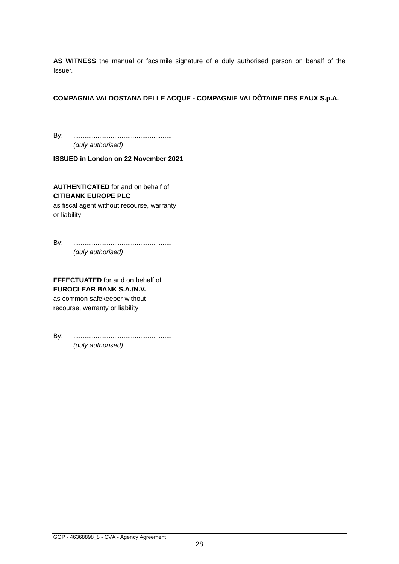**AS WITNESS** the manual or facsimile signature of a duly authorised person on behalf of the Issuer.

## **COMPAGNIA VALDOSTANA DELLE ACQUE - COMPAGNIE VALDÔTAINE DES EAUX S.p.A.**

By: ..................................................... *(duly authorised)*

**ISSUED in London on 22 November 2021**

**AUTHENTICATED** for and on behalf of **CITIBANK EUROPE PLC**

as fiscal agent without recourse, warranty or liability

By: ..................................................... *(duly authorised)*

**EFFECTUATED** for and on behalf of **EUROCLEAR BANK S.A./N.V.** as common safekeeper without recourse, warranty or liability

By: ..................................................... *(duly authorised)*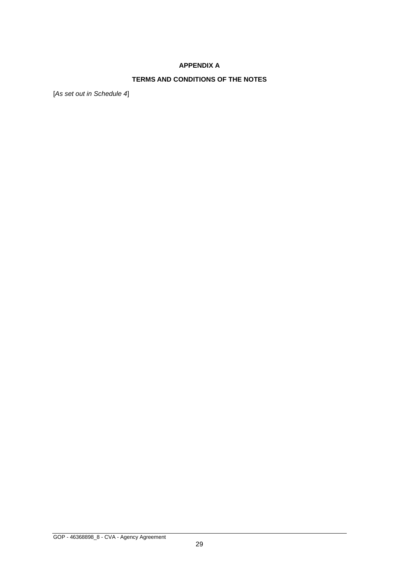# **APPENDIX A**

# **TERMS AND CONDITIONS OF THE NOTES**

[*As set out in Schedule 4*]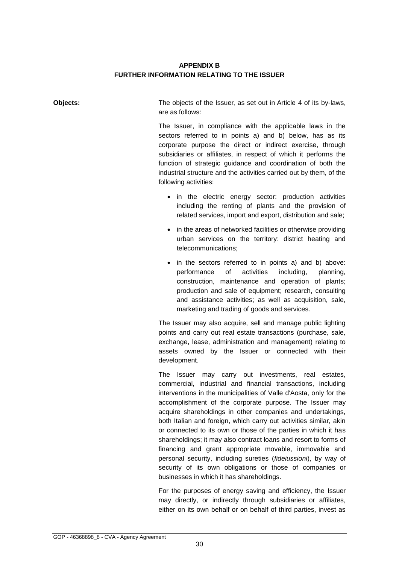# **APPENDIX B FURTHER INFORMATION RELATING TO THE ISSUER**

| Objects: | The objects of the Issuer, as set out in Article 4 of its by-laws,<br>are as follows:                                                                                                                                                                                                                                                                                                                                                                                                                                                                                                                                                                                                                                    |
|----------|--------------------------------------------------------------------------------------------------------------------------------------------------------------------------------------------------------------------------------------------------------------------------------------------------------------------------------------------------------------------------------------------------------------------------------------------------------------------------------------------------------------------------------------------------------------------------------------------------------------------------------------------------------------------------------------------------------------------------|
|          | The Issuer, in compliance with the applicable laws in the<br>sectors referred to in points a) and b) below, has as its<br>corporate purpose the direct or indirect exercise, through<br>subsidiaries or affiliates, in respect of which it performs the<br>function of strategic guidance and coordination of both the<br>industrial structure and the activities carried out by them, of the<br>following activities:                                                                                                                                                                                                                                                                                                   |
|          | • in the electric energy sector: production activities<br>including the renting of plants and the provision of<br>related services, import and export, distribution and sale;                                                                                                                                                                                                                                                                                                                                                                                                                                                                                                                                            |
|          | in the areas of networked facilities or otherwise providing<br>urban services on the territory: district heating and<br>telecommunications;                                                                                                                                                                                                                                                                                                                                                                                                                                                                                                                                                                              |
|          | in the sectors referred to in points a) and b) above:<br>of<br>activities<br>including,<br>performance<br>planning,<br>construction, maintenance and operation of plants;<br>production and sale of equipment; research, consulting<br>and assistance activities; as well as acquisition, sale,<br>marketing and trading of goods and services.                                                                                                                                                                                                                                                                                                                                                                          |
|          | The Issuer may also acquire, sell and manage public lighting<br>points and carry out real estate transactions (purchase, sale,<br>exchange, lease, administration and management) relating to<br>assets owned by the Issuer or connected with their<br>development.                                                                                                                                                                                                                                                                                                                                                                                                                                                      |
|          | The Issuer may carry out investments, real estates,<br>commercial, industrial and financial transactions, including<br>interventions in the municipalities of Valle d'Aosta, only for the<br>accomplishment of the corporate purpose. The Issuer may<br>acquire shareholdings in other companies and undertakings,<br>both Italian and foreign, which carry out activities similar, akin<br>or connected to its own or those of the parties in which it has<br>shareholdings; it may also contract loans and resort to forms of<br>financing and grant appropriate movable, immovable and<br>personal security, including sureties (fideiussioni), by way of<br>security of its own obligations or those of companies or |

For the purposes of energy saving and efficiency, the Issuer may directly, or indirectly through subsidiaries or affiliates, either on its own behalf or on behalf of third parties, invest as

businesses in which it has shareholdings.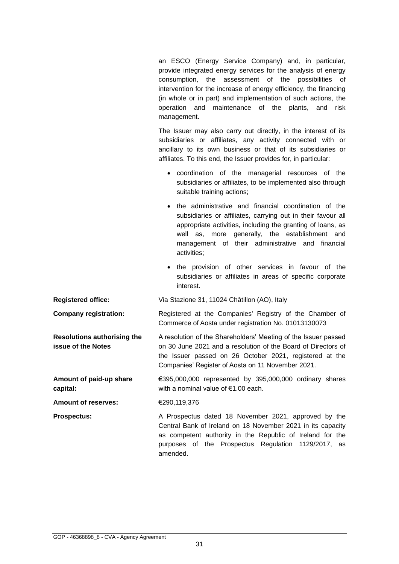an ESCO (Energy Service Company) and, in particular, provide integrated energy services for the analysis of energy consumption, the assessment of the possibilities of intervention for the increase of energy efficiency, the financing (in whole or in part) and implementation of such actions, the operation and maintenance of the plants, and risk management.

The Issuer may also carry out directly, in the interest of its subsidiaries or affiliates, any activity connected with or ancillary to its own business or that of its subsidiaries or affiliates. To this end, the Issuer provides for, in particular:

- coordination of the managerial resources of the subsidiaries or affiliates, to be implemented also through suitable training actions;
- the administrative and financial coordination of the subsidiaries or affiliates, carrying out in their favour all appropriate activities, including the granting of loans, as well as, more generally, the establishment and management of their administrative and financial activities;
- the provision of other services in favour of the subsidiaries or affiliates in areas of specific corporate interest.

**Registered office:** Via Stazione 31, 11024 Châtillon (AO), Italy

**Company registration:** Registered at the Companies' Registry of the Chamber of Commerce of Aosta under registration No. 01013130073

**Resolutions authorising the issue of the Notes** A resolution of the Shareholders' Meeting of the Issuer passed on 30 June 2021 and a resolution of the Board of Directors of the Issuer passed on 26 October 2021, registered at the Companies' Register of Aosta on 11 November 2021.

**Amount of paid-up share capital:**  €395,000,000 represented by 395,000,000 ordinary shares with a nominal value of €1.00 each.

**Amount of reserves:** €290,119,376

**Prospectus:** A Prospectus dated 18 November 2021, approved by the Central Bank of Ireland on 18 November 2021 in its capacity as competent authority in the Republic of Ireland for the purposes of the Prospectus Regulation 1129/2017, as amended.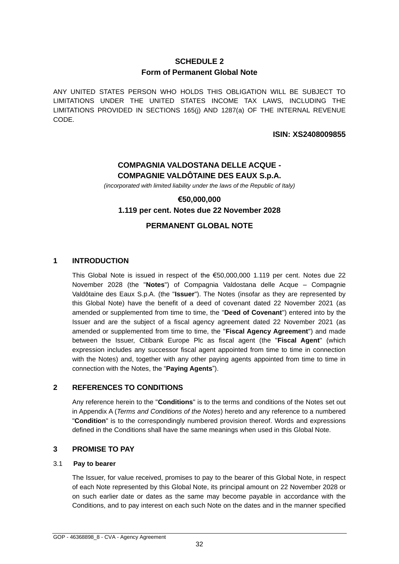# **SCHEDULE 2 Form of Permanent Global Note**

<span id="page-33-0"></span>ANY UNITED STATES PERSON WHO HOLDS THIS OBLIGATION WILL BE SUBJECT TO LIMITATIONS UNDER THE UNITED STATES INCOME TAX LAWS, INCLUDING THE LIMITATIONS PROVIDED IN SECTIONS 165(j) AND 1287(a) OF THE INTERNAL REVENUE CODE.

## **ISIN: XS2408009855**

# **COMPAGNIA VALDOSTANA DELLE ACQUE - COMPAGNIE VALDÔTAINE DES EAUX S.p.A.**

*(incorporated with limited liability under the laws of the Republic of Italy)*

# **€50,000,000 1.119 per cent. Notes due 22 November 2028**

# **PERMANENT GLOBAL NOTE**

## **1 INTRODUCTION**

This Global Note is issued in respect of the  $$50,000,000$  1.119 per cent. Notes due 22 November 2028 (the "**Notes**") of Compagnia Valdostana delle Acque – Compagnie Valdôtaine des Eaux S.p.A. (the "**Issuer**"). The Notes (insofar as they are represented by this Global Note) have the benefit of a deed of covenant dated 22 November 2021 (as amended or supplemented from time to time, the "**Deed of Covenant**") entered into by the Issuer and are the subject of a fiscal agency agreement dated 22 November 2021 (as amended or supplemented from time to time, the "**Fiscal Agency Agreement**") and made between the Issuer, Citibank Europe Plc as fiscal agent (the "**Fiscal Agent**" (which expression includes any successor fiscal agent appointed from time to time in connection with the Notes) and, together with any other paying agents appointed from time to time in connection with the Notes, the "**Paying Agents**").

## **2 REFERENCES TO CONDITIONS**

Any reference herein to the "**Conditions**" is to the terms and conditions of the Notes set out in Appendix A (*Terms and Conditions of the Notes*) hereto and any reference to a numbered "**Condition**" is to the correspondingly numbered provision thereof. Words and expressions defined in the Conditions shall have the same meanings when used in this Global Note.

#### **3 PROMISE TO PAY**

#### 3.1 **Pay to bearer**

The Issuer, for value received, promises to pay to the bearer of this Global Note, in respect of each Note represented by this Global Note, its principal amount on 22 November 2028 or on such earlier date or dates as the same may become payable in accordance with the Conditions, and to pay interest on each such Note on the dates and in the manner specified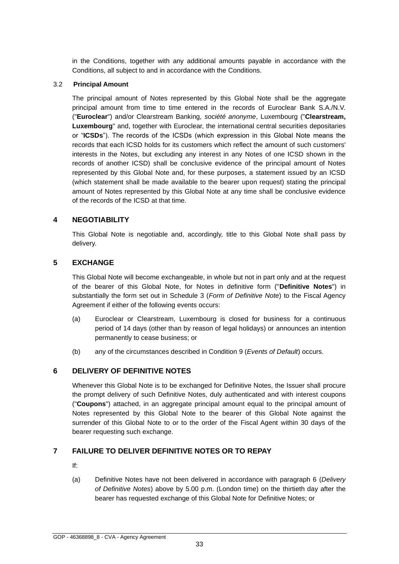in the Conditions, together with any additional amounts payable in accordance with the Conditions, all subject to and in accordance with the Conditions.

#### 3.2 **Principal Amount**

The principal amount of Notes represented by this Global Note shall be the aggregate principal amount from time to time entered in the records of Euroclear Bank S.A./N.V. ("**Euroclear**") and/or Clearstream Banking, *société anonyme*, Luxembourg ("**Clearstream, Luxembourg**" and, together with Euroclear, the international central securities depositaries or "**ICSDs**"). The records of the ICSDs (which expression in this Global Note means the records that each ICSD holds for its customers which reflect the amount of such customers' interests in the Notes, but excluding any interest in any Notes of one ICSD shown in the records of another ICSD) shall be conclusive evidence of the principal amount of Notes represented by this Global Note and, for these purposes, a statement issued by an ICSD (which statement shall be made available to the bearer upon request) stating the principal amount of Notes represented by this Global Note at any time shall be conclusive evidence of the records of the ICSD at that time.

## **4 NEGOTIABILITY**

This Global Note is negotiable and, accordingly, title to this Global Note shall pass by delivery.

# **5 EXCHANGE**

This Global Note will become exchangeable, in whole but not in part only and at the request of the bearer of this Global Note, for Notes in definitive form ("**Definitive Notes**") in substantially the form set out in Schedule 3 (*Form of Definitive Note*) to the Fiscal Agency Agreement if either of the following events occurs:

- (a) Euroclear or Clearstream, Luxembourg is closed for business for a continuous period of 14 days (other than by reason of legal holidays) or announces an intention permanently to cease business; or
- (b) any of the circumstances described in Condition 9 (*Events of Default*) occurs.

# **6 DELIVERY OF DEFINITIVE NOTES**

Whenever this Global Note is to be exchanged for Definitive Notes, the Issuer shall procure the prompt delivery of such Definitive Notes, duly authenticated and with interest coupons ("**Coupons**") attached, in an aggregate principal amount equal to the principal amount of Notes represented by this Global Note to the bearer of this Global Note against the surrender of this Global Note to or to the order of the Fiscal Agent within 30 days of the bearer requesting such exchange.

# **7 FAILURE TO DELIVER DEFINITIVE NOTES OR TO REPAY**

- If:
- (a) Definitive Notes have not been delivered in accordance with paragraph 6 (*Delivery of Definitive Notes*) above by 5.00 p.m. (London time) on the thirtieth day after the bearer has requested exchange of this Global Note for Definitive Notes; or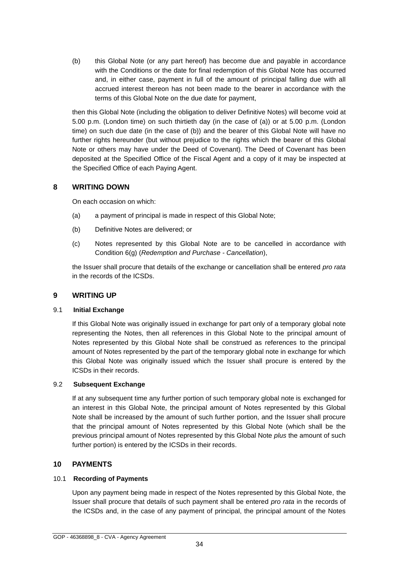(b) this Global Note (or any part hereof) has become due and payable in accordance with the Conditions or the date for final redemption of this Global Note has occurred and, in either case, payment in full of the amount of principal falling due with all accrued interest thereon has not been made to the bearer in accordance with the terms of this Global Note on the due date for payment,

then this Global Note (including the obligation to deliver Definitive Notes) will become void at 5.00 p.m. (London time) on such thirtieth day (in the case of (a)) or at 5.00 p.m. (London time) on such due date (in the case of (b)) and the bearer of this Global Note will have no further rights hereunder (but without prejudice to the rights which the bearer of this Global Note or others may have under the Deed of Covenant). The Deed of Covenant has been deposited at the Specified Office of the Fiscal Agent and a copy of it may be inspected at the Specified Office of each Paying Agent.

## **8 WRITING DOWN**

On each occasion on which:

- (a) a payment of principal is made in respect of this Global Note;
- (b) Definitive Notes are delivered; or
- (c) Notes represented by this Global Note are to be cancelled in accordance with Condition 6(g) (*Redemption and Purchase - Cancellation*),

the Issuer shall procure that details of the exchange or cancellation shall be entered *pro rata* in the records of the ICSDs.

## **9 WRITING UP**

#### 9.1 **Initial Exchange**

If this Global Note was originally issued in exchange for part only of a temporary global note representing the Notes, then all references in this Global Note to the principal amount of Notes represented by this Global Note shall be construed as references to the principal amount of Notes represented by the part of the temporary global note in exchange for which this Global Note was originally issued which the Issuer shall procure is entered by the ICSDs in their records.

#### 9.2 **Subsequent Exchange**

If at any subsequent time any further portion of such temporary global note is exchanged for an interest in this Global Note, the principal amount of Notes represented by this Global Note shall be increased by the amount of such further portion, and the Issuer shall procure that the principal amount of Notes represented by this Global Note (which shall be the previous principal amount of Notes represented by this Global Note *plus* the amount of such further portion) is entered by the ICSDs in their records.

## **10 PAYMENTS**

#### 10.1 **Recording of Payments**

Upon any payment being made in respect of the Notes represented by this Global Note, the Issuer shall procure that details of such payment shall be entered *pro rata* in the records of the ICSDs and, in the case of any payment of principal, the principal amount of the Notes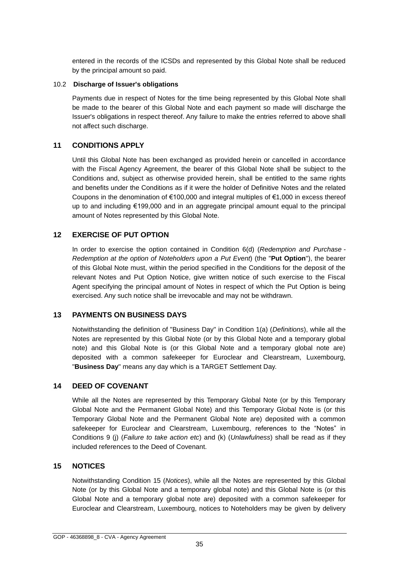entered in the records of the ICSDs and represented by this Global Note shall be reduced by the principal amount so paid.

#### 10.2 **Discharge of Issuer's obligations**

Payments due in respect of Notes for the time being represented by this Global Note shall be made to the bearer of this Global Note and each payment so made will discharge the Issuer's obligations in respect thereof. Any failure to make the entries referred to above shall not affect such discharge.

# **11 CONDITIONS APPLY**

Until this Global Note has been exchanged as provided herein or cancelled in accordance with the Fiscal Agency Agreement, the bearer of this Global Note shall be subject to the Conditions and, subject as otherwise provided herein, shall be entitled to the same rights and benefits under the Conditions as if it were the holder of Definitive Notes and the related Coupons in the denomination of €100,000 and integral multiples of €1,000 in excess thereof up to and including €199,000 and in an aggregate principal amount equal to the principal amount of Notes represented by this Global Note.

# **12 EXERCISE OF PUT OPTION**

In order to exercise the option contained in Condition 6(d) (*Redemption and Purchase - Redemption at the option of Noteholders upon a Put Event*) (the "**Put Option**"), the bearer of this Global Note must, within the period specified in the Conditions for the deposit of the relevant Notes and Put Option Notice, give written notice of such exercise to the Fiscal Agent specifying the principal amount of Notes in respect of which the Put Option is being exercised. Any such notice shall be irrevocable and may not be withdrawn.

## **13 PAYMENTS ON BUSINESS DAYS**

Notwithstanding the definition of "Business Day" in Condition 1(a) (*Definitions*), while all the Notes are represented by this Global Note (or by this Global Note and a temporary global note) and this Global Note is (or this Global Note and a temporary global note are) deposited with a common safekeeper for Euroclear and Clearstream, Luxembourg, "**Business Day**" means any day which is a TARGET Settlement Day.

# **14 DEED OF COVENANT**

While all the Notes are represented by this Temporary Global Note (or by this Temporary Global Note and the Permanent Global Note) and this Temporary Global Note is (or this Temporary Global Note and the Permanent Global Note are) deposited with a common safekeeper for Euroclear and Clearstream, Luxembourg, references to the "Notes" in Conditions 9 (j) (*Failure to take action etc*) and (k) (*Unlawfulness*) shall be read as if they included references to the Deed of Covenant.

## **15 NOTICES**

Notwithstanding Condition 15 (*Notices*), while all the Notes are represented by this Global Note (or by this Global Note and a temporary global note) and this Global Note is (or this Global Note and a temporary global note are) deposited with a common safekeeper for Euroclear and Clearstream, Luxembourg, notices to Noteholders may be given by delivery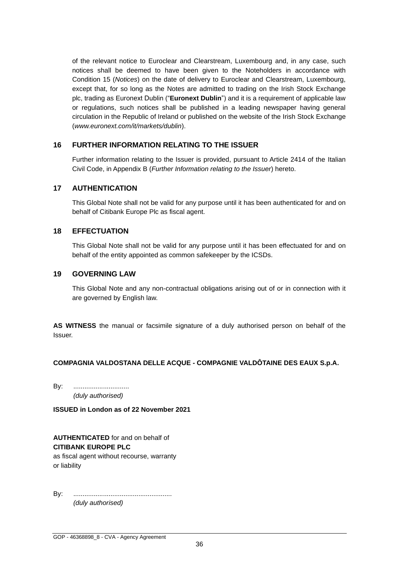of the relevant notice to Euroclear and Clearstream, Luxembourg and, in any case, such notices shall be deemed to have been given to the Noteholders in accordance with Condition 15 (*Notices*) on the date of delivery to Euroclear and Clearstream, Luxembourg, except that, for so long as the Notes are admitted to trading on the Irish Stock Exchange plc, trading as Euronext Dublin ("**Euronext Dublin**") and it is a requirement of applicable law or regulations, such notices shall be published in a leading newspaper having general circulation in the Republic of Ireland or published on the website of the Irish Stock Exchange (*www.euronext.com/it/markets/dublin*).

## **16 FURTHER INFORMATION RELATING TO THE ISSUER**

Further information relating to the Issuer is provided, pursuant to Article 2414 of the Italian Civil Code, in Appendix B (*Further Information relating to the Issuer*) hereto.

# **17 AUTHENTICATION**

This Global Note shall not be valid for any purpose until it has been authenticated for and on behalf of Citibank Europe Plc as fiscal agent.

# **18 EFFECTUATION**

This Global Note shall not be valid for any purpose until it has been effectuated for and on behalf of the entity appointed as common safekeeper by the ICSDs.

## **19 GOVERNING LAW**

This Global Note and any non-contractual obligations arising out of or in connection with it are governed by English law.

**AS WITNESS** the manual or facsimile signature of a duly authorised person on behalf of the Issuer.

## **COMPAGNIA VALDOSTANA DELLE ACQUE - COMPAGNIE VALDÔTAINE DES EAUX S.p.A.**

By: .................................. *(duly authorised)*

**ISSUED in London as of 22 November 2021**

**AUTHENTICATED** for and on behalf of **CITIBANK EUROPE PLC** as fiscal agent without recourse, warranty or liability

By: ..................................................... *(duly authorised)*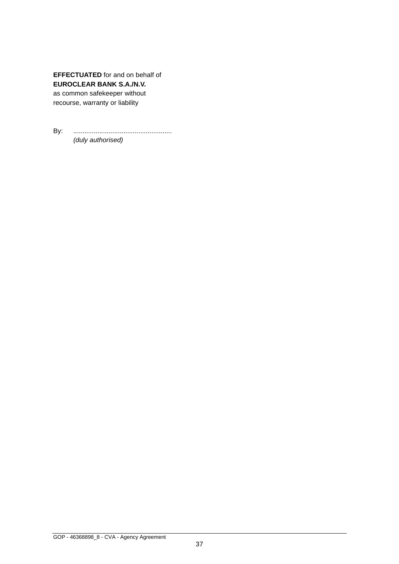**EFFECTUATED** for and on behalf of **EUROCLEAR BANK S.A./N.V.** as common safekeeper without recourse, warranty or liability

By: ..................................................... *(duly authorised)*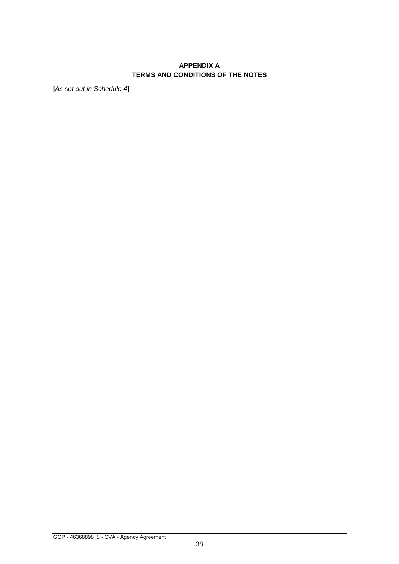# **APPENDIX A TERMS AND CONDITIONS OF THE NOTES**

[*As set out in Schedule 4*]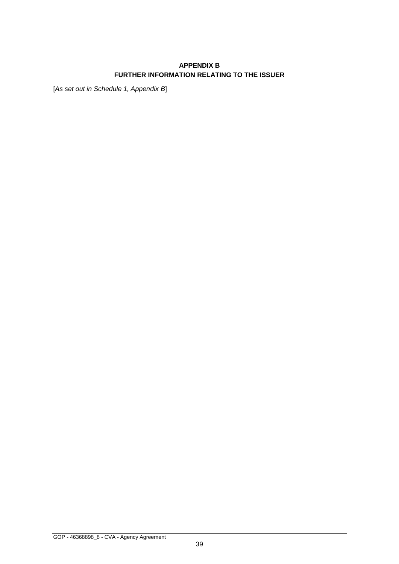# **APPENDIX B FURTHER INFORMATION RELATING TO THE ISSUER**

[*As set out in Schedule 1, Appendix B*]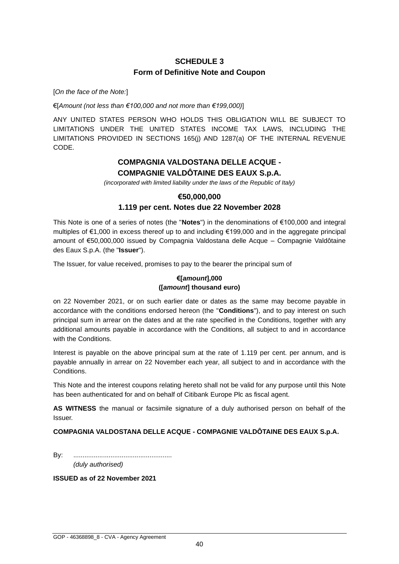# **SCHEDULE 3 Form of Definitive Note and Coupon**

[*On the face of the Note:*]

€[*Amount (not less than €100,000 and not more than €199,000)*]

ANY UNITED STATES PERSON WHO HOLDS THIS OBLIGATION WILL BE SUBJECT TO LIMITATIONS UNDER THE UNITED STATES INCOME TAX LAWS, INCLUDING THE LIMITATIONS PROVIDED IN SECTIONS 165(j) AND 1287(a) OF THE INTERNAL REVENUE CODE.

# **COMPAGNIA VALDOSTANA DELLE ACQUE - COMPAGNIE VALDÔTAINE DES EAUX S.p.A.**

*(incorporated with limited liability under the laws of the Republic of Italy)*

#### **€50,000,000**

## **1.119 per cent. Notes due 22 November 2028**

This Note is one of a series of notes (the "**Notes**") in the denominations of €100,000 and integral multiples of €1,000 in excess thereof up to and including €199,000 and in the aggregate principal amount of €50,000,000 issued by Compagnia Valdostana delle Acque – Compagnie Valdôtaine des Eaux S.p.A. (the "**Issuer**").

The Issuer, for value received, promises to pay to the bearer the principal sum of

## **€[***amount***],000 ([***amount***] thousand euro)**

on 22 November 2021, or on such earlier date or dates as the same may become payable in accordance with the conditions endorsed hereon (the "**Conditions**"), and to pay interest on such principal sum in arrear on the dates and at the rate specified in the Conditions, together with any additional amounts payable in accordance with the Conditions, all subject to and in accordance with the Conditions.

Interest is payable on the above principal sum at the rate of 1.119 per cent. per annum, and is payable annually in arrear on 22 November each year, all subject to and in accordance with the **Conditions** 

This Note and the interest coupons relating hereto shall not be valid for any purpose until this Note has been authenticated for and on behalf of Citibank Europe Plc as fiscal agent.

**AS WITNESS** the manual or facsimile signature of a duly authorised person on behalf of the Issuer.

## **COMPAGNIA VALDOSTANA DELLE ACQUE - COMPAGNIE VALDÔTAINE DES EAUX S.p.A.**

By: ..................................................... *(duly authorised)*

**ISSUED as of 22 November 2021**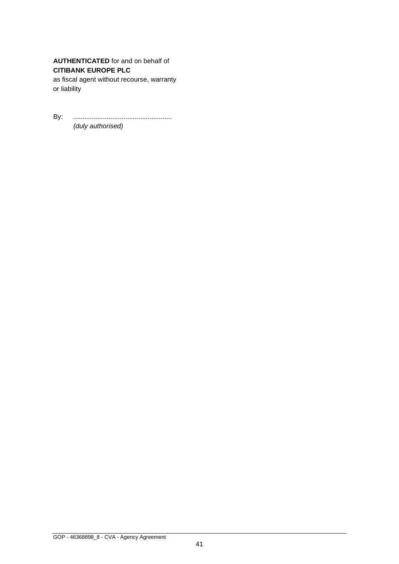**AUTHENTICATED** for and on behalf of **CITIBANK EUROPE PLC**

as fiscal agent without recourse, warranty or liability

By: ..................................................... *(duly authorised)*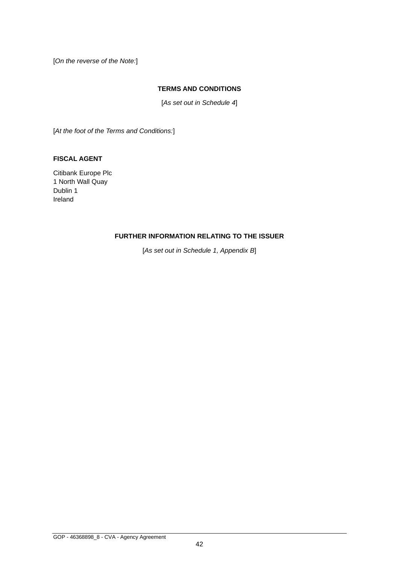[*On the reverse of the Note:*]

#### **TERMS AND CONDITIONS**

[*As set out in Schedule 4*]

[*At the foot of the Terms and Conditions:*]

#### **FISCAL AGENT**

Citibank Europe Plc 1 North Wall Quay Dublin 1 Ireland

## **FURTHER INFORMATION RELATING TO THE ISSUER**

[*As set out in Schedule 1, Appendix B*]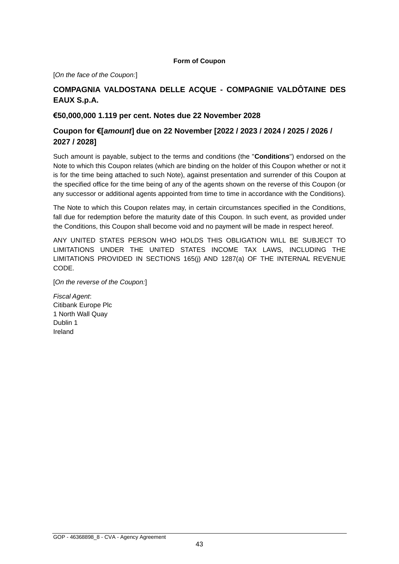#### **Form of Coupon**

[*On the face of the Coupon:*]

# **COMPAGNIA VALDOSTANA DELLE ACQUE - COMPAGNIE VALDÔTAINE DES EAUX S.p.A.**

## **€50,000,000 1.119 per cent. Notes due 22 November 2028**

# **Coupon for €[***amount***] due on 22 November [2022 / 2023 / 2024 / 2025 / 2026 / 2027 / 2028]**

Such amount is payable, subject to the terms and conditions (the "**Conditions**") endorsed on the Note to which this Coupon relates (which are binding on the holder of this Coupon whether or not it is for the time being attached to such Note), against presentation and surrender of this Coupon at the specified office for the time being of any of the agents shown on the reverse of this Coupon (or any successor or additional agents appointed from time to time in accordance with the Conditions).

The Note to which this Coupon relates may, in certain circumstances specified in the Conditions, fall due for redemption before the maturity date of this Coupon. In such event, as provided under the Conditions, this Coupon shall become void and no payment will be made in respect hereof.

ANY UNITED STATES PERSON WHO HOLDS THIS OBLIGATION WILL BE SUBJECT TO LIMITATIONS UNDER THE UNITED STATES INCOME TAX LAWS, INCLUDING THE LIMITATIONS PROVIDED IN SECTIONS 165(j) AND 1287(a) OF THE INTERNAL REVENUE CODE.

[*On the reverse of the Coupon:*]

*Fiscal Agent*: Citibank Europe Plc 1 North Wall Quay Dublin 1 Ireland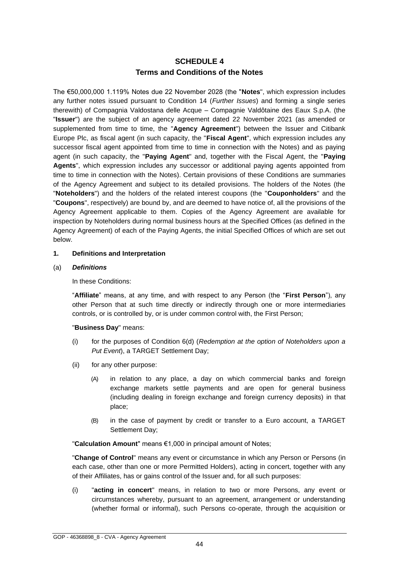# **SCHEDULE 4 Terms and Conditions of the Notes**

The €50,000,000 1.119% Notes due 22 November 2028 (the "**Notes**", which expression includes any further notes issued pursuant to Condition 14 (*Further Issues*) and forming a single series therewith) of Compagnia Valdostana delle Acque – Compagnie Valdôtaine des Eaux S.p.A. (the "**Issuer**") are the subject of an agency agreement dated 22 November 2021 (as amended or supplemented from time to time, the "**Agency Agreement**") between the Issuer and Citibank Europe Plc, as fiscal agent (in such capacity, the "**Fiscal Agent**", which expression includes any successor fiscal agent appointed from time to time in connection with the Notes) and as paying agent (in such capacity, the "**Paying Agent**" and, together with the Fiscal Agent, the "**Paying Agents**", which expression includes any successor or additional paying agents appointed from time to time in connection with the Notes). Certain provisions of these Conditions are summaries of the Agency Agreement and subject to its detailed provisions. The holders of the Notes (the "**Noteholders**") and the holders of the related interest coupons (the "**Couponholders**" and the "**Coupons**", respectively) are bound by, and are deemed to have notice of, all the provisions of the Agency Agreement applicable to them. Copies of the Agency Agreement are available for inspection by Noteholders during normal business hours at the Specified Offices (as defined in the Agency Agreement) of each of the Paying Agents, the initial Specified Offices of which are set out below.

#### **1. Definitions and Interpretation**

#### (a) *Definitions*

In these Conditions:

"**Affiliate**" means, at any time, and with respect to any Person (the "**First Person**"), any other Person that at such time directly or indirectly through one or more intermediaries controls, or is controlled by, or is under common control with, the First Person;

#### "**Business Day**" means:

- (i) for the purposes of Condition 6(d) (*Redemption at the option of Noteholders upon a Put Event*), a TARGET Settlement Day;
- (ii) for any other purpose:
	- (A) in relation to any place, a day on which commercial banks and foreign exchange markets settle payments and are open for general business (including dealing in foreign exchange and foreign currency deposits) in that place;
	- (B) in the case of payment by credit or transfer to a Euro account, a TARGET Settlement Day;

"**Calculation Amount**" means €1,000 in principal amount of Notes;

"**Change of Control**" means any event or circumstance in which any Person or Persons (in each case, other than one or more Permitted Holders), acting in concert, together with any of their Affiliates, has or gains control of the Issuer and, for all such purposes:

(i) "**acting in concert**" means, in relation to two or more Persons, any event or circumstances whereby, pursuant to an agreement, arrangement or understanding (whether formal or informal), such Persons co-operate, through the acquisition or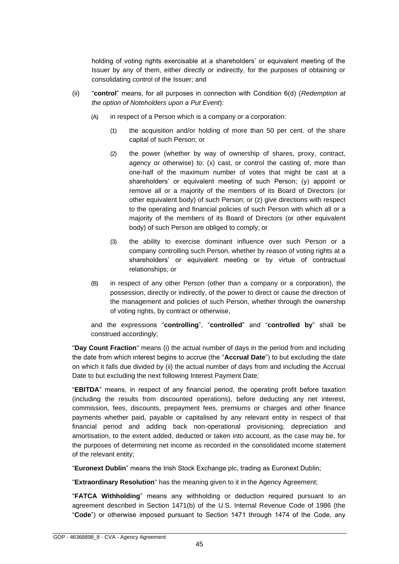holding of voting rights exercisable at a shareholders' or equivalent meeting of the Issuer by any of them, either directly or indirectly, for the purposes of obtaining or consolidating control of the Issuer; and

- (ii) "**control**" means, for all purposes in connection with Condition 6(d) (*Redemption at the option of Noteholders upon a Put Event*):
	- (A) in respect of a Person which is a company or a corporation:
		- (1) the acquisition and/or holding of more than 50 per cent. of the share capital of such Person; or
		- (2) the power (whether by way of ownership of shares, proxy, contract, agency or otherwise) to: (x) cast, or control the casting of, more than one-half of the maximum number of votes that might be cast at a shareholders' or equivalent meeting of such Person; (y) appoint or remove all or a majority of the members of its Board of Directors (or other equivalent body) of such Person; or (z) give directions with respect to the operating and financial policies of such Person with which all or a majority of the members of its Board of Directors (or other equivalent body) of such Person are obliged to comply; or
		- (3) the ability to exercise dominant influence over such Person or a company controlling such Person, whether by reason of voting rights at a shareholders' or equivalent meeting or by virtue of contractual relationships; or
	- (B) in respect of any other Person (other than a company or a corporation), the possession, directly or indirectly, of the power to direct or cause the direction of the management and policies of such Person, whether through the ownership of voting rights, by contract or otherwise,

and the expressions "**controlling**", "**controlled**" and "**controlled by**" shall be construed accordingly;

"**Day Count Fraction**" means (i) the actual number of days in the period from and including the date from which interest begins to accrue (the "**Accrual Date**") to but excluding the date on which it falls due divided by (ii) the actual number of days from and including the Accrual Date to but excluding the next following Interest Payment Date;

"**EBITDA**" means, in respect of any financial period, the operating profit before taxation (including the results from discounted operations), before deducting any net interest, commission, fees, discounts, prepayment fees, premiums or charges and other finance payments whether paid, payable or capitalised by any relevant entity in respect of that financial period and adding back non-operational provisioning, depreciation and amortisation, to the extent added, deducted or taken into account, as the case may be, for the purposes of determining net income as recorded in the consolidated income statement of the relevant entity;

"**Euronext Dublin**" means the Irish Stock Exchange plc, trading as Euronext Dublin;

"**Extraordinary Resolution**" has the meaning given to it in the Agency Agreement;

"**FATCA Withholding**" means any withholding or deduction required pursuant to an agreement described in Section 1471(b) of the U.S. Internal Revenue Code of 1986 (the "**Code**") or otherwise imposed pursuant to Section 1471 through 1474 of the Code, any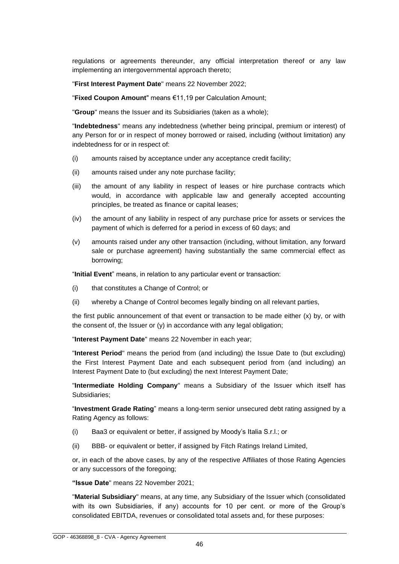regulations or agreements thereunder, any official interpretation thereof or any law implementing an intergovernmental approach thereto;

"**First Interest Payment Date**" means 22 November 2022;

"**Fixed Coupon Amount**" means €11,19 per Calculation Amount;

"**Group**" means the Issuer and its Subsidiaries (taken as a whole);

"**Indebtedness**" means any indebtedness (whether being principal, premium or interest) of any Person for or in respect of money borrowed or raised, including (without limitation) any indebtedness for or in respect of:

- (i) amounts raised by acceptance under any acceptance credit facility;
- (ii) amounts raised under any note purchase facility;
- (iii) the amount of any liability in respect of leases or hire purchase contracts which would, in accordance with applicable law and generally accepted accounting principles, be treated as finance or capital leases;
- (iv) the amount of any liability in respect of any purchase price for assets or services the payment of which is deferred for a period in excess of 60 days; and
- (v) amounts raised under any other transaction (including, without limitation, any forward sale or purchase agreement) having substantially the same commercial effect as borrowing;

"**Initial Event**" means, in relation to any particular event or transaction:

- (i) that constitutes a Change of Control; or
- (ii) whereby a Change of Control becomes legally binding on all relevant parties,

the first public announcement of that event or transaction to be made either (x) by, or with the consent of, the Issuer or (y) in accordance with any legal obligation;

"**Interest Payment Date**" means 22 November in each year;

"**Interest Period**" means the period from (and including) the Issue Date to (but excluding) the First Interest Payment Date and each subsequent period from (and including) an Interest Payment Date to (but excluding) the next Interest Payment Date;

"**Intermediate Holding Company**" means a Subsidiary of the Issuer which itself has Subsidiaries;

"**Investment Grade Rating**" means a long-term senior unsecured debt rating assigned by a Rating Agency as follows:

- (i) Baa3 or equivalent or better, if assigned by Moody's Italia S.r.l.; or
- (ii) BBB- or equivalent or better, if assigned by Fitch Ratings Ireland Limited,

or, in each of the above cases, by any of the respective Affiliates of those Rating Agencies or any successors of the foregoing;

**"Issue Date**" means 22 November 2021;

"**Material Subsidiary**" means, at any time, any Subsidiary of the Issuer which (consolidated with its own Subsidiaries, if any) accounts for 10 per cent. or more of the Group's consolidated EBITDA, revenues or consolidated total assets and, for these purposes: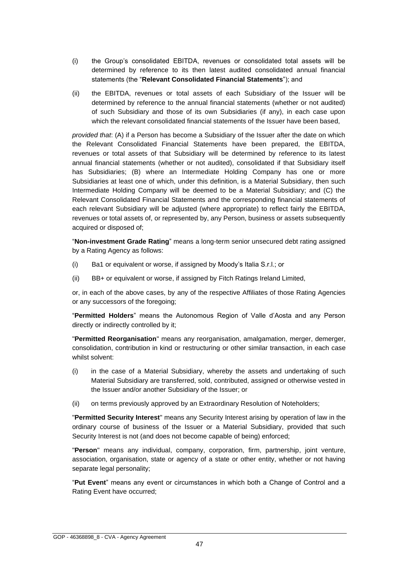- (i) the Group's consolidated EBITDA, revenues or consolidated total assets will be determined by reference to its then latest audited consolidated annual financial statements (the "**Relevant Consolidated Financial Statements**"); and
- (ii) the EBITDA, revenues or total assets of each Subsidiary of the Issuer will be determined by reference to the annual financial statements (whether or not audited) of such Subsidiary and those of its own Subsidiaries (if any), in each case upon which the relevant consolidated financial statements of the Issuer have been based,

*provided that*: (A) if a Person has become a Subsidiary of the Issuer after the date on which the Relevant Consolidated Financial Statements have been prepared, the EBITDA, revenues or total assets of that Subsidiary will be determined by reference to its latest annual financial statements (whether or not audited), consolidated if that Subsidiary itself has Subsidiaries; (B) where an Intermediate Holding Company has one or more Subsidiaries at least one of which, under this definition, is a Material Subsidiary, then such Intermediate Holding Company will be deemed to be a Material Subsidiary; and (C) the Relevant Consolidated Financial Statements and the corresponding financial statements of each relevant Subsidiary will be adjusted (where appropriate) to reflect fairly the EBITDA, revenues or total assets of, or represented by, any Person, business or assets subsequently acquired or disposed of;

"**Non-investment Grade Rating**" means a long-term senior unsecured debt rating assigned by a Rating Agency as follows:

- (i) Ba1 or equivalent or worse, if assigned by Moody's Italia S.r.l.; or
- (ii) BB+ or equivalent or worse, if assigned by Fitch Ratings Ireland Limited,

or, in each of the above cases, by any of the respective Affiliates of those Rating Agencies or any successors of the foregoing;

"**Permitted Holders**" means the Autonomous Region of Valle d'Aosta and any Person directly or indirectly controlled by it;

"**Permitted Reorganisation**" means any reorganisation, amalgamation, merger, demerger, consolidation, contribution in kind or restructuring or other similar transaction, in each case whilst solvent:

- (i) in the case of a Material Subsidiary, whereby the assets and undertaking of such Material Subsidiary are transferred, sold, contributed, assigned or otherwise vested in the Issuer and/or another Subsidiary of the Issuer; or
- (ii) on terms previously approved by an Extraordinary Resolution of Noteholders;

"**Permitted Security Interest**" means any Security Interest arising by operation of law in the ordinary course of business of the Issuer or a Material Subsidiary, provided that such Security Interest is not (and does not become capable of being) enforced;

"**Person**" means any individual, company, corporation, firm, partnership, joint venture, association, organisation, state or agency of a state or other entity, whether or not having separate legal personality;

"**Put Event**" means any event or circumstances in which both a Change of Control and a Rating Event have occurred;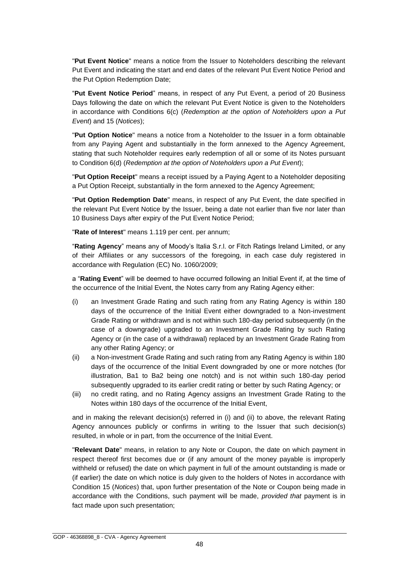"**Put Event Notice**" means a notice from the Issuer to Noteholders describing the relevant Put Event and indicating the start and end dates of the relevant Put Event Notice Period and the Put Option Redemption Date;

"**Put Event Notice Period**" means, in respect of any Put Event, a period of 20 Business Days following the date on which the relevant Put Event Notice is given to the Noteholders in accordance with Conditions 6(c) (*Redemption at the option of Noteholders upon a Put Event*) and 15 (*Notices*);

"**Put Option Notice**" means a notice from a Noteholder to the Issuer in a form obtainable from any Paying Agent and substantially in the form annexed to the Agency Agreement, stating that such Noteholder requires early redemption of all or some of its Notes pursuant to Condition 6(d) (*Redemption at the option of Noteholders upon a Put Event*);

"**Put Option Receipt**" means a receipt issued by a Paying Agent to a Noteholder depositing a Put Option Receipt, substantially in the form annexed to the Agency Agreement;

"**Put Option Redemption Date**" means, in respect of any Put Event, the date specified in the relevant Put Event Notice by the Issuer, being a date not earlier than five nor later than 10 Business Days after expiry of the Put Event Notice Period;

"**Rate of Interest**" means 1.119 per cent. per annum;

"**Rating Agency**" means any of Moody's Italia S.r.l. or Fitch Ratings Ireland Limited, or any of their Affiliates or any successors of the foregoing, in each case duly registered in accordance with Regulation (EC) No. 1060/2009;

a "**Rating Event**" will be deemed to have occurred following an Initial Event if, at the time of the occurrence of the Initial Event, the Notes carry from any Rating Agency either:

- (i) an Investment Grade Rating and such rating from any Rating Agency is within 180 days of the occurrence of the Initial Event either downgraded to a Non-investment Grade Rating or withdrawn and is not within such 180-day period subsequently (in the case of a downgrade) upgraded to an Investment Grade Rating by such Rating Agency or (in the case of a withdrawal) replaced by an Investment Grade Rating from any other Rating Agency; or
- (ii) a Non-investment Grade Rating and such rating from any Rating Agency is within 180 days of the occurrence of the Initial Event downgraded by one or more notches (for illustration, Ba1 to Ba2 being one notch) and is not within such 180-day period subsequently upgraded to its earlier credit rating or better by such Rating Agency; or
- (iii) no credit rating, and no Rating Agency assigns an Investment Grade Rating to the Notes within 180 days of the occurrence of the Initial Event,

and in making the relevant decision(s) referred in (i) and (ii) to above, the relevant Rating Agency announces publicly or confirms in writing to the Issuer that such decision(s) resulted, in whole or in part, from the occurrence of the Initial Event.

"**Relevant Date**" means, in relation to any Note or Coupon, the date on which payment in respect thereof first becomes due or (if any amount of the money payable is improperly withheld or refused) the date on which payment in full of the amount outstanding is made or (if earlier) the date on which notice is duly given to the holders of Notes in accordance with Condition 15 (*Notices*) that, upon further presentation of the Note or Coupon being made in accordance with the Conditions, such payment will be made, *provided that* payment is in fact made upon such presentation;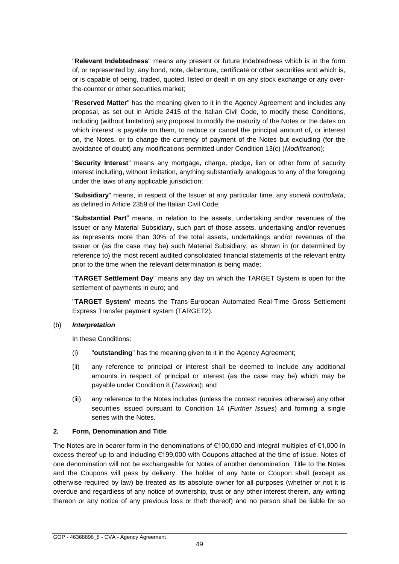"**Relevant Indebtedness**" means any present or future Indebtedness which is in the form of, or represented by, any bond, note, debenture, certificate or other securities and which is, or is capable of being, traded, quoted, listed or dealt in on any stock exchange or any overthe-counter or other securities market;

"**Reserved Matter**" has the meaning given to it in the Agency Agreement and includes any proposal, as set out in Article 2415 of the Italian Civil Code, to modify these Conditions, including (without limitation) any proposal to modify the maturity of the Notes or the dates on which interest is payable on them, to reduce or cancel the principal amount of, or interest on, the Notes, or to change the currency of payment of the Notes but excluding (for the avoidance of doubt) any modifications permitted under Condition 13(c) (*Modification*);

"**Security Interest**" means any mortgage, charge, pledge, lien or other form of security interest including, without limitation, anything substantially analogous to any of the foregoing under the laws of any applicable jurisdiction;

"**Subsidiary**" means, in respect of the Issuer at any particular time, any *società controllata*, as defined in Article 2359 of the Italian Civil Code;

"**Substantial Part**" means, in relation to the assets, undertaking and/or revenues of the Issuer or any Material Subsidiary, such part of those assets, undertaking and/or revenues as represents more than 30% of the total assets, undertakings and/or revenues of the Issuer or (as the case may be) such Material Subsidiary, as shown in (or determined by reference to) the most recent audited consolidated financial statements of the relevant entity prior to the time when the relevant determination is being made;

"**TARGET Settlement Day**" means any day on which the TARGET System is open for the settlement of payments in euro; and

"**TARGET System**" means the Trans-European Automated Real-Time Gross Settlement Express Transfer payment system (TARGET2).

#### (b) *Interpretation*

In these Conditions:

- (i) "**outstanding**" has the meaning given to it in the Agency Agreement;
- (ii) any reference to principal or interest shall be deemed to include any additional amounts in respect of principal or interest (as the case may be) which may be payable under Condition 8 (*Taxation*); and
- (iii) any reference to the Notes includes (unless the context requires otherwise) any other securities issued pursuant to Condition 14 (*Further Issues*) and forming a single series with the Notes.

## **2. Form, Denomination and Title**

The Notes are in bearer form in the denominations of €100,000 and integral multiples of €1,000 in excess thereof up to and including €199,000 with Coupons attached at the time of issue. Notes of one denomination will not be exchangeable for Notes of another denomination. Title to the Notes and the Coupons will pass by delivery. The holder of any Note or Coupon shall (except as otherwise required by law) be treated as its absolute owner for all purposes (whether or not it is overdue and regardless of any notice of ownership, trust or any other interest therein, any writing thereon or any notice of any previous loss or theft thereof) and no person shall be liable for so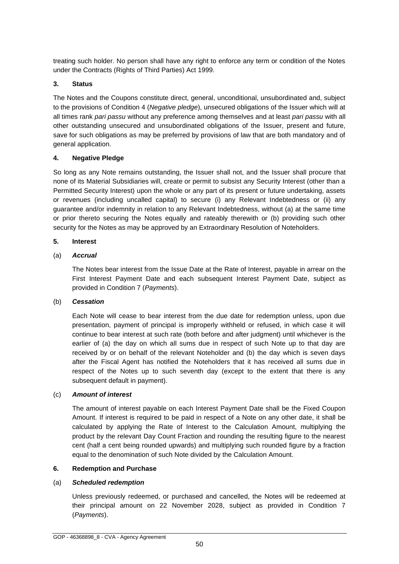treating such holder. No person shall have any right to enforce any term or condition of the Notes under the Contracts (Rights of Third Parties) Act 1999.

## **3. Status**

The Notes and the Coupons constitute direct, general, unconditional, unsubordinated and, subject to the provisions of Condition 4 (*Negative pledge*), unsecured obligations of the Issuer which will at all times rank *pari passu* without any preference among themselves and at least *pari passu* with all other outstanding unsecured and unsubordinated obligations of the Issuer, present and future, save for such obligations as may be preferred by provisions of law that are both mandatory and of general application.

## **4. Negative Pledge**

So long as any Note remains outstanding, the Issuer shall not, and the Issuer shall procure that none of its Material Subsidiaries will, create or permit to subsist any Security Interest (other than a Permitted Security Interest) upon the whole or any part of its present or future undertaking, assets or revenues (including uncalled capital) to secure (i) any Relevant Indebtedness or (ii) any guarantee and/or indemnity in relation to any Relevant Indebtedness, without (a) at the same time or prior thereto securing the Notes equally and rateably therewith or (b) providing such other security for the Notes as may be approved by an Extraordinary Resolution of Noteholders.

## **5. Interest**

# (a) *Accrual*

The Notes bear interest from the Issue Date at the Rate of Interest, payable in arrear on the First Interest Payment Date and each subsequent Interest Payment Date, subject as provided in Condition 7 (*Payments*).

## (b) *Cessation*

Each Note will cease to bear interest from the due date for redemption unless, upon due presentation, payment of principal is improperly withheld or refused, in which case it will continue to bear interest at such rate (both before and after judgment) until whichever is the earlier of (a) the day on which all sums due in respect of such Note up to that day are received by or on behalf of the relevant Noteholder and (b) the day which is seven days after the Fiscal Agent has notified the Noteholders that it has received all sums due in respect of the Notes up to such seventh day (except to the extent that there is any subsequent default in payment).

## (c) *Amount of interest*

The amount of interest payable on each Interest Payment Date shall be the Fixed Coupon Amount. If interest is required to be paid in respect of a Note on any other date, it shall be calculated by applying the Rate of Interest to the Calculation Amount, multiplying the product by the relevant Day Count Fraction and rounding the resulting figure to the nearest cent (half a cent being rounded upwards) and multiplying such rounded figure by a fraction equal to the denomination of such Note divided by the Calculation Amount.

## **6. Redemption and Purchase**

## (a) *Scheduled redemption*

Unless previously redeemed, or purchased and cancelled, the Notes will be redeemed at their principal amount on 22 November 2028, subject as provided in Condition 7 (*Payments*).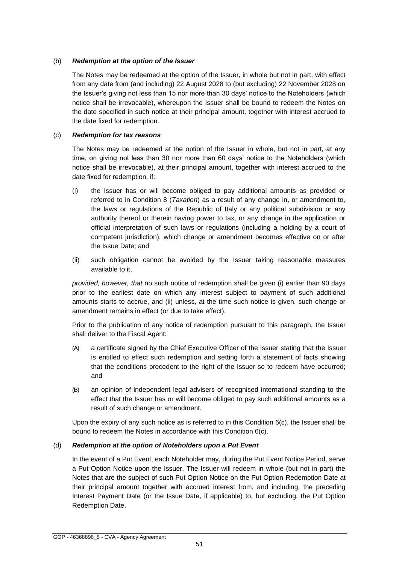#### (b) *Redemption at the option of the Issuer*

The Notes may be redeemed at the option of the Issuer, in whole but not in part, with effect from any date from (and including) 22 August 2028 to (but excluding) 22 November 2028 on the Issuer's giving not less than 15 nor more than 30 days' notice to the Noteholders (which notice shall be irrevocable), whereupon the Issuer shall be bound to redeem the Notes on the date specified in such notice at their principal amount, together with interest accrued to the date fixed for redemption.

#### (c) *Redemption for tax reasons*

The Notes may be redeemed at the option of the Issuer in whole, but not in part, at any time, on giving not less than 30 nor more than 60 days' notice to the Noteholders (which notice shall be irrevocable), at their principal amount, together with interest accrued to the date fixed for redemption, if:

- (i) the Issuer has or will become obliged to pay additional amounts as provided or referred to in Condition 8 (*Taxation*) as a result of any change in, or amendment to, the laws or regulations of the Republic of Italy or any political subdivision or any authority thereof or therein having power to tax, or any change in the application or official interpretation of such laws or regulations (including a holding by a court of competent jurisdiction), which change or amendment becomes effective on or after the Issue Date; and
- (ii) such obligation cannot be avoided by the Issuer taking reasonable measures available to it,

*provided, however, that* no such notice of redemption shall be given (i) earlier than 90 days prior to the earliest date on which any interest subject to payment of such additional amounts starts to accrue, and (ii) unless, at the time such notice is given, such change or amendment remains in effect (or due to take effect).

Prior to the publication of any notice of redemption pursuant to this paragraph, the Issuer shall deliver to the Fiscal Agent:

- (A) a certificate signed by the Chief Executive Officer of the Issuer stating that the Issuer is entitled to effect such redemption and setting forth a statement of facts showing that the conditions precedent to the right of the Issuer so to redeem have occurred; and
- (B) an opinion of independent legal advisers of recognised international standing to the effect that the Issuer has or will become obliged to pay such additional amounts as a result of such change or amendment.

Upon the expiry of any such notice as is referred to in this Condition 6(c), the Issuer shall be bound to redeem the Notes in accordance with this Condition 6(c).

## (d) *Redemption at the option of Noteholders upon a Put Event*

In the event of a Put Event, each Noteholder may, during the Put Event Notice Period, serve a Put Option Notice upon the Issuer. The Issuer will redeem in whole (but not in part) the Notes that are the subject of such Put Option Notice on the Put Option Redemption Date at their principal amount together with accrued interest from, and including, the preceding Interest Payment Date (or the Issue Date, if applicable) to, but excluding, the Put Option Redemption Date.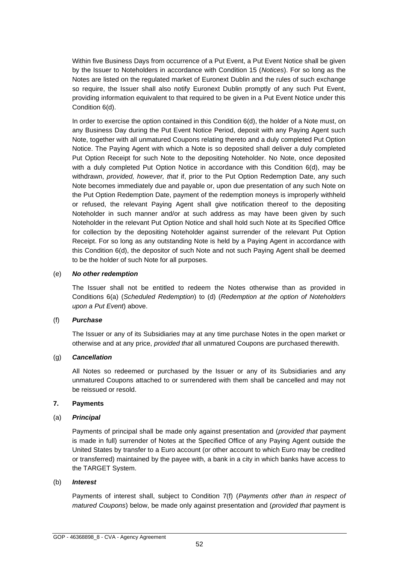Within five Business Days from occurrence of a Put Event, a Put Event Notice shall be given by the Issuer to Noteholders in accordance with Condition 15 (*Notices*). For so long as the Notes are listed on the regulated market of Euronext Dublin and the rules of such exchange so require, the Issuer shall also notify Euronext Dublin promptly of any such Put Event, providing information equivalent to that required to be given in a Put Event Notice under this Condition 6(d).

In order to exercise the option contained in this Condition 6(d), the holder of a Note must, on any Business Day during the Put Event Notice Period, deposit with any Paying Agent such Note, together with all unmatured Coupons relating thereto and a duly completed Put Option Notice. The Paying Agent with which a Note is so deposited shall deliver a duly completed Put Option Receipt for such Note to the depositing Noteholder. No Note, once deposited with a duly completed Put Option Notice in accordance with this Condition 6(d), may be withdrawn, *provided, however, that* if, prior to the Put Option Redemption Date, any such Note becomes immediately due and payable or, upon due presentation of any such Note on the Put Option Redemption Date, payment of the redemption moneys is improperly withheld or refused, the relevant Paying Agent shall give notification thereof to the depositing Noteholder in such manner and/or at such address as may have been given by such Noteholder in the relevant Put Option Notice and shall hold such Note at its Specified Office for collection by the depositing Noteholder against surrender of the relevant Put Option Receipt. For so long as any outstanding Note is held by a Paying Agent in accordance with this Condition 6(d), the depositor of such Note and not such Paying Agent shall be deemed to be the holder of such Note for all purposes.

#### (e) *No other redemption*

The Issuer shall not be entitled to redeem the Notes otherwise than as provided in Conditions 6(a) (*Scheduled Redemption*) to (d) (*Redemption at the option of Noteholders upon a Put Event*) above.

## (f) *Purchase*

The Issuer or any of its Subsidiaries may at any time purchase Notes in the open market or otherwise and at any price, *provided that* all unmatured Coupons are purchased therewith.

#### (g) *Cancellation*

All Notes so redeemed or purchased by the Issuer or any of its Subsidiaries and any unmatured Coupons attached to or surrendered with them shall be cancelled and may not be reissued or resold.

#### **7. Payments**

## (a) *Principal*

Payments of principal shall be made only against presentation and (*provided that* payment is made in full) surrender of Notes at the Specified Office of any Paying Agent outside the United States by transfer to a Euro account (or other account to which Euro may be credited or transferred) maintained by the payee with, a bank in a city in which banks have access to the TARGET System.

#### (b) *Interest*

Payments of interest shall, subject to Condition 7(f) (*Payments other than in respect of matured Coupons*) below, be made only against presentation and (*provided that* payment is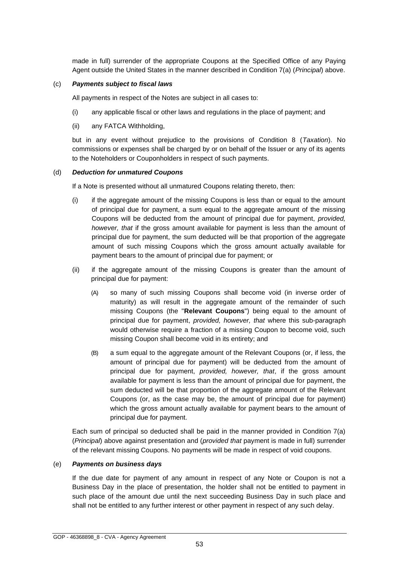made in full) surrender of the appropriate Coupons at the Specified Office of any Paying Agent outside the United States in the manner described in Condition 7(a) (*Principal*) above.

#### (c) *Payments subject to fiscal laws*

All payments in respect of the Notes are subject in all cases to:

- (i) any applicable fiscal or other laws and regulations in the place of payment; and
- (ii) any FATCA Withholding,

but in any event without prejudice to the provisions of Condition 8 (*Taxation*). No commissions or expenses shall be charged by or on behalf of the Issuer or any of its agents to the Noteholders or Couponholders in respect of such payments.

#### (d) *Deduction for unmatured Coupons*

If a Note is presented without all unmatured Coupons relating thereto, then:

- (i) if the aggregate amount of the missing Coupons is less than or equal to the amount of principal due for payment, a sum equal to the aggregate amount of the missing Coupons will be deducted from the amount of principal due for payment, *provided, however, that* if the gross amount available for payment is less than the amount of principal due for payment, the sum deducted will be that proportion of the aggregate amount of such missing Coupons which the gross amount actually available for payment bears to the amount of principal due for payment; or
- (ii) if the aggregate amount of the missing Coupons is greater than the amount of principal due for payment:
	- (A) so many of such missing Coupons shall become void (in inverse order of maturity) as will result in the aggregate amount of the remainder of such missing Coupons (the "**Relevant Coupons**") being equal to the amount of principal due for payment, *provided, however, that* where this sub-paragraph would otherwise require a fraction of a missing Coupon to become void, such missing Coupon shall become void in its entirety; and
	- (B) a sum equal to the aggregate amount of the Relevant Coupons (or, if less, the amount of principal due for payment) will be deducted from the amount of principal due for payment, *provided, however, that*, if the gross amount available for payment is less than the amount of principal due for payment, the sum deducted will be that proportion of the aggregate amount of the Relevant Coupons (or, as the case may be, the amount of principal due for payment) which the gross amount actually available for payment bears to the amount of principal due for payment.

Each sum of principal so deducted shall be paid in the manner provided in Condition 7(a) (*Principal*) above against presentation and (*provided that* payment is made in full) surrender of the relevant missing Coupons. No payments will be made in respect of void coupons.

#### (e) *Payments on business days*

If the due date for payment of any amount in respect of any Note or Coupon is not a Business Day in the place of presentation, the holder shall not be entitled to payment in such place of the amount due until the next succeeding Business Day in such place and shall not be entitled to any further interest or other payment in respect of any such delay.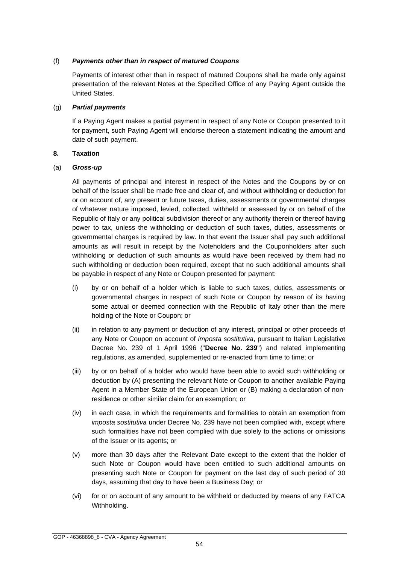#### (f) *Payments other than in respect of matured Coupons*

Payments of interest other than in respect of matured Coupons shall be made only against presentation of the relevant Notes at the Specified Office of any Paying Agent outside the United States.

#### (g) *Partial payments*

If a Paying Agent makes a partial payment in respect of any Note or Coupon presented to it for payment, such Paying Agent will endorse thereon a statement indicating the amount and date of such payment.

#### **8. Taxation**

#### (a) *Gross-up*

All payments of principal and interest in respect of the Notes and the Coupons by or on behalf of the Issuer shall be made free and clear of, and without withholding or deduction for or on account of, any present or future taxes, duties, assessments or governmental charges of whatever nature imposed, levied, collected, withheld or assessed by or on behalf of the Republic of Italy or any political subdivision thereof or any authority therein or thereof having power to tax, unless the withholding or deduction of such taxes, duties, assessments or governmental charges is required by law. In that event the Issuer shall pay such additional amounts as will result in receipt by the Noteholders and the Couponholders after such withholding or deduction of such amounts as would have been received by them had no such withholding or deduction been required, except that no such additional amounts shall be payable in respect of any Note or Coupon presented for payment:

- (i) by or on behalf of a holder which is liable to such taxes, duties, assessments or governmental charges in respect of such Note or Coupon by reason of its having some actual or deemed connection with the Republic of Italy other than the mere holding of the Note or Coupon; or
- (ii) in relation to any payment or deduction of any interest, principal or other proceeds of any Note or Coupon on account of *imposta sostitutiva*, pursuant to Italian Legislative Decree No. 239 of 1 April 1996 ("**Decree No. 239**") and related implementing regulations, as amended, supplemented or re-enacted from time to time; or
- (iii) by or on behalf of a holder who would have been able to avoid such withholding or deduction by (A) presenting the relevant Note or Coupon to another available Paying Agent in a Member State of the European Union or (B) making a declaration of nonresidence or other similar claim for an exemption; or
- (iv) in each case, in which the requirements and formalities to obtain an exemption from *imposta sostitutiva* under Decree No. 239 have not been complied with, except where such formalities have not been complied with due solely to the actions or omissions of the Issuer or its agents; or
- (v) more than 30 days after the Relevant Date except to the extent that the holder of such Note or Coupon would have been entitled to such additional amounts on presenting such Note or Coupon for payment on the last day of such period of 30 days, assuming that day to have been a Business Day; or
- (vi) for or on account of any amount to be withheld or deducted by means of any FATCA Withholding.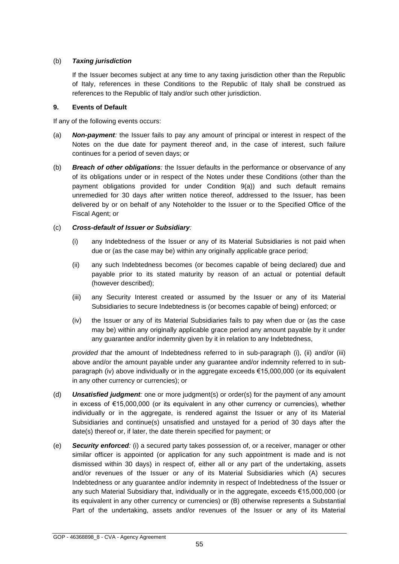#### (b) *Taxing jurisdiction*

If the Issuer becomes subject at any time to any taxing jurisdiction other than the Republic of Italy, references in these Conditions to the Republic of Italy shall be construed as references to the Republic of Italy and/or such other jurisdiction.

#### **9. Events of Default**

If any of the following events occurs:

- (a) *Non-payment:* the Issuer fails to pay any amount of principal or interest in respect of the Notes on the due date for payment thereof and, in the case of interest, such failure continues for a period of seven days; or
- (b) *Breach of other obligations:* the Issuer defaults in the performance or observance of any of its obligations under or in respect of the Notes under these Conditions (other than the payment obligations provided for under Condition 9(a)) and such default remains unremedied for 30 days after written notice thereof, addressed to the Issuer, has been delivered by or on behalf of any Noteholder to the Issuer or to the Specified Office of the Fiscal Agent; or

## (c) *Cross-default of Issuer or Subsidiary:*

- (i) any Indebtedness of the Issuer or any of its Material Subsidiaries is not paid when due or (as the case may be) within any originally applicable grace period;
- (ii) any such Indebtedness becomes (or becomes capable of being declared) due and payable prior to its stated maturity by reason of an actual or potential default (however described);
- (iii) any Security Interest created or assumed by the Issuer or any of its Material Subsidiaries to secure Indebtedness is (or becomes capable of being) enforced; or
- (iv) the Issuer or any of its Material Subsidiaries fails to pay when due or (as the case may be) within any originally applicable grace period any amount payable by it under any guarantee and/or indemnity given by it in relation to any Indebtedness,

*provided that* the amount of Indebtedness referred to in sub-paragraph (i), (ii) and/or (iii) above and/or the amount payable under any guarantee and/or indemnity referred to in subparagraph (iv) above individually or in the aggregate exceeds €15,000,000 (or its equivalent in any other currency or currencies); or

- (d) *Unsatisfied judgment:* one or more judgment(s) or order(s) for the payment of any amount in excess of €15,000,000 (or its equivalent in any other currency or currencies), whether individually or in the aggregate, is rendered against the Issuer or any of its Material Subsidiaries and continue(s) unsatisfied and unstayed for a period of 30 days after the date(s) thereof or, if later, the date therein specified for payment; or
- (e) *Security enforced:* (i) a secured party takes possession of, or a receiver, manager or other similar officer is appointed (or application for any such appointment is made and is not dismissed within 30 days) in respect of, either all or any part of the undertaking, assets and/or revenues of the Issuer or any of its Material Subsidiaries which (A) secures Indebtedness or any guarantee and/or indemnity in respect of Indebtedness of the Issuer or any such Material Subsidiary that, individually or in the aggregate, exceeds €15,000,000 (or its equivalent in any other currency or currencies) or (B) otherwise represents a Substantial Part of the undertaking, assets and/or revenues of the Issuer or any of its Material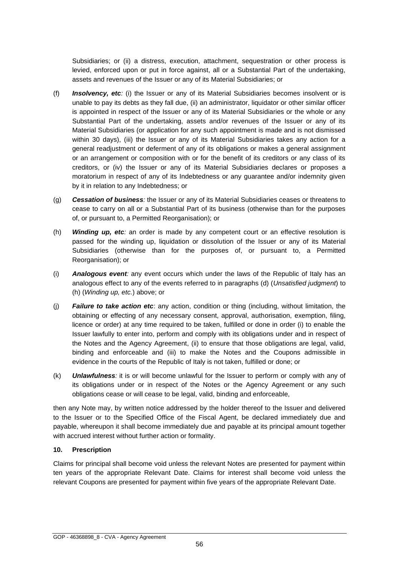Subsidiaries; or (ii) a distress, execution, attachment, sequestration or other process is levied, enforced upon or put in force against, all or a Substantial Part of the undertaking, assets and revenues of the Issuer or any of its Material Subsidiaries; or

- (f) *Insolvency, etc:* (i) the Issuer or any of its Material Subsidiaries becomes insolvent or is unable to pay its debts as they fall due, (ii) an administrator, liquidator or other similar officer is appointed in respect of the Issuer or any of its Material Subsidiaries or the whole or any Substantial Part of the undertaking, assets and/or revenues of the Issuer or any of its Material Subsidiaries (or application for any such appointment is made and is not dismissed within 30 days), (iii) the Issuer or any of its Material Subsidiaries takes any action for a general readjustment or deferment of any of its obligations or makes a general assignment or an arrangement or composition with or for the benefit of its creditors or any class of its creditors, or (iv) the Issuer or any of its Material Subsidiaries declares or proposes a moratorium in respect of any of its Indebtedness or any guarantee and/or indemnity given by it in relation to any Indebtedness; or
- (g) *Cessation of business:* the Issuer or any of its Material Subsidiaries ceases or threatens to cease to carry on all or a Substantial Part of its business (otherwise than for the purposes of, or pursuant to, a Permitted Reorganisation); or
- (h) *Winding up, etc:* an order is made by any competent court or an effective resolution is passed for the winding up, liquidation or dissolution of the Issuer or any of its Material Subsidiaries (otherwise than for the purposes of, or pursuant to, a Permitted Reorganisation); or
- (i) *Analogous event:* any event occurs which under the laws of the Republic of Italy has an analogous effect to any of the events referred to in paragraphs (d) (*Unsatisfied judgment*) to (h) (*Winding up, etc.*) above; or
- (j) *Failure to take action etc*: any action, condition or thing (including, without limitation, the obtaining or effecting of any necessary consent, approval, authorisation, exemption, filing, licence or order) at any time required to be taken, fulfilled or done in order (i) to enable the Issuer lawfully to enter into, perform and comply with its obligations under and in respect of the Notes and the Agency Agreement, (ii) to ensure that those obligations are legal, valid, binding and enforceable and (iii) to make the Notes and the Coupons admissible in evidence in the courts of the Republic of Italy is not taken, fulfilled or done; or
- (k) *Unlawfulness:* it is or will become unlawful for the Issuer to perform or comply with any of its obligations under or in respect of the Notes or the Agency Agreement or any such obligations cease or will cease to be legal, valid, binding and enforceable,

then any Note may, by written notice addressed by the holder thereof to the Issuer and delivered to the Issuer or to the Specified Office of the Fiscal Agent, be declared immediately due and payable, whereupon it shall become immediately due and payable at its principal amount together with accrued interest without further action or formality.

#### **10. Prescription**

Claims for principal shall become void unless the relevant Notes are presented for payment within ten years of the appropriate Relevant Date. Claims for interest shall become void unless the relevant Coupons are presented for payment within five years of the appropriate Relevant Date.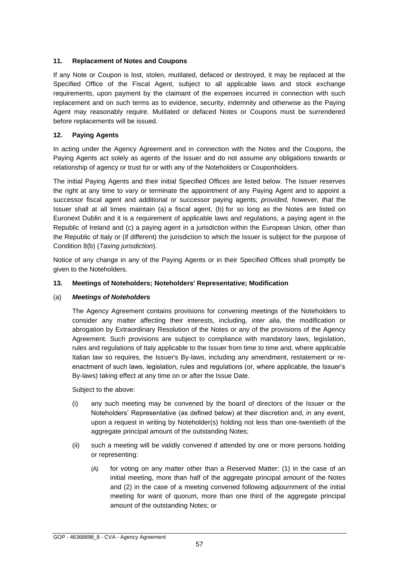## **11. Replacement of Notes and Coupons**

If any Note or Coupon is lost, stolen, mutilated, defaced or destroyed, it may be replaced at the Specified Office of the Fiscal Agent, subject to all applicable laws and stock exchange requirements, upon payment by the claimant of the expenses incurred in connection with such replacement and on such terms as to evidence, security, indemnity and otherwise as the Paying Agent may reasonably require. Mutilated or defaced Notes or Coupons must be surrendered before replacements will be issued.

## **12. Paying Agents**

In acting under the Agency Agreement and in connection with the Notes and the Coupons, the Paying Agents act solely as agents of the Issuer and do not assume any obligations towards or relationship of agency or trust for or with any of the Noteholders or Couponholders.

The initial Paying Agents and their initial Specified Offices are listed below. The Issuer reserves the right at any time to vary or terminate the appointment of any Paying Agent and to appoint a successor fiscal agent and additional or successor paying agents; *provided, however, that* the Issuer shall at all times maintain (a) a fiscal agent, (b) for so long as the Notes are listed on Euronext Dublin and it is a requirement of applicable laws and regulations, a paying agent in the Republic of Ireland and (c) a paying agent in a jurisdiction within the European Union, other than the Republic of Italy or (if different) the jurisdiction to which the Issuer is subject for the purpose of Condition 8(b) (*Taxing jurisdiction*).

Notice of any change in any of the Paying Agents or in their Specified Offices shall promptly be given to the Noteholders.

#### **13. Meetings of Noteholders; Noteholders' Representative; Modification**

#### (a) *Meetings of Noteholders*

The Agency Agreement contains provisions for convening meetings of the Noteholders to consider any matter affecting their interests, including, *inter alia*, the modification or abrogation by Extraordinary Resolution of the Notes or any of the provisions of the Agency Agreement. Such provisions are subject to compliance with mandatory laws, legislation, rules and regulations of Italy applicable to the Issuer from time to time and, where applicable Italian law so requires, the Issuer's By-laws, including any amendment, restatement or reenactment of such laws, legislation, rules and regulations (or, where applicable, the Issuer's By-laws) taking effect at any time on or after the Issue Date.

Subject to the above:

- (i) any such meeting may be convened by the board of directors of the Issuer or the Noteholders' Representative (as defined below) at their discretion and, in any event, upon a request in writing by Noteholder(s) holding not less than one-twentieth of the aggregate principal amount of the outstanding Notes;
- (ii) such a meeting will be validly convened if attended by one or more persons holding or representing:
	- (A) for voting on any matter other than a Reserved Matter: (1) in the case of an initial meeting, more than half of the aggregate principal amount of the Notes and (2) in the case of a meeting convened following adjournment of the initial meeting for want of quorum, more than one third of the aggregate principal amount of the outstanding Notes; or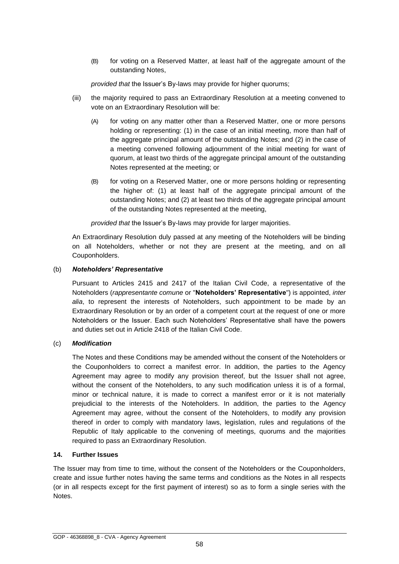(B) for voting on a Reserved Matter, at least half of the aggregate amount of the outstanding Notes,

*provided that* the Issuer's By-laws may provide for higher quorums;

- (iii) the majority required to pass an Extraordinary Resolution at a meeting convened to vote on an Extraordinary Resolution will be:
	- (A) for voting on any matter other than a Reserved Matter, one or more persons holding or representing: (1) in the case of an initial meeting, more than half of the aggregate principal amount of the outstanding Notes; and (2) in the case of a meeting convened following adjournment of the initial meeting for want of quorum, at least two thirds of the aggregate principal amount of the outstanding Notes represented at the meeting; or
	- (B) for voting on a Reserved Matter, one or more persons holding or representing the higher of: (1) at least half of the aggregate principal amount of the outstanding Notes; and (2) at least two thirds of the aggregate principal amount of the outstanding Notes represented at the meeting,

*provided that* the Issuer's By-laws may provide for larger majorities.

An Extraordinary Resolution duly passed at any meeting of the Noteholders will be binding on all Noteholders, whether or not they are present at the meeting, and on all Couponholders.

#### (b) *Noteholders' Representative*

Pursuant to Articles 2415 and 2417 of the Italian Civil Code, a representative of the Noteholders (*rappresentante comune* or "**Noteholders' Representative**") is appointed, *inter alia*, to represent the interests of Noteholders, such appointment to be made by an Extraordinary Resolution or by an order of a competent court at the request of one or more Noteholders or the Issuer. Each such Noteholders' Representative shall have the powers and duties set out in Article 2418 of the Italian Civil Code.

## (c) *Modification*

The Notes and these Conditions may be amended without the consent of the Noteholders or the Couponholders to correct a manifest error. In addition, the parties to the Agency Agreement may agree to modify any provision thereof, but the Issuer shall not agree, without the consent of the Noteholders, to any such modification unless it is of a formal, minor or technical nature, it is made to correct a manifest error or it is not materially prejudicial to the interests of the Noteholders. In addition, the parties to the Agency Agreement may agree, without the consent of the Noteholders, to modify any provision thereof in order to comply with mandatory laws, legislation, rules and regulations of the Republic of Italy applicable to the convening of meetings, quorums and the majorities required to pass an Extraordinary Resolution.

#### **14. Further Issues**

The Issuer may from time to time, without the consent of the Noteholders or the Couponholders, create and issue further notes having the same terms and conditions as the Notes in all respects (or in all respects except for the first payment of interest) so as to form a single series with the Notes.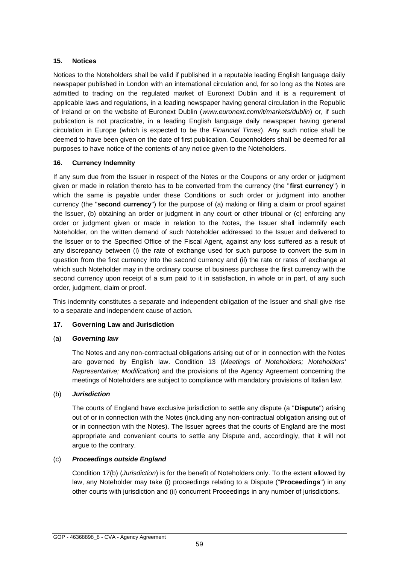#### **15. Notices**

Notices to the Noteholders shall be valid if published in a reputable leading English language daily newspaper published in London with an international circulation and, for so long as the Notes are admitted to trading on the regulated market of Euronext Dublin and it is a requirement of applicable laws and regulations, in a leading newspaper having general circulation in the Republic of Ireland or on the website of Euronext Dublin (*www.euronext.com/it/markets/dublin*) or, if such publication is not practicable, in a leading English language daily newspaper having general circulation in Europe (which is expected to be the *Financial Times*). Any such notice shall be deemed to have been given on the date of first publication. Couponholders shall be deemed for all purposes to have notice of the contents of any notice given to the Noteholders.

## **16. Currency Indemnity**

If any sum due from the Issuer in respect of the Notes or the Coupons or any order or judgment given or made in relation thereto has to be converted from the currency (the "**first currency**") in which the same is payable under these Conditions or such order or judgment into another currency (the "**second currency**") for the purpose of (a) making or filing a claim or proof against the Issuer, (b) obtaining an order or judgment in any court or other tribunal or (c) enforcing any order or judgment given or made in relation to the Notes, the Issuer shall indemnify each Noteholder, on the written demand of such Noteholder addressed to the Issuer and delivered to the Issuer or to the Specified Office of the Fiscal Agent, against any loss suffered as a result of any discrepancy between (i) the rate of exchange used for such purpose to convert the sum in question from the first currency into the second currency and (ii) the rate or rates of exchange at which such Noteholder may in the ordinary course of business purchase the first currency with the second currency upon receipt of a sum paid to it in satisfaction, in whole or in part, of any such order, judgment, claim or proof.

This indemnity constitutes a separate and independent obligation of the Issuer and shall give rise to a separate and independent cause of action.

## **17. Governing Law and Jurisdiction**

## (a) *Governing law*

The Notes and any non-contractual obligations arising out of or in connection with the Notes are governed by English law. Condition 13 (*Meetings of Noteholders; Noteholders' Representative; Modification*) and the provisions of the Agency Agreement concerning the meetings of Noteholders are subject to compliance with mandatory provisions of Italian law.

## (b) *Jurisdiction*

The courts of England have exclusive jurisdiction to settle any dispute (a "**Dispute**") arising out of or in connection with the Notes (including any non-contractual obligation arising out of or in connection with the Notes). The Issuer agrees that the courts of England are the most appropriate and convenient courts to settle any Dispute and, accordingly, that it will not argue to the contrary.

## (c) *Proceedings outside England*

Condition 17(b) (*Jurisdiction*) is for the benefit of Noteholders only. To the extent allowed by law, any Noteholder may take (i) proceedings relating to a Dispute ("**Proceedings**") in any other courts with jurisdiction and (ii) concurrent Proceedings in any number of jurisdictions.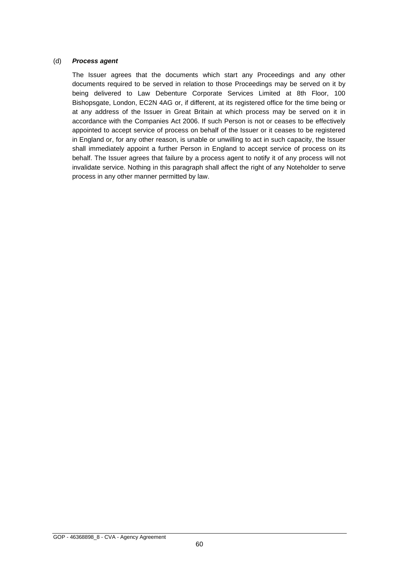#### (d) *Process agent*

The Issuer agrees that the documents which start any Proceedings and any other documents required to be served in relation to those Proceedings may be served on it by being delivered to Law Debenture Corporate Services Limited at 8th Floor, 100 Bishopsgate, London, EC2N 4AG or, if different, at its registered office for the time being or at any address of the Issuer in Great Britain at which process may be served on it in accordance with the Companies Act 2006. If such Person is not or ceases to be effectively appointed to accept service of process on behalf of the Issuer or it ceases to be registered in England or, for any other reason, is unable or unwilling to act in such capacity, the Issuer shall immediately appoint a further Person in England to accept service of process on its behalf. The Issuer agrees that failure by a process agent to notify it of any process will not invalidate service. Nothing in this paragraph shall affect the right of any Noteholder to serve process in any other manner permitted by law.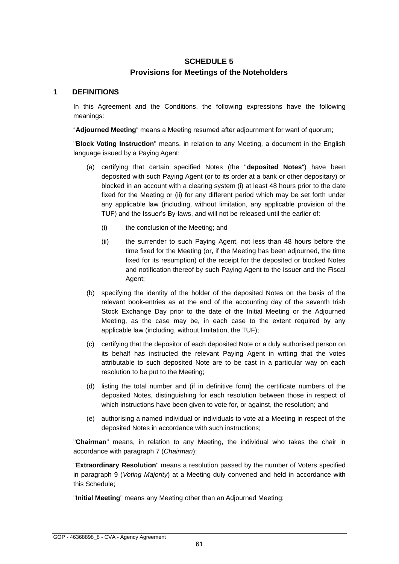# **SCHEDULE 5 Provisions for Meetings of the Noteholders**

#### **1 DEFINITIONS**

In this Agreement and the Conditions, the following expressions have the following meanings:

"**Adjourned Meeting**" means a Meeting resumed after adjournment for want of quorum;

"**Block Voting Instruction**" means, in relation to any Meeting, a document in the English language issued by a Paying Agent:

- (a) certifying that certain specified Notes (the "**deposited Notes**") have been deposited with such Paying Agent (or to its order at a bank or other depositary) or blocked in an account with a clearing system (i) at least 48 hours prior to the date fixed for the Meeting or (ii) for any different period which may be set forth under any applicable law (including, without limitation, any applicable provision of the TUF) and the Issuer's By-laws, and will not be released until the earlier of:
	- (i) the conclusion of the Meeting; and
	- (ii) the surrender to such Paying Agent, not less than 48 hours before the time fixed for the Meeting (or, if the Meeting has been adjourned, the time fixed for its resumption) of the receipt for the deposited or blocked Notes and notification thereof by such Paying Agent to the Issuer and the Fiscal Agent;
- (b) specifying the identity of the holder of the deposited Notes on the basis of the relevant book-entries as at the end of the accounting day of the seventh Irish Stock Exchange Day prior to the date of the Initial Meeting or the Adjourned Meeting, as the case may be, in each case to the extent required by any applicable law (including, without limitation, the TUF);
- (c) certifying that the depositor of each deposited Note or a duly authorised person on its behalf has instructed the relevant Paying Agent in writing that the votes attributable to such deposited Note are to be cast in a particular way on each resolution to be put to the Meeting;
- (d) listing the total number and (if in definitive form) the certificate numbers of the deposited Notes, distinguishing for each resolution between those in respect of which instructions have been given to vote for, or against, the resolution; and
- (e) authorising a named individual or individuals to vote at a Meeting in respect of the deposited Notes in accordance with such instructions;

"**Chairman**" means, in relation to any Meeting, the individual who takes the chair in accordance with paragraph 7 (*Chairman*);

"**Extraordinary Resolution**" means a resolution passed by the number of Voters specified in paragraph 9 (*Voting Majority*) at a Meeting duly convened and held in accordance with this Schedule;

"**Initial Meeting**" means any Meeting other than an Adjourned Meeting;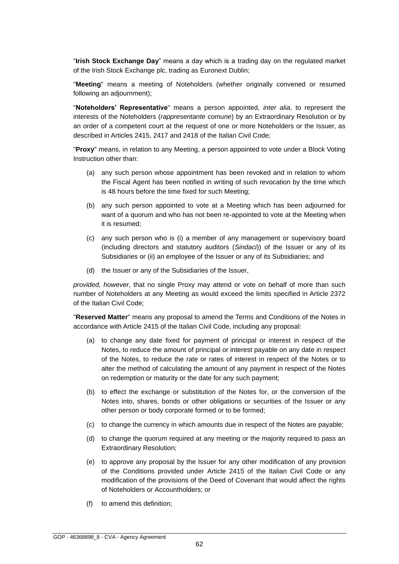"**Irish Stock Exchange Day**" means a day which is a trading day on the regulated market of the Irish Stock Exchange plc, trading as Euronext Dublin;

"**Meeting**" means a meeting of Noteholders (whether originally convened or resumed following an adjournment);

"**Noteholders' Representative**" means a person appointed, *inter alia*, to represent the interests of the Noteholders (*rappresentante comune*) by an Extraordinary Resolution or by an order of a competent court at the request of one or more Noteholders or the Issuer, as described in Articles 2415, 2417 and 2418 of the Italian Civil Code;

"**Proxy**" means, in relation to any Meeting, a person appointed to vote under a Block Voting Instruction other than:

- (a) any such person whose appointment has been revoked and in relation to whom the Fiscal Agent has been notified in writing of such revocation by the time which is 48 hours before the time fixed for such Meeting;
- (b) any such person appointed to vote at a Meeting which has been adjourned for want of a quorum and who has not been re-appointed to vote at the Meeting when it is resumed;
- (c) any such person who is (i) a member of any management or supervisory board (including directors and statutory auditors (*Sindaci*)) of the Issuer or any of its Subsidiaries or (ii) an employee of the Issuer or any of its Subsidiaries; and
- (d) the Issuer or any of the Subsidiaries of the Issuer,

*provided, however*, that no single Proxy may attend or vote on behalf of more than such number of Noteholders at any Meeting as would exceed the limits specified in Article 2372 of the Italian Civil Code;

"**Reserved Matter**" means any proposal to amend the Terms and Conditions of the Notes in accordance with Article 2415 of the Italian Civil Code, including any proposal:

- (a) to change any date fixed for payment of principal or interest in respect of the Notes, to reduce the amount of principal or interest payable on any date in respect of the Notes, to reduce the rate or rates of interest in respect of the Notes or to alter the method of calculating the amount of any payment in respect of the Notes on redemption or maturity or the date for any such payment;
- (b) to effect the exchange or substitution of the Notes for, or the conversion of the Notes into, shares, bonds or other obligations or securities of the Issuer or any other person or body corporate formed or to be formed;
- (c) to change the currency in which amounts due in respect of the Notes are payable;
- (d) to change the quorum required at any meeting or the majority required to pass an Extraordinary Resolution;
- (e) to approve any proposal by the Issuer for any other modification of any provision of the Conditions provided under Article 2415 of the Italian Civil Code or any modification of the provisions of the Deed of Covenant that would affect the rights of Noteholders or Accountholders; or
- (f) to amend this definition;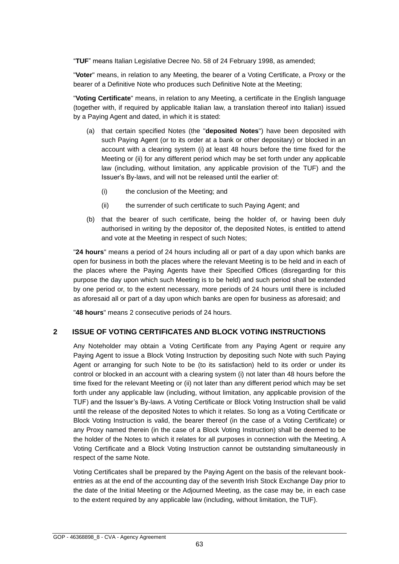"**TUF**" means Italian Legislative Decree No. 58 of 24 February 1998, as amended;

"**Voter**" means, in relation to any Meeting, the bearer of a Voting Certificate, a Proxy or the bearer of a Definitive Note who produces such Definitive Note at the Meeting;

"**Voting Certificate**" means, in relation to any Meeting, a certificate in the English language (together with, if required by applicable Italian law, a translation thereof into Italian) issued by a Paying Agent and dated, in which it is stated:

- (a) that certain specified Notes (the "**deposited Notes**") have been deposited with such Paying Agent (or to its order at a bank or other depositary) or blocked in an account with a clearing system (i) at least 48 hours before the time fixed for the Meeting or (ii) for any different period which may be set forth under any applicable law (including, without limitation, any applicable provision of the TUF) and the Issuer's By-laws, and will not be released until the earlier of:
	- (i) the conclusion of the Meeting; and
	- (ii) the surrender of such certificate to such Paying Agent; and
- (b) that the bearer of such certificate, being the holder of, or having been duly authorised in writing by the depositor of, the deposited Notes, is entitled to attend and vote at the Meeting in respect of such Notes;

"**24 hours**" means a period of 24 hours including all or part of a day upon which banks are open for business in both the places where the relevant Meeting is to be held and in each of the places where the Paying Agents have their Specified Offices (disregarding for this purpose the day upon which such Meeting is to be held) and such period shall be extended by one period or, to the extent necessary, more periods of 24 hours until there is included as aforesaid all or part of a day upon which banks are open for business as aforesaid; and

"**48 hours**" means 2 consecutive periods of 24 hours.

## **2 ISSUE OF VOTING CERTIFICATES AND BLOCK VOTING INSTRUCTIONS**

Any Noteholder may obtain a Voting Certificate from any Paying Agent or require any Paying Agent to issue a Block Voting Instruction by depositing such Note with such Paying Agent or arranging for such Note to be (to its satisfaction) held to its order or under its control or blocked in an account with a clearing system (i) not later than 48 hours before the time fixed for the relevant Meeting or (ii) not later than any different period which may be set forth under any applicable law (including, without limitation, any applicable provision of the TUF) and the Issuer's By-laws. A Voting Certificate or Block Voting Instruction shall be valid until the release of the deposited Notes to which it relates. So long as a Voting Certificate or Block Voting Instruction is valid, the bearer thereof (in the case of a Voting Certificate) or any Proxy named therein (in the case of a Block Voting Instruction) shall be deemed to be the holder of the Notes to which it relates for all purposes in connection with the Meeting. A Voting Certificate and a Block Voting Instruction cannot be outstanding simultaneously in respect of the same Note.

Voting Certificates shall be prepared by the Paying Agent on the basis of the relevant bookentries as at the end of the accounting day of the seventh Irish Stock Exchange Day prior to the date of the Initial Meeting or the Adjourned Meeting, as the case may be, in each case to the extent required by any applicable law (including, without limitation, the TUF).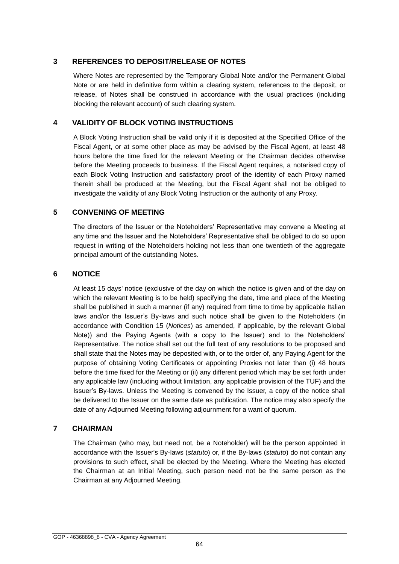# **3 REFERENCES TO DEPOSIT/RELEASE OF NOTES**

Where Notes are represented by the Temporary Global Note and/or the Permanent Global Note or are held in definitive form within a clearing system, references to the deposit, or release, of Notes shall be construed in accordance with the usual practices (including blocking the relevant account) of such clearing system.

## **4 VALIDITY OF BLOCK VOTING INSTRUCTIONS**

A Block Voting Instruction shall be valid only if it is deposited at the Specified Office of the Fiscal Agent, or at some other place as may be advised by the Fiscal Agent, at least 48 hours before the time fixed for the relevant Meeting or the Chairman decides otherwise before the Meeting proceeds to business. If the Fiscal Agent requires, a notarised copy of each Block Voting Instruction and satisfactory proof of the identity of each Proxy named therein shall be produced at the Meeting, but the Fiscal Agent shall not be obliged to investigate the validity of any Block Voting Instruction or the authority of any Proxy.

# **5 CONVENING OF MEETING**

The directors of the Issuer or the Noteholders' Representative may convene a Meeting at any time and the Issuer and the Noteholders' Representative shall be obliged to do so upon request in writing of the Noteholders holding not less than one twentieth of the aggregate principal amount of the outstanding Notes.

# **6 NOTICE**

At least 15 days' notice (exclusive of the day on which the notice is given and of the day on which the relevant Meeting is to be held) specifying the date, time and place of the Meeting shall be published in such a manner (if any) required from time to time by applicable Italian laws and/or the Issuer's By-laws and such notice shall be given to the Noteholders (in accordance with Condition 15 (*Notices*) as amended, if applicable, by the relevant Global Note)) and the Paying Agents (with a copy to the Issuer) and to the Noteholders' Representative. The notice shall set out the full text of any resolutions to be proposed and shall state that the Notes may be deposited with, or to the order of, any Paying Agent for the purpose of obtaining Voting Certificates or appointing Proxies not later than (i) 48 hours before the time fixed for the Meeting or (ii) any different period which may be set forth under any applicable law (including without limitation, any applicable provision of the TUF) and the Issuer's By-laws. Unless the Meeting is convened by the Issuer, a copy of the notice shall be delivered to the Issuer on the same date as publication. The notice may also specify the date of any Adjourned Meeting following adjournment for a want of quorum.

## **7 CHAIRMAN**

The Chairman (who may, but need not, be a Noteholder) will be the person appointed in accordance with the Issuer's By-laws (*statuto*) or, if the By-laws (*statuto*) do not contain any provisions to such effect, shall be elected by the Meeting. Where the Meeting has elected the Chairman at an Initial Meeting, such person need not be the same person as the Chairman at any Adjourned Meeting.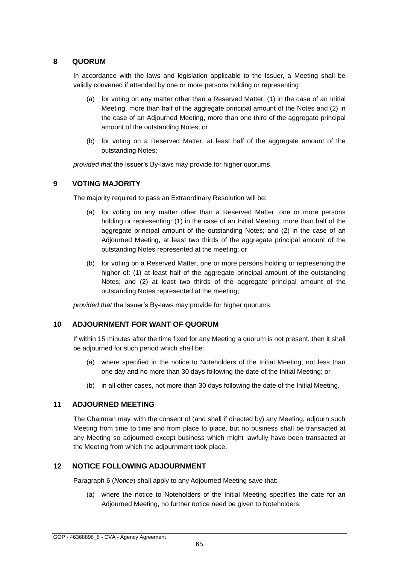## **8 QUORUM**

In accordance with the laws and legislation applicable to the Issuer, a Meeting shall be validly convened if attended by one or more persons holding or representing:

- (a) for voting on any matter other than a Reserved Matter: (1) in the case of an Initial Meeting, more than half of the aggregate principal amount of the Notes and (2) in the case of an Adjourned Meeting, more than one third of the aggregate principal amount of the outstanding Notes; or
- (b) for voting on a Reserved Matter, at least half of the aggregate amount of the outstanding Notes;

*provided that* the Issuer's By-laws may provide for higher quorums.

# **9 VOTING MAJORITY**

The majority required to pass an Extraordinary Resolution will be:

- (a) for voting on any matter other than a Reserved Matter, one or more persons holding or representing: (1) in the case of an Initial Meeting, more than half of the aggregate principal amount of the outstanding Notes; and (2) in the case of an Adjourned Meeting, at least two thirds of the aggregate principal amount of the outstanding Notes represented at the meeting; or
- (b) for voting on a Reserved Matter, one or more persons holding or representing the higher of: (1) at least half of the aggregate principal amount of the outstanding Notes; and (2) at least two thirds of the aggregate principal amount of the outstanding Notes represented at the meeting;

*provided that* the Issuer's By-laws may provide for higher quorums.

## **10 ADJOURNMENT FOR WANT OF QUORUM**

If within 15 minutes after the time fixed for any Meeting a quorum is not present, then it shall be adjourned for such period which shall be:

- (a) where specified in the notice to Noteholders of the Initial Meeting, not less than one day and no more than 30 days following the date of the Initial Meeting; or
- (b) in all other cases, not more than 30 days following the date of the Initial Meeting.

## **11 ADJOURNED MEETING**

The Chairman may, with the consent of (and shall if directed by) any Meeting, adjourn such Meeting from time to time and from place to place, but no business shall be transacted at any Meeting so adjourned except business which might lawfully have been transacted at the Meeting from which the adjournment took place.

## **12 NOTICE FOLLOWING ADJOURNMENT**

Paragraph 6 (*Notice*) shall apply to any Adjourned Meeting save that:

(a) where the notice to Noteholders of the Initial Meeting specifies the date for an Adjourned Meeting, no further notice need be given to Noteholders;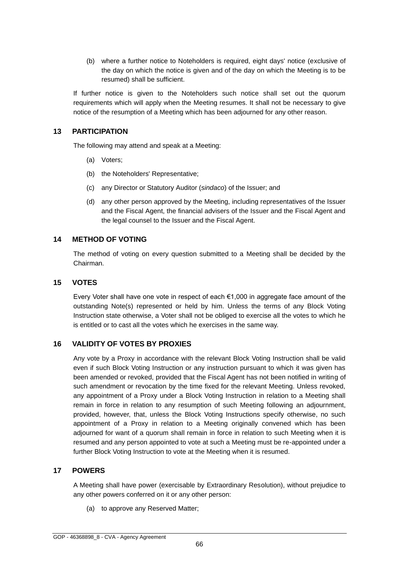(b) where a further notice to Noteholders is required, eight days' notice (exclusive of the day on which the notice is given and of the day on which the Meeting is to be resumed) shall be sufficient.

If further notice is given to the Noteholders such notice shall set out the quorum requirements which will apply when the Meeting resumes. It shall not be necessary to give notice of the resumption of a Meeting which has been adjourned for any other reason.

## **13 PARTICIPATION**

The following may attend and speak at a Meeting:

- (a) Voters;
- (b) the Noteholders' Representative;
- (c) any Director or Statutory Auditor (*sindaco*) of the Issuer; and
- (d) any other person approved by the Meeting, including representatives of the Issuer and the Fiscal Agent, the financial advisers of the Issuer and the Fiscal Agent and the legal counsel to the Issuer and the Fiscal Agent.

# **14 METHOD OF VOTING**

The method of voting on every question submitted to a Meeting shall be decided by the Chairman.

## **15 VOTES**

Every Voter shall have one vote in respect of each  $\epsilon$ 1,000 in aggregate face amount of the outstanding Note(s) represented or held by him. Unless the terms of any Block Voting Instruction state otherwise, a Voter shall not be obliged to exercise all the votes to which he is entitled or to cast all the votes which he exercises in the same way.

## **16 VALIDITY OF VOTES BY PROXIES**

Any vote by a Proxy in accordance with the relevant Block Voting Instruction shall be valid even if such Block Voting Instruction or any instruction pursuant to which it was given has been amended or revoked, provided that the Fiscal Agent has not been notified in writing of such amendment or revocation by the time fixed for the relevant Meeting. Unless revoked, any appointment of a Proxy under a Block Voting Instruction in relation to a Meeting shall remain in force in relation to any resumption of such Meeting following an adjournment, provided, however, that, unless the Block Voting Instructions specify otherwise, no such appointment of a Proxy in relation to a Meeting originally convened which has been adjourned for want of a quorum shall remain in force in relation to such Meeting when it is resumed and any person appointed to vote at such a Meeting must be re-appointed under a further Block Voting Instruction to vote at the Meeting when it is resumed.

## **17 POWERS**

A Meeting shall have power (exercisable by Extraordinary Resolution), without prejudice to any other powers conferred on it or any other person:

(a) to approve any Reserved Matter;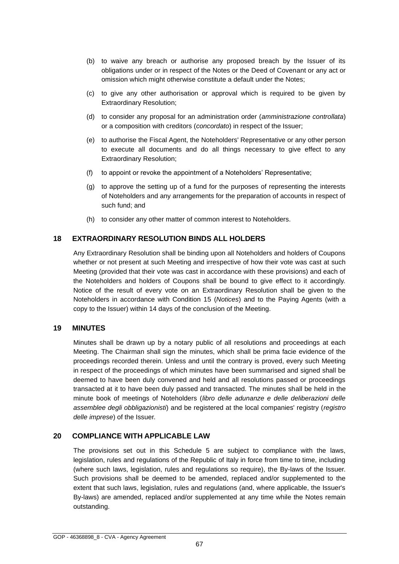- (b) to waive any breach or authorise any proposed breach by the Issuer of its obligations under or in respect of the Notes or the Deed of Covenant or any act or omission which might otherwise constitute a default under the Notes;
- (c) to give any other authorisation or approval which is required to be given by Extraordinary Resolution;
- (d) to consider any proposal for an administration order (*amministrazione controllata*) or a composition with creditors (*concordato*) in respect of the Issuer;
- (e) to authorise the Fiscal Agent, the Noteholders' Representative or any other person to execute all documents and do all things necessary to give effect to any Extraordinary Resolution;
- (f) to appoint or revoke the appointment of a Noteholders' Representative;
- (g) to approve the setting up of a fund for the purposes of representing the interests of Noteholders and any arrangements for the preparation of accounts in respect of such fund; and
- (h) to consider any other matter of common interest to Noteholders.

#### **18 EXTRAORDINARY RESOLUTION BINDS ALL HOLDERS**

Any Extraordinary Resolution shall be binding upon all Noteholders and holders of Coupons whether or not present at such Meeting and irrespective of how their vote was cast at such Meeting (provided that their vote was cast in accordance with these provisions) and each of the Noteholders and holders of Coupons shall be bound to give effect to it accordingly. Notice of the result of every vote on an Extraordinary Resolution shall be given to the Noteholders in accordance with Condition 15 (*Notices*) and to the Paying Agents (with a copy to the Issuer) within 14 days of the conclusion of the Meeting.

#### **19 MINUTES**

Minutes shall be drawn up by a notary public of all resolutions and proceedings at each Meeting. The Chairman shall sign the minutes, which shall be prima facie evidence of the proceedings recorded therein. Unless and until the contrary is proved, every such Meeting in respect of the proceedings of which minutes have been summarised and signed shall be deemed to have been duly convened and held and all resolutions passed or proceedings transacted at it to have been duly passed and transacted. The minutes shall be held in the minute book of meetings of Noteholders (*libro delle adunanze e delle deliberazioni delle assemblee degli obbligazionisti*) and be registered at the local companies' registry (*registro delle imprese*) of the Issuer.

## **20 COMPLIANCE WITH APPLICABLE LAW**

The provisions set out in this Schedule 5 are subject to compliance with the laws, legislation, rules and regulations of the Republic of Italy in force from time to time, including (where such laws, legislation, rules and regulations so require), the By-laws of the Issuer. Such provisions shall be deemed to be amended, replaced and/or supplemented to the extent that such laws, legislation, rules and regulations (and, where applicable, the Issuer's By-laws) are amended, replaced and/or supplemented at any time while the Notes remain outstanding.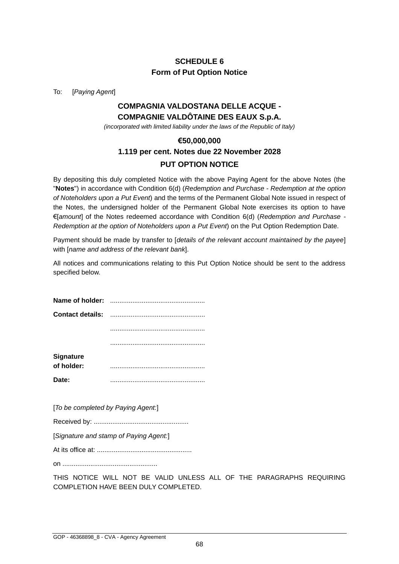# **SCHEDULE 6 Form of Put Option Notice**

To: [*Paying Agent*]

# **COMPAGNIA VALDOSTANA DELLE ACQUE - COMPAGNIE VALDÔTAINE DES EAUX S.p.A.**

*(incorporated with limited liability under the laws of the Republic of Italy)*

# **€50,000,000 1.119 per cent. Notes due 22 November 2028 PUT OPTION NOTICE**

By depositing this duly completed Notice with the above Paying Agent for the above Notes (the "**Notes**") in accordance with Condition 6(d) (*Redemption and Purchase - Redemption at the option of Noteholders upon a Put Event*) and the terms of the Permanent Global Note issued in respect of the Notes, the undersigned holder of the Permanent Global Note exercises its option to have €[*amount*] of the Notes redeemed accordance with Condition 6(d) (*Redemption and Purchase - Redemption at the option of Noteholders upon a Put Event*) on the Put Option Redemption Date.

Payment should be made by transfer to [*details of the relevant account maintained by the payee*] with [*name and address of the relevant bank*].

All notices and communications relating to this Put Option Notice should be sent to the address specified below.

| <b>Signature</b> |  |
|------------------|--|
| of holder:       |  |
| Date:            |  |

[*To be completed by Paying Agent:*]

Received by: ...................................................

[*Signature and stamp of Paying Agent:*]

At its office at: ...................................................

on ...................................................

THIS NOTICE WILL NOT BE VALID UNLESS ALL OF THE PARAGRAPHS REQUIRING COMPLETION HAVE BEEN DULY COMPLETED.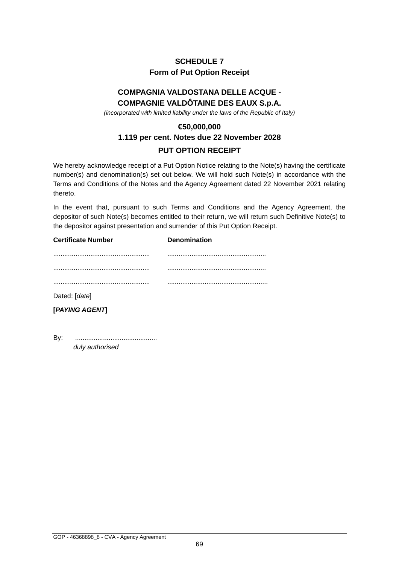# **SCHEDULE 7 Form of Put Option Receipt**

# **COMPAGNIA VALDOSTANA DELLE ACQUE - COMPAGNIE VALDÔTAINE DES EAUX S.p.A.**

*(incorporated with limited liability under the laws of the Republic of Italy)*

# **€50,000,000 1.119 per cent. Notes due 22 November 2028 PUT OPTION RECEIPT**

We hereby acknowledge receipt of a Put Option Notice relating to the Note(s) having the certificate number(s) and denomination(s) set out below. We will hold such Note(s) in accordance with the Terms and Conditions of the Notes and the Agency Agreement dated 22 November 2021 relating thereto.

In the event that, pursuant to such Terms and Conditions and the Agency Agreement, the depositor of such Note(s) becomes entitled to their return, we will return such Definitive Note(s) to the depositor against presentation and surrender of this Put Option Receipt.

#### **Certificate Number Denomination**

| Dotad: [dota] |  |
|---------------|--|

Dated: [*date*]

**[***PAYING AGENT***]**

By: ............................................ *duly authorised*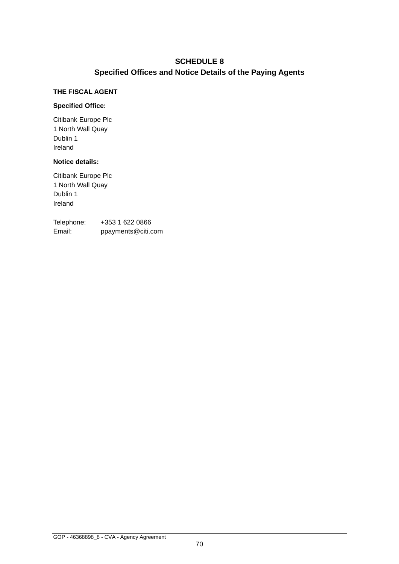# **SCHEDULE 8 Specified Offices and Notice Details of the Paying Agents**

#### **THE FISCAL AGENT**

#### **Specified Office:**

Citibank Europe Plc 1 North Wall Quay Dublin 1 Ireland

# **Notice details:**

Citibank Europe Plc 1 North Wall Quay Dublin 1 Ireland

Telephone: +353 1 622 0866 Email: ppayments@citi.com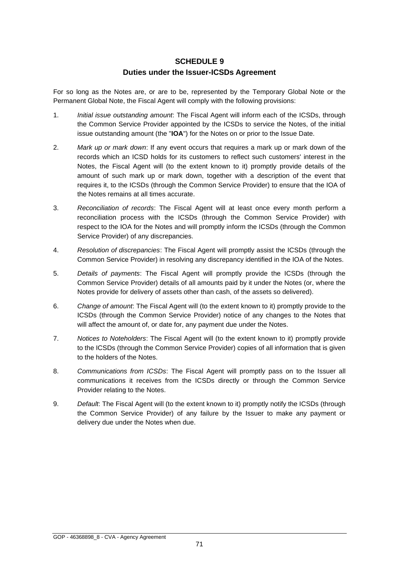## **SCHEDULE 9 Duties under the Issuer-ICSDs Agreement**

For so long as the Notes are, or are to be, represented by the Temporary Global Note or the Permanent Global Note, the Fiscal Agent will comply with the following provisions:

- 1. *Initial issue outstanding amount*: The Fiscal Agent will inform each of the ICSDs, through the Common Service Provider appointed by the ICSDs to service the Notes, of the initial issue outstanding amount (the "**IOA**") for the Notes on or prior to the Issue Date.
- 2. *Mark up or mark down*: If any event occurs that requires a mark up or mark down of the records which an ICSD holds for its customers to reflect such customers' interest in the Notes, the Fiscal Agent will (to the extent known to it) promptly provide details of the amount of such mark up or mark down, together with a description of the event that requires it, to the ICSDs (through the Common Service Provider) to ensure that the IOA of the Notes remains at all times accurate.
- 3. *Reconciliation of records*: The Fiscal Agent will at least once every month perform a reconciliation process with the ICSDs (through the Common Service Provider) with respect to the IOA for the Notes and will promptly inform the ICSDs (through the Common Service Provider) of any discrepancies.
- 4. *Resolution of discrepancies*: The Fiscal Agent will promptly assist the ICSDs (through the Common Service Provider) in resolving any discrepancy identified in the IOA of the Notes.
- 5. *Details of payments*: The Fiscal Agent will promptly provide the ICSDs (through the Common Service Provider) details of all amounts paid by it under the Notes (or, where the Notes provide for delivery of assets other than cash, of the assets so delivered).
- 6. *Change of amount*: The Fiscal Agent will (to the extent known to it) promptly provide to the ICSDs (through the Common Service Provider) notice of any changes to the Notes that will affect the amount of, or date for, any payment due under the Notes.
- 7. *Notices to Noteholders*: The Fiscal Agent will (to the extent known to it) promptly provide to the ICSDs (through the Common Service Provider) copies of all information that is given to the holders of the Notes.
- 8. *Communications from ICSDs*: The Fiscal Agent will promptly pass on to the Issuer all communications it receives from the ICSDs directly or through the Common Service Provider relating to the Notes.
- 9. *Default*: The Fiscal Agent will (to the extent known to it) promptly notify the ICSDs (through the Common Service Provider) of any failure by the Issuer to make any payment or delivery due under the Notes when due.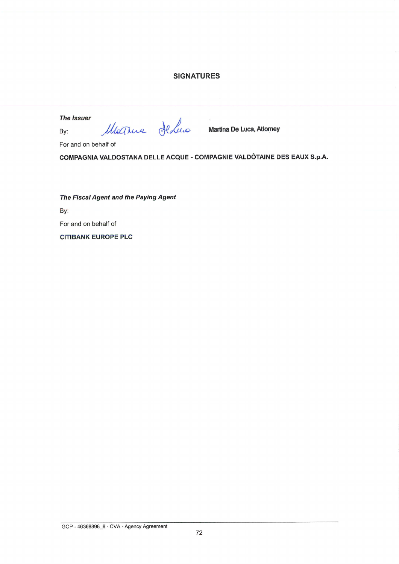## **SIGNATURES**

**The Issuer** 

By:

Matthue HeLus

**Martina De Luca, Attorney** 

For and on behalf of

COMPAGNIA VALDOSTANA DELLE ACQUE - COMPAGNIE VALDÔTAINE DES EAUX S.p.A.

The Fiscal Agent and the Paying Agent

By:

For and on behalf of

**CITIBANK EUROPE PLC**